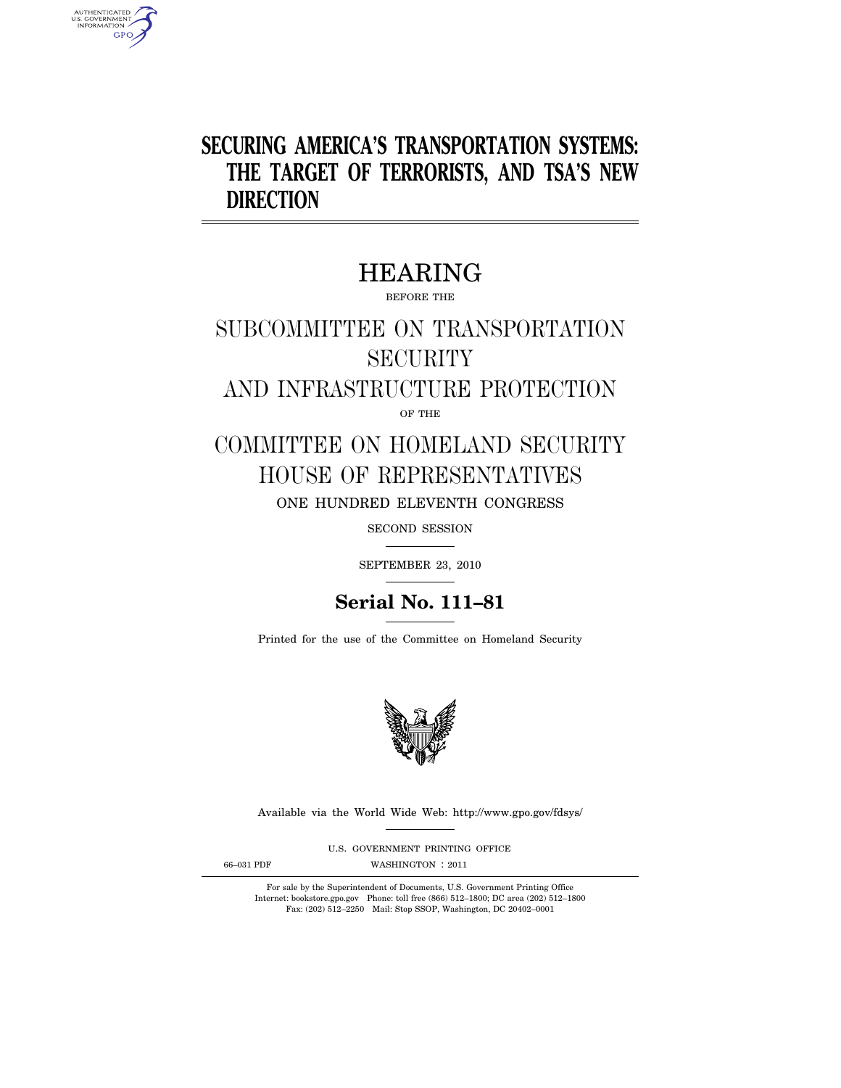## **SECURING AMERICA'S TRANSPORTATION SYSTEMS: THE TARGET OF TERRORISTS, AND TSA'S NEW DIRECTION**

## HEARING

BEFORE THE

# SUBCOMMITTEE ON TRANSPORTATION **SECURITY**

AND INFRASTRUCTURE PROTECTION

OF THE

## COMMITTEE ON HOMELAND SECURITY HOUSE OF REPRESENTATIVES ONE HUNDRED ELEVENTH CONGRESS

SECOND SESSION

SEPTEMBER 23, 2010

### **Serial No. 111–81**

Printed for the use of the Committee on Homeland Security



Available via the World Wide Web: http://www.gpo.gov/fdsys/

U.S. GOVERNMENT PRINTING OFFICE

AUTHENTICATED<br>U.S. GOVERNMENT<br>INFORMATION **GPO** 

66-031 PDF WASHINGTON : 2011

For sale by the Superintendent of Documents, U.S. Government Printing Office Internet: bookstore.gpo.gov Phone: toll free (866) 512–1800; DC area (202) 512–1800 Fax: (202) 512–2250 Mail: Stop SSOP, Washington, DC 20402–0001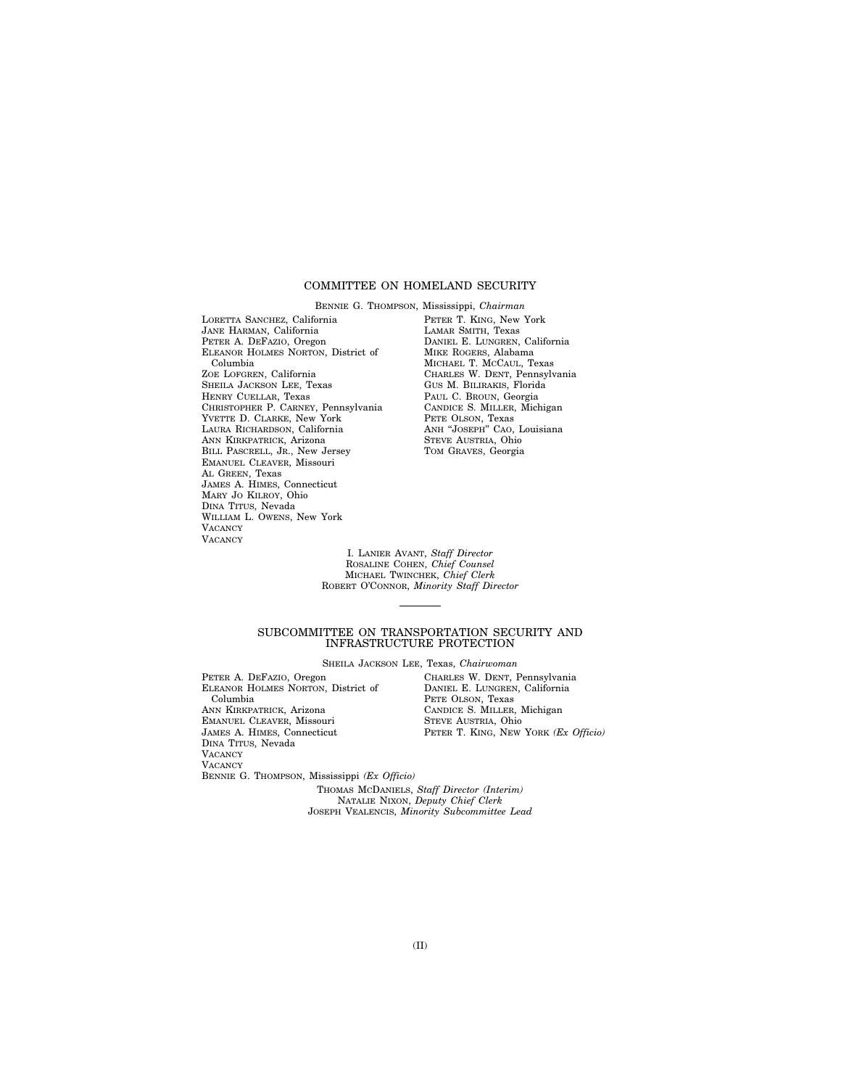#### COMMITTEE ON HOMELAND SECURITY

LORETTA SANCHEZ, California JANE HARMAN, California PETER A. DEFAZIO, Oregon ELEANOR HOLMES NORTON, District of Columbia ZOE LOFGREN, California SHEILA JACKSON LEE, Texas HENRY CUELLAR, Texas CHRISTOPHER P. CARNEY, Pennsylvania YVETTE D. CLARKE, New York LAURA RICHARDSON, California ANN KIRKPATRICK, Arizona BILL PASCRELL, JR., New Jersey EMANUEL CLEAVER, Missouri AL GREEN, Texas JAMES A. HIMES, Connecticut MARY JO KILROY, Ohio DINA TITUS, Nevada WILLIAM L. OWENS, New York **VACANCY** VACANCY

BENNIE G. THOMPSON, Mississippi, *Chairman*  PETER T. KING, New York LAMAR SMITH, Texas DANIEL E. LUNGREN, California MIKE ROGERS, Alabama MICHAEL T. MCCAUL, Texas CHARLES W. DENT, Pennsylvania GUS M. BILIRAKIS, Florida PAUL C. BROUN, Georgia CANDICE S. MILLER, Michigan PETE OLSON, Texas ANH "JOSEPH" CAO, Louisiana STEVE AUSTRIA, Ohio TOM GRAVES, Georgia

I. LANIER AVANT, *Staff Director*  ROSALINE COHEN, *Chief Counsel*  MICHAEL TWINCHEK, *Chief Clerk*  ROBERT O'CONNOR, *Minority Staff Director* 

#### SUBCOMMITTEE ON TRANSPORTATION SECURITY AND INFRASTRUCTURE PROTECTION

SHEILA JACKSON LEE, Texas, *Chairwoman* 

PETER A. DEFAZIO, Oregon ELEANOR HOLMES NORTON, District of Columbia ANN KIRKPATRICK, Arizona EMANUEL CLEAVER, Missouri JAMES A. HIMES, Connecticut DINA TITUS, Nevada **VACANCY VACANCY** BENNIE G. THOMPSON, Mississippi *(Ex Officio)* 

CHARLES W. DENT, Pennsylvania DANIEL E. LUNGREN, California PETE OLSON, Texas CANDICE S. MILLER, Michigan STEVE AUSTRIA, Ohio PETER T. KING, NEW YORK *(Ex Officio)* 

THOMAS MCDANIELS, *Staff Director (Interim)*  NATALIE NIXON, *Deputy Chief Clerk*  JOSEPH VEALENCIS, *Minority Subcommittee Lead*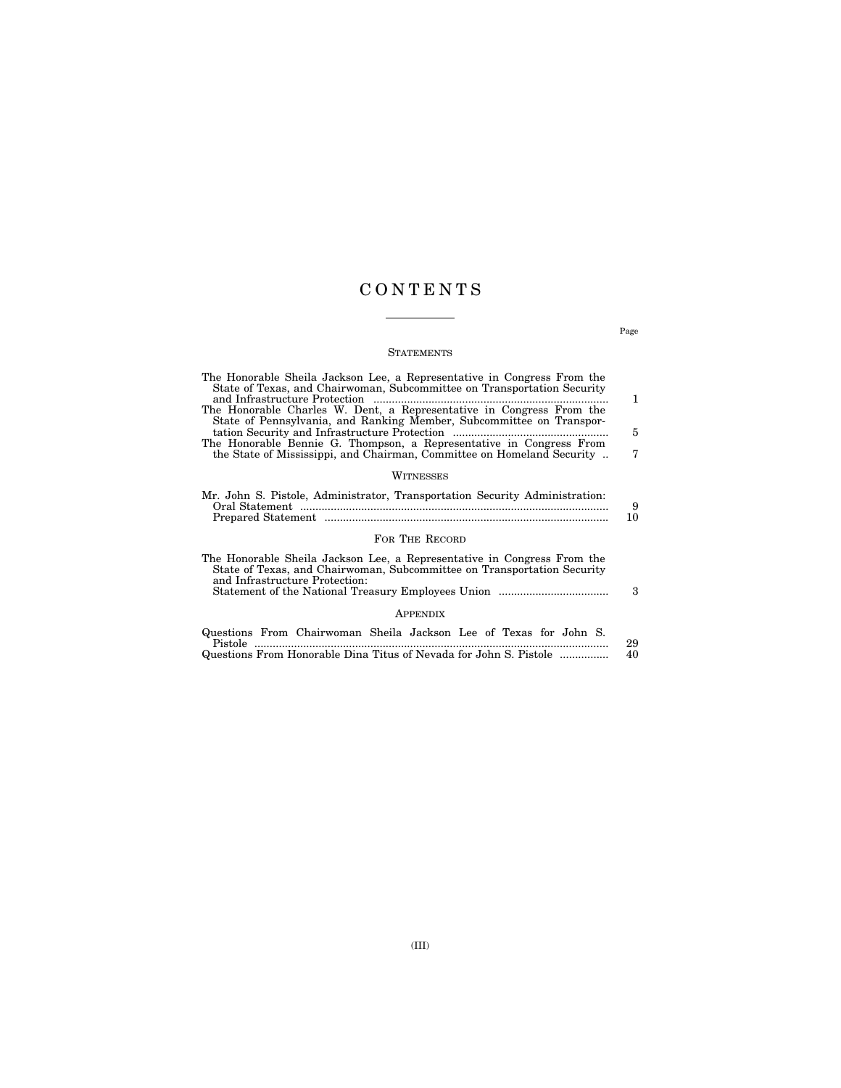### C O N T E N T S

#### **STATEMENTS**

| The Honorable Sheila Jackson Lee, a Representative in Congress From the<br>State of Texas, and Chairwoman, Subcommittee on Transportation Security<br>and Infrastructure Protection  | 1.      |
|--------------------------------------------------------------------------------------------------------------------------------------------------------------------------------------|---------|
| The Honorable Charles W. Dent, a Representative in Congress From the<br>State of Pennsylvania, and Ranking Member, Subcommittee on Transpor-                                         | 5       |
| The Honorable Bennie G. Thompson, a Representative in Congress From<br>the State of Mississippi, and Chairman, Committee on Homeland Security                                        | 7       |
| WITNESSES                                                                                                                                                                            |         |
| Mr. John S. Pistole, Administrator, Transportation Security Administration:                                                                                                          | 9<br>10 |
| FOR THE RECORD                                                                                                                                                                       |         |
| The Honorable Sheila Jackson Lee, a Representative in Congress From the<br>State of Texas, and Chairwoman, Subcommittee on Transportation Security<br>and Infrastructure Protection: | 3       |
| <b>APPENDIX</b>                                                                                                                                                                      |         |
| Questions From Chairwoman Sheila Jackson Lee of Texas for John S.                                                                                                                    |         |

| Pistole                                                           | 29. |
|-------------------------------------------------------------------|-----|
| Questions From Honorable Dina Titus of Nevada for John S. Pistole | 40  |

Page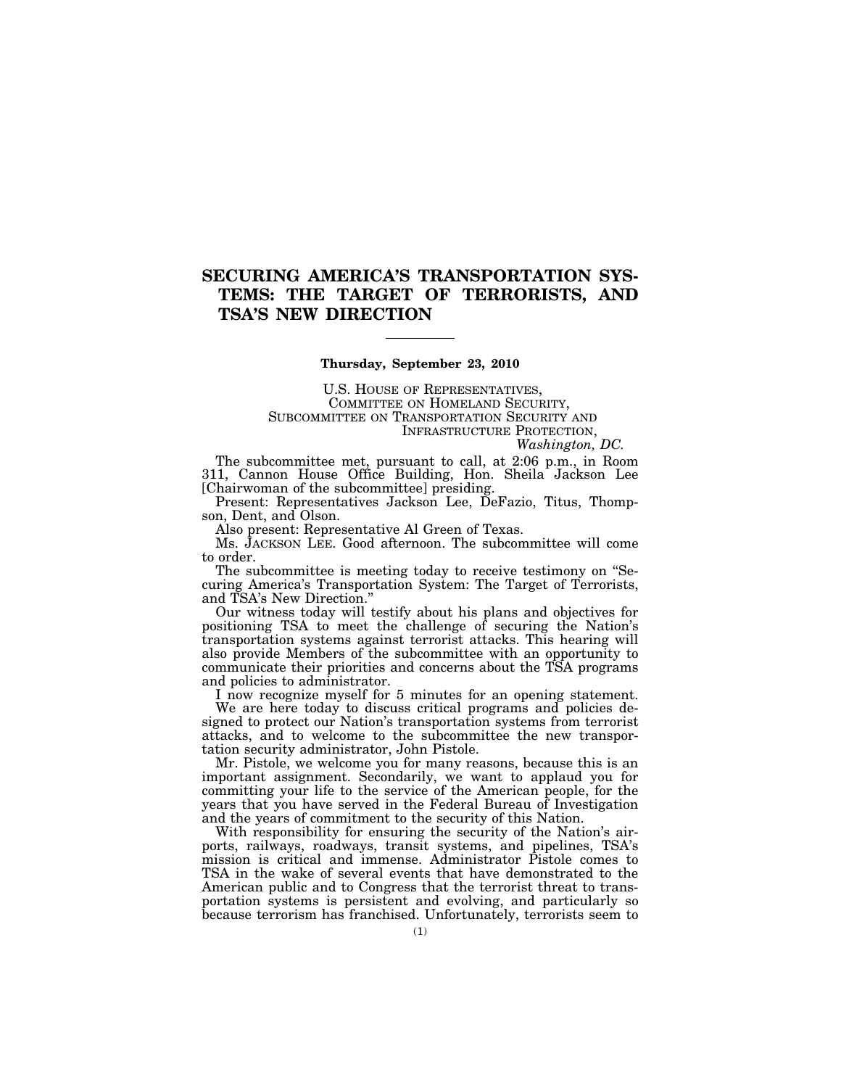### **SECURING AMERICA'S TRANSPORTATION SYS-TEMS: THE TARGET OF TERRORISTS, AND TSA'S NEW DIRECTION**

#### **Thursday, September 23, 2010**

U.S. HOUSE OF REPRESENTATIVES, COMMITTEE ON HOMELAND SECURITY, SUBCOMMITTEE ON TRANSPORTATION SECURITY AND INFRASTRUCTURE PROTECTION,

*Washington, DC.* 

The subcommittee met, pursuant to call, at 2:06 p.m., in Room 311, Cannon House Office Building, Hon. Sheila Jackson Lee [Chairwoman of the subcommittee] presiding.

Present: Representatives Jackson Lee, DeFazio, Titus, Thompson, Dent, and Olson.

Also present: Representative Al Green of Texas.

Ms. JACKSON LEE. Good afternoon. The subcommittee will come to order.

The subcommittee is meeting today to receive testimony on ''Securing America's Transportation System: The Target of Terrorists, and TSA's New Direction.''

Our witness today will testify about his plans and objectives for positioning TSA to meet the challenge of securing the Nation's transportation systems against terrorist attacks. This hearing will also provide Members of the subcommittee with an opportunity to communicate their priorities and concerns about the TSA programs and policies to administrator.

I now recognize myself for 5 minutes for an opening statement. We are here today to discuss critical programs and policies designed to protect our Nation's transportation systems from terrorist attacks, and to welcome to the subcommittee the new transportation security administrator, John Pistole.

Mr. Pistole, we welcome you for many reasons, because this is an important assignment. Secondarily, we want to applaud you for committing your life to the service of the American people, for the years that you have served in the Federal Bureau of Investigation and the years of commitment to the security of this Nation.

With responsibility for ensuring the security of the Nation's airports, railways, roadways, transit systems, and pipelines, TSA's mission is critical and immense. Administrator Pistole comes to TSA in the wake of several events that have demonstrated to the American public and to Congress that the terrorist threat to transportation systems is persistent and evolving, and particularly so because terrorism has franchised. Unfortunately, terrorists seem to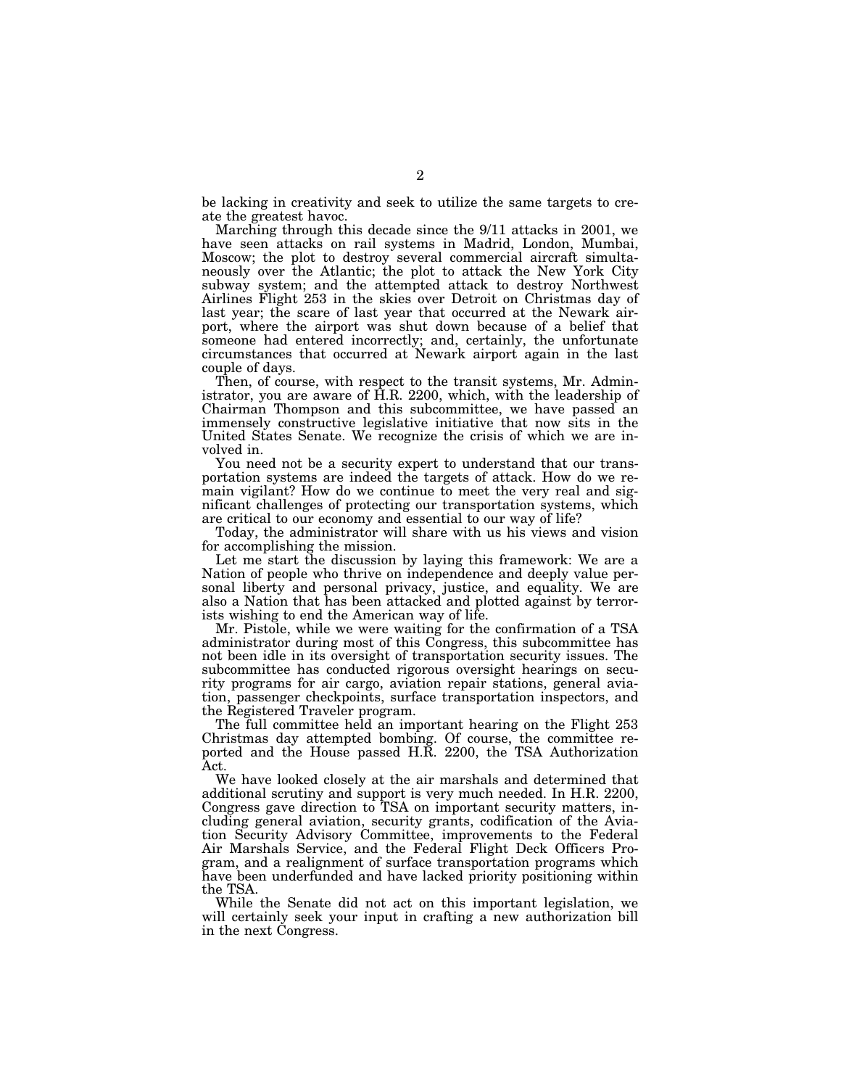be lacking in creativity and seek to utilize the same targets to create the greatest havoc.

Marching through this decade since the 9/11 attacks in 2001, we have seen attacks on rail systems in Madrid, London, Mumbai, Moscow; the plot to destroy several commercial aircraft simultaneously over the Atlantic; the plot to attack the New York City subway system; and the attempted attack to destroy Northwest Airlines Flight 253 in the skies over Detroit on Christmas day of last year; the scare of last year that occurred at the Newark airport, where the airport was shut down because of a belief that someone had entered incorrectly; and, certainly, the unfortunate circumstances that occurred at Newark airport again in the last couple of days.

Then, of course, with respect to the transit systems, Mr. Administrator, you are aware of H.R. 2200, which, with the leadership of Chairman Thompson and this subcommittee, we have passed an immensely constructive legislative initiative that now sits in the United States Senate. We recognize the crisis of which we are involved in.

You need not be a security expert to understand that our transportation systems are indeed the targets of attack. How do we remain vigilant? How do we continue to meet the very real and significant challenges of protecting our transportation systems, which are critical to our economy and essential to our way of life?

Today, the administrator will share with us his views and vision for accomplishing the mission.

Let me start the discussion by laying this framework: We are a Nation of people who thrive on independence and deeply value personal liberty and personal privacy, justice, and equality. We are also a Nation that has been attacked and plotted against by terrorists wishing to end the American way of life.

Mr. Pistole, while we were waiting for the confirmation of a TSA administrator during most of this Congress, this subcommittee has not been idle in its oversight of transportation security issues. The subcommittee has conducted rigorous oversight hearings on security programs for air cargo, aviation repair stations, general aviation, passenger checkpoints, surface transportation inspectors, and the Registered Traveler program.

The full committee held an important hearing on the Flight 253 Christmas day attempted bombing. Of course, the committee reported and the House passed H.R. 2200, the TSA Authorization Act.

We have looked closely at the air marshals and determined that additional scrutiny and support is very much needed. In H.R. 2200, Congress gave direction to TSA on important security matters, including general aviation, security grants, codification of the Aviation Security Advisory Committee, improvements to the Federal Air Marshals Service, and the Federal Flight Deck Officers Program, and a realignment of surface transportation programs which have been underfunded and have lacked priority positioning within the TSA.

While the Senate did not act on this important legislation, we will certainly seek your input in crafting a new authorization bill in the next Congress.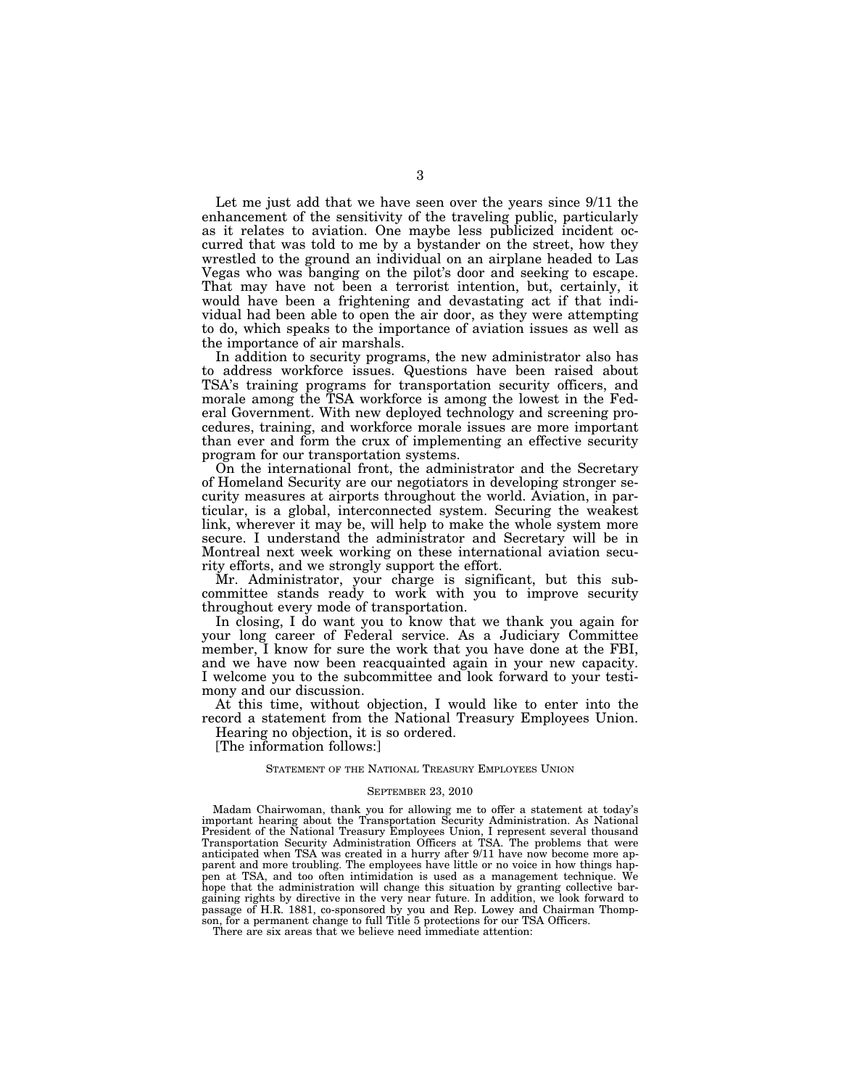Let me just add that we have seen over the years since 9/11 the enhancement of the sensitivity of the traveling public, particularly as it relates to aviation. One maybe less publicized incident occurred that was told to me by a bystander on the street, how they wrestled to the ground an individual on an airplane headed to Las Vegas who was banging on the pilot's door and seeking to escape. That may have not been a terrorist intention, but, certainly, it would have been a frightening and devastating act if that individual had been able to open the air door, as they were attempting to do, which speaks to the importance of aviation issues as well as the importance of air marshals.

In addition to security programs, the new administrator also has to address workforce issues. Questions have been raised about TSA's training programs for transportation security officers, and morale among the TSA workforce is among the lowest in the Federal Government. With new deployed technology and screening procedures, training, and workforce morale issues are more important than ever and form the crux of implementing an effective security program for our transportation systems.

On the international front, the administrator and the Secretary of Homeland Security are our negotiators in developing stronger security measures at airports throughout the world. Aviation, in particular, is a global, interconnected system. Securing the weakest link, wherever it may be, will help to make the whole system more secure. I understand the administrator and Secretary will be in Montreal next week working on these international aviation security efforts, and we strongly support the effort.

Mr. Administrator, your charge is significant, but this subcommittee stands ready to work with you to improve security throughout every mode of transportation.

In closing, I do want you to know that we thank you again for your long career of Federal service. As a Judiciary Committee member, I know for sure the work that you have done at the FBI, and we have now been reacquainted again in your new capacity. I welcome you to the subcommittee and look forward to your testimony and our discussion.

At this time, without objection, I would like to enter into the record a statement from the National Treasury Employees Union.

Hearing no objection, it is so ordered.

[The information follows:]

#### STATEMENT OF THE NATIONAL TREASURY EMPLOYEES UNION

#### SEPTEMBER 23, 2010

Madam Chairwoman, thank you for allowing me to offer a statement at today's important hearing about the Transportation Security Administration. As National President of the National Treasury Employees Union, I represent several thousand Transportation Security Administration Officers at TSA. The problems that were anticipated when TSA was created in a hurry after 9/11 have now become more apparent and more troubling. The employees have little or no voice in how things happen at TSA, and too often intimidation is used as a management technique. We hope that the administration will change this situation by granting collective bargaining rights by directive in the very near future. In addition, we look forward to passage of H.R. 1881, co-sponsored by you and Rep. Lowey and Chairman Thompson, for a permanent change to full Title 5 protections for our TSA Officers.

There are six areas that we believe need immediate attention: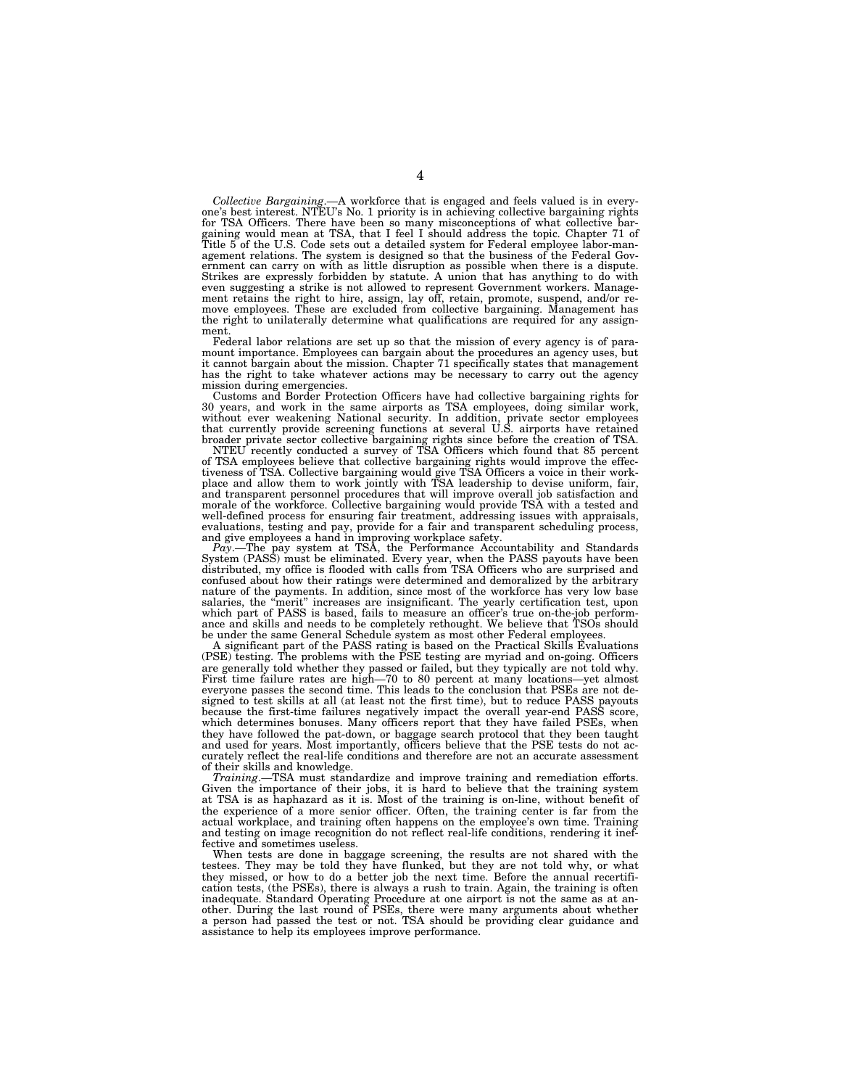Collective Bargaining.—A workforce that is engaged and feels valued is in every-<br>one's best interest. NTEU's No. 1 priority is in achieving collective bargaining rights<br>for TSA Officers. There have been so many misconcepti gaining would mean at TSA, that I feel I should address the topic. Chapter 71 of Title 5 of the U.S. Code sets out a detailed system for Federal employee labor-management relations. The system is designed so that the business of the Federal Government can carry on with as little disruption as possible when there is a dispute. Strikes are expressly forbidden by statute. A union that has anything to do with even suggesting a strike is not allowed to represent Government workers. Management retains the right to hire, assign, lay off, retain, promote, suspend, and/or re-move employees. These are excluded from collective bargaining. Management has the right to unilaterally determine what qualifications are required for any assignment.

Federal labor relations are set up so that the mission of every agency is of paramount importance. Employees can bargain about the procedures an agency uses, but it cannot bargain about the mission. Chapter 71 specifically states that management has the right to take whatever actions may be necessary to carry out the agency

mission during emergencies. Customs and Border Protection Officers have had collective bargaining rights for 30 years, and work in the same airports as TSA employees, doing similar work, without ever weakening National security. In addition, private sector employees that currently provide screening functions at several U.S. airpo

tiveness of TSA. Collective bargaining would give TSA Officers a voice in their work-<br>place and allow them to work jointly with TSA leadership to devise uniform, fair,<br>and transparent personnel procedures that will improve well-defined process for ensuring fair treatment, addressing issues with appraisals,

evaluations, testing and pay, provide for a fair and transparent scheduling process,<br>Pay.—The pay system at TSA, the Performance Accountability and Standards<br>Pay.—The pay system at TSA, the Performance Accountability and S confused about how their ratings were determined and demoralized by the arbitrary nature of the payments. In addition, since most of the workforce has very low base<br>salaries, the "merit" increases are insignificant. The yearly certification test, upon<br>which part of PASS is based, fails to measure an off ance and skills and needs to be completely rethought. We believe that TSOs should be under the same General Schedule system as most other Federal employees.

A significant part of the PASS rating is based on the Practical Skills Evaluations (PSE) testing. The problems with the PSE testing are myriad and on-going. Officers are generally told whether they passed or failed, but they typically are not told why. First time failure rates are high—70 to 80 percent at many locations—yet almost everyone passes the second time. This leads to the conclusion that PSEs are not designed to test skills at all (at least not the first time), but to reduce PASS payouts because the first-time failures negatively impact the overall year-end PASS score, which determines bonuses. Many officers report that they have failed PSEs, when they have followed the pat-down, or baggage search protocol that they been taught and used for years. Most importantly, officers believe that the PSE tests do not accurately reflect the real-life conditions and therefore are not an accurate assessment of their skills and knowledge.

*Training*.—TSA must standardize and improve training and remediation efforts. Given the importance of their jobs, it is hard to believe that the training system at TSA is as haphazard as it is. Most of the training is on-line, without benefit of the experience of a more senior officer. Often, the training center is far from the actual workplace, and training often happens on the employee's own time. Training and testing on image recognition do not reflect real-life conditions, rendering it ineffective and sometimes useless.

When tests are done in baggage screening, the results are not shared with the testees. They may be told they have flunked, but they are not told why, or what they missed, or how to do a better job the next time. Before the annual recertification tests, (the PSEs), there is always a rush to train. Again, the training is often inadequate. Standard Operating Procedure at one airport is not the same as at another. During the last round of PSEs, there were many arguments about whether a person had passed the test or not. TSA should be providing clear guidance and assistance to help its employees improve performance.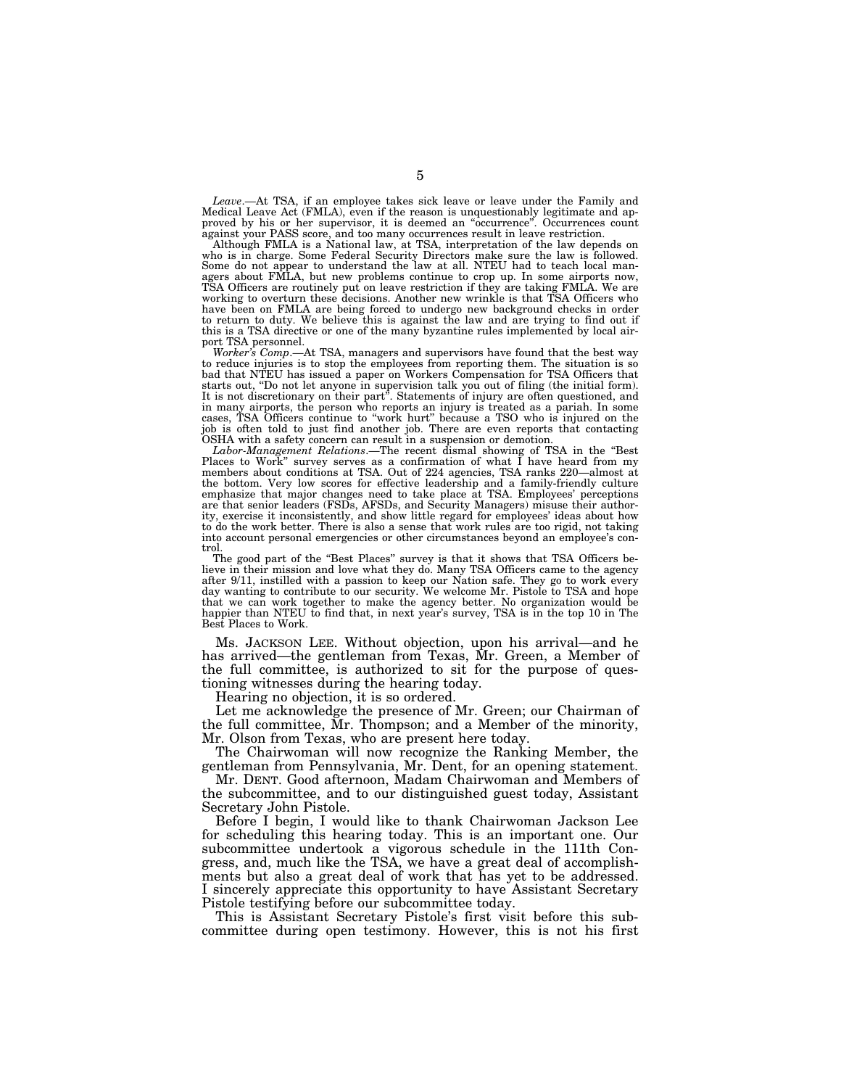*Leave*.—At TSA, if an employee takes sick leave or leave under the Family and Medical Leave Act (FMLA), even if the reason is unquestionably legitimate and ap-proved by his or her supervisor, it is deemed an ''occurrence''. Occurrences count

against your PASS score, and too many occurrences result in leave restriction. Although FMLA is a National law, at TSA, interpretation of the law depends on who is in charge. Some Federal Security Directors make sure the law is followed. Some do not appear to understand the law at all. NTEU had to teach local managers about FMLA, but new problems continue to crop up. In some airports now,<br>TSA Officers are routinely put on leave restriction if they are taking FMLA. We are<br>working to overturn these decisions. Another new wrinkle is have been on FMLA are being forced to undergo new background checks in order to return to duty. We believe this is against the law and are trying to find out if this is a TSA directive or one of the many byzantine rules implemented by local airport TSA personnel.

*Worker's Comp*.—At TSA, managers and supervisors have found that the best way to reduce injuries is to stop the employees from reporting them. The situation is so bad that NTEU has issued a paper on Workers Compensation for TSA Officers that starts out, ''Do not let anyone in supervision talk you out of filing (the initial form). It is not discretionary on their part''. Statements of injury are often questioned, and in many airports, the person who reports an injury is treated as a pariah. In some cases, TSA Officers continue to ''work hurt'' because a TSO who is injured on the job is often told to just find another job. There are even reports that contacting OSHA with a safety concern can result in a suspension or demotion.

Labor-Management Relations.—The recent dismal showing of TSA in the "Best Places to Work" survey serves as a confirmation of what I have heard from my members about conditions at TSA. Out of 224 agencies, TSA ranks 220—almost at the bottom. Very low scores for effective leadership and a family-friendly culture emphasize that major changes need to take place at TSA. Employees' perceptions are that senior leaders (FSDs, AFSDs, and Security Managers) misuse their authority, exercise it inconsistently, and show little regard for employees' ideas about how to do the work better. There is also a sense that work rules are too rigid, not taking into account personal emergencies or other circumstances beyond an employee's control.

The good part of the "Best Places" survey is that it shows that TSA Officers believe in their mission and love what they do. Many TSA Officers came to the agency after 9/11, instilled with a passion to keep our Nation safe. They go to work every day wanting to contribute to our security. We welcome Mr. Pistole to TSA and hope that we can work together to make the agency better. No happier than NTEU to find that, in next year's survey, TSA is in the top 10 in The Best Places to Work.

Ms. JACKSON LEE. Without objection, upon his arrival—and he has arrived—the gentleman from Texas, Mr. Green, a Member of the full committee, is authorized to sit for the purpose of questioning witnesses during the hearing today.

Hearing no objection, it is so ordered.

Let me acknowledge the presence of Mr. Green; our Chairman of the full committee, Mr. Thompson; and a Member of the minority, Mr. Olson from Texas, who are present here today.

The Chairwoman will now recognize the Ranking Member, the gentleman from Pennsylvania, Mr. Dent, for an opening statement.

Mr. DENT. Good afternoon, Madam Chairwoman and Members of the subcommittee, and to our distinguished guest today, Assistant Secretary John Pistole.

Before I begin, I would like to thank Chairwoman Jackson Lee for scheduling this hearing today. This is an important one. Our subcommittee undertook a vigorous schedule in the 111th Congress, and, much like the TSA, we have a great deal of accomplishments but also a great deal of work that has yet to be addressed. I sincerely appreciate this opportunity to have Assistant Secretary Pistole testifying before our subcommittee today.

This is Assistant Secretary Pistole's first visit before this subcommittee during open testimony. However, this is not his first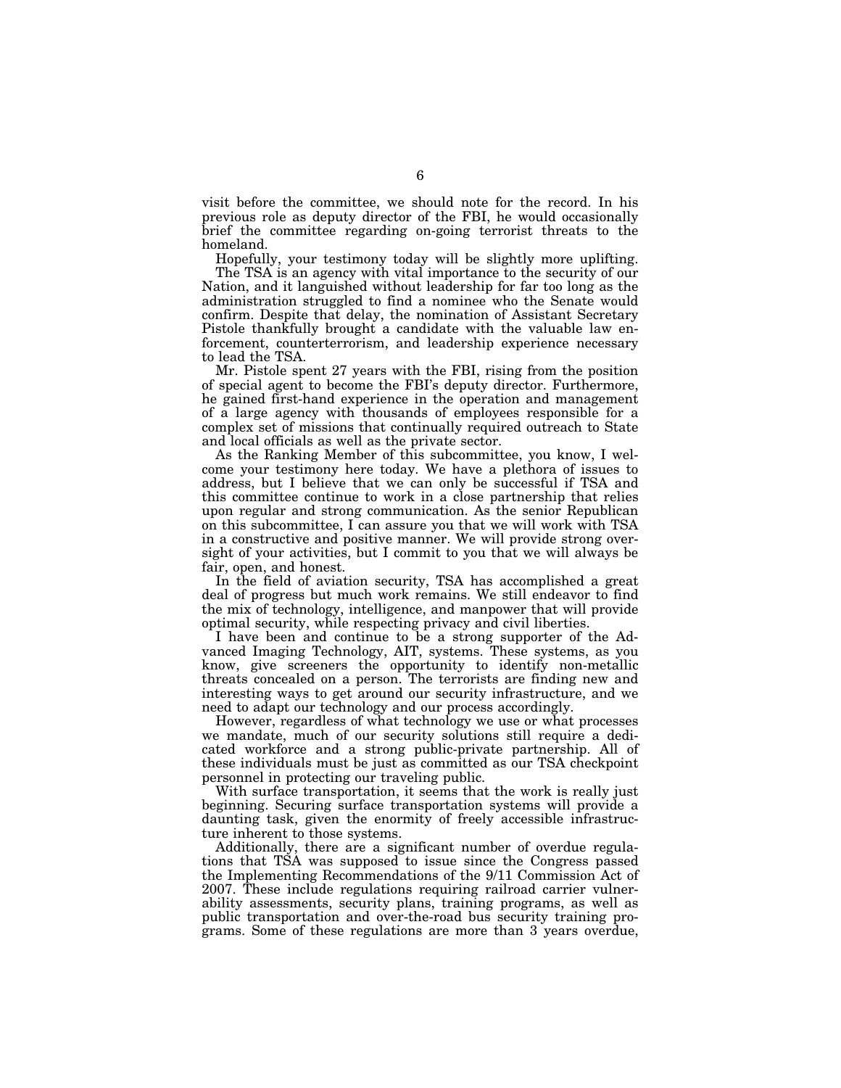visit before the committee, we should note for the record. In his previous role as deputy director of the FBI, he would occasionally brief the committee regarding on-going terrorist threats to the homeland.

Hopefully, your testimony today will be slightly more uplifting.

The TSA is an agency with vital importance to the security of our Nation, and it languished without leadership for far too long as the administration struggled to find a nominee who the Senate would confirm. Despite that delay, the nomination of Assistant Secretary Pistole thankfully brought a candidate with the valuable law enforcement, counterterrorism, and leadership experience necessary to lead the TSA.

Mr. Pistole spent 27 years with the FBI, rising from the position of special agent to become the FBI's deputy director. Furthermore, he gained first-hand experience in the operation and management of a large agency with thousands of employees responsible for a complex set of missions that continually required outreach to State and local officials as well as the private sector.

As the Ranking Member of this subcommittee, you know, I welcome your testimony here today. We have a plethora of issues to address, but I believe that we can only be successful if TSA and this committee continue to work in a close partnership that relies upon regular and strong communication. As the senior Republican on this subcommittee, I can assure you that we will work with TSA in a constructive and positive manner. We will provide strong oversight of your activities, but I commit to you that we will always be fair, open, and honest.

In the field of aviation security, TSA has accomplished a great deal of progress but much work remains. We still endeavor to find the mix of technology, intelligence, and manpower that will provide optimal security, while respecting privacy and civil liberties.

I have been and continue to be a strong supporter of the Advanced Imaging Technology, AIT, systems. These systems, as you know, give screeners the opportunity to identify non-metallic threats concealed on a person. The terrorists are finding new and interesting ways to get around our security infrastructure, and we need to adapt our technology and our process accordingly.

However, regardless of what technology we use or what processes we mandate, much of our security solutions still require a dedicated workforce and a strong public-private partnership. All of these individuals must be just as committed as our TSA checkpoint personnel in protecting our traveling public.

With surface transportation, it seems that the work is really just beginning. Securing surface transportation systems will provide a daunting task, given the enormity of freely accessible infrastructure inherent to those systems.

Additionally, there are a significant number of overdue regulations that TSA was supposed to issue since the Congress passed the Implementing Recommendations of the 9/11 Commission Act of 2007. These include regulations requiring railroad carrier vulnerability assessments, security plans, training programs, as well as public transportation and over-the-road bus security training programs. Some of these regulations are more than 3 years overdue,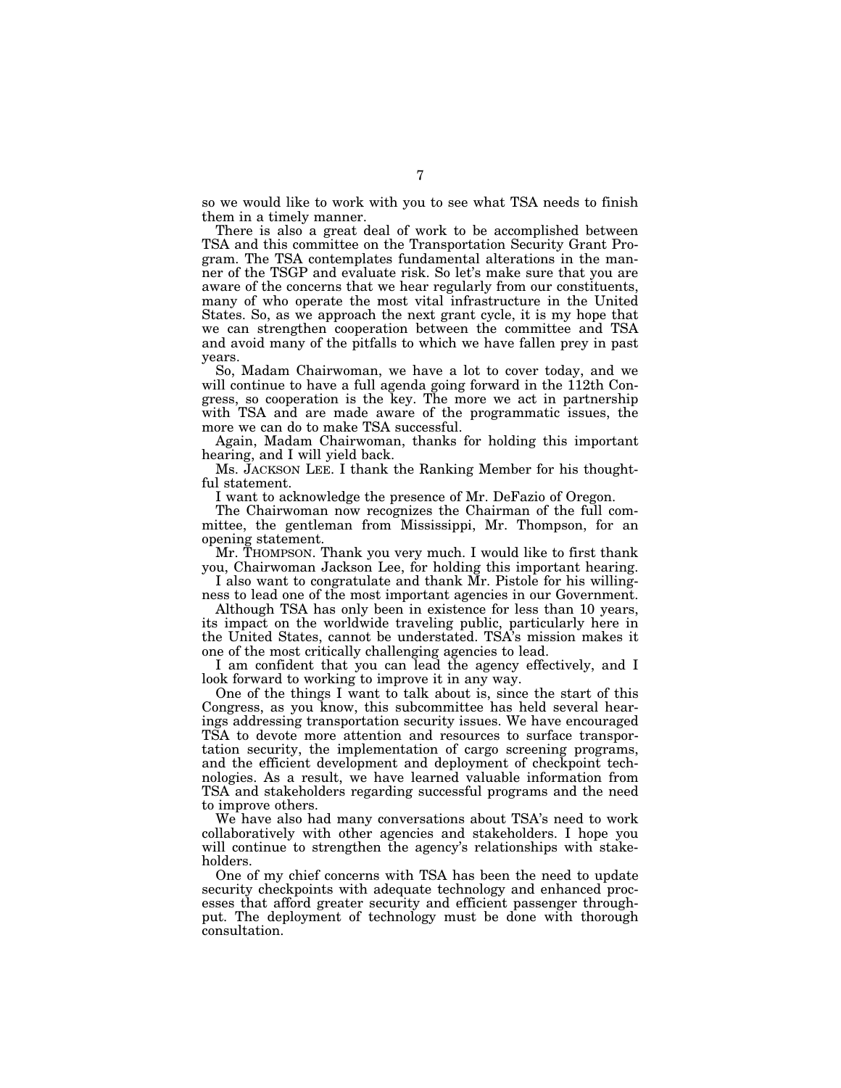so we would like to work with you to see what TSA needs to finish them in a timely manner.

There is also a great deal of work to be accomplished between TSA and this committee on the Transportation Security Grant Program. The TSA contemplates fundamental alterations in the manner of the TSGP and evaluate risk. So let's make sure that you are aware of the concerns that we hear regularly from our constituents, many of who operate the most vital infrastructure in the United States. So, as we approach the next grant cycle, it is my hope that we can strengthen cooperation between the committee and TSA and avoid many of the pitfalls to which we have fallen prey in past years.

So, Madam Chairwoman, we have a lot to cover today, and we will continue to have a full agenda going forward in the 112th Congress, so cooperation is the key. The more we act in partnership with TSA and are made aware of the programmatic issues, the more we can do to make TSA successful.

Again, Madam Chairwoman, thanks for holding this important hearing, and I will yield back.

Ms. JACKSON LEE. I thank the Ranking Member for his thoughtful statement.

I want to acknowledge the presence of Mr. DeFazio of Oregon.

The Chairwoman now recognizes the Chairman of the full committee, the gentleman from Mississippi, Mr. Thompson, for an opening statement.

Mr. THOMPSON. Thank you very much. I would like to first thank you, Chairwoman Jackson Lee, for holding this important hearing.

I also want to congratulate and thank Mr. Pistole for his willingness to lead one of the most important agencies in our Government.

Although TSA has only been in existence for less than 10 years, its impact on the worldwide traveling public, particularly here in the United States, cannot be understated. TSA's mission makes it one of the most critically challenging agencies to lead.

I am confident that you can lead the agency effectively, and I look forward to working to improve it in any way.

One of the things I want to talk about is, since the start of this Congress, as you know, this subcommittee has held several hearings addressing transportation security issues. We have encouraged TSA to devote more attention and resources to surface transportation security, the implementation of cargo screening programs, and the efficient development and deployment of checkpoint technologies. As a result, we have learned valuable information from TSA and stakeholders regarding successful programs and the need to improve others.

We have also had many conversations about TSA's need to work collaboratively with other agencies and stakeholders. I hope you will continue to strengthen the agency's relationships with stakeholders.

One of my chief concerns with TSA has been the need to update security checkpoints with adequate technology and enhanced processes that afford greater security and efficient passenger throughput. The deployment of technology must be done with thorough consultation.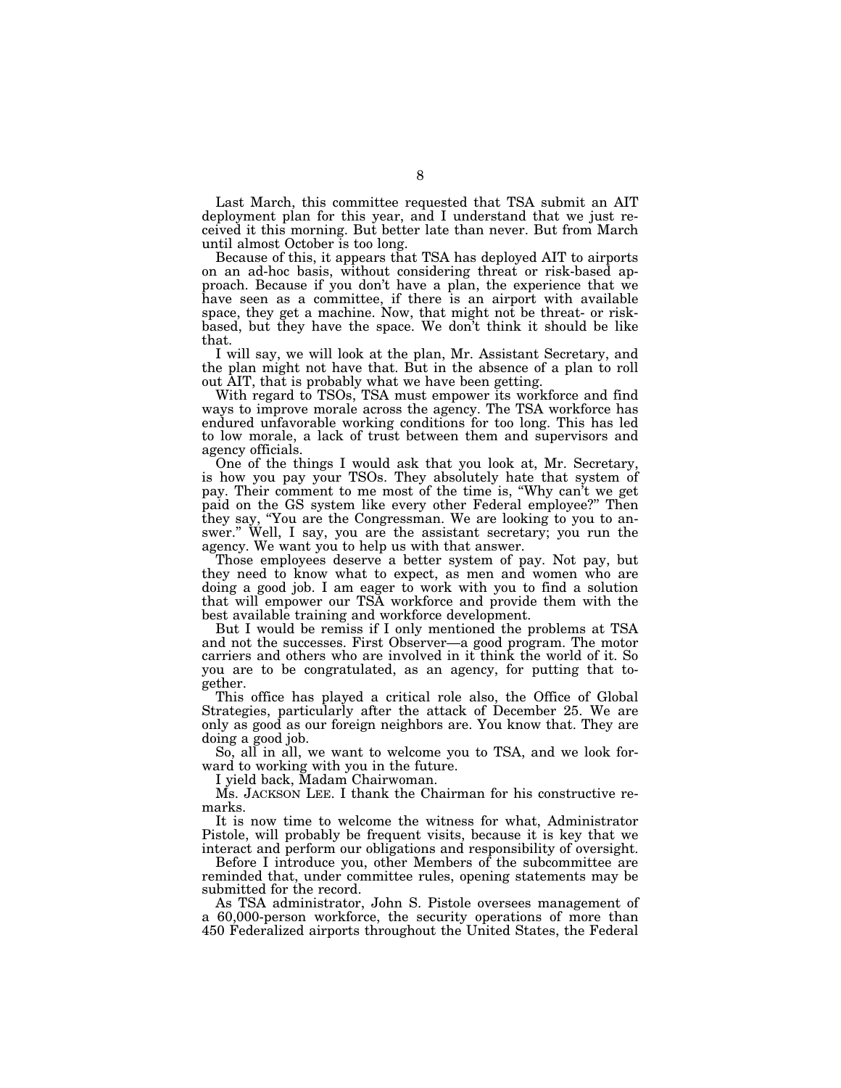Last March, this committee requested that TSA submit an AIT deployment plan for this year, and I understand that we just received it this morning. But better late than never. But from March until almost October is too long.

Because of this, it appears that TSA has deployed AIT to airports on an ad-hoc basis, without considering threat or risk-based approach. Because if you don't have a plan, the experience that we have seen as a committee, if there is an airport with available space, they get a machine. Now, that might not be threat- or riskbased, but they have the space. We don't think it should be like that.

I will say, we will look at the plan, Mr. Assistant Secretary, and the plan might not have that. But in the absence of a plan to roll out AIT, that is probably what we have been getting.

With regard to TSOs, TSA must empower its workforce and find ways to improve morale across the agency. The TSA workforce has endured unfavorable working conditions for too long. This has led to low morale, a lack of trust between them and supervisors and agency officials.

One of the things I would ask that you look at, Mr. Secretary, is how you pay your TSOs. They absolutely hate that system of pay. Their comment to me most of the time is, ''Why can't we get paid on the GS system like every other Federal employee?'' Then they say, ''You are the Congressman. We are looking to you to answer.'' Well, I say, you are the assistant secretary; you run the agency. We want you to help us with that answer.

Those employees deserve a better system of pay. Not pay, but they need to know what to expect, as men and women who are doing a good job. I am eager to work with you to find a solution that will empower our TSA workforce and provide them with the best available training and workforce development.

But I would be remiss if I only mentioned the problems at TSA and not the successes. First Observer—a good program. The motor carriers and others who are involved in it think the world of it. So you are to be congratulated, as an agency, for putting that together.

This office has played a critical role also, the Office of Global Strategies, particularly after the attack of December 25. We are only as good as our foreign neighbors are. You know that. They are doing a good job.

So, all in all, we want to welcome you to TSA, and we look forward to working with you in the future.

I yield back, Madam Chairwoman.

Ms. JACKSON LEE. I thank the Chairman for his constructive remarks.

It is now time to welcome the witness for what, Administrator Pistole, will probably be frequent visits, because it is key that we interact and perform our obligations and responsibility of oversight.

Before I introduce you, other Members of the subcommittee are reminded that, under committee rules, opening statements may be submitted for the record.

As TSA administrator, John S. Pistole oversees management of a 60,000-person workforce, the security operations of more than 450 Federalized airports throughout the United States, the Federal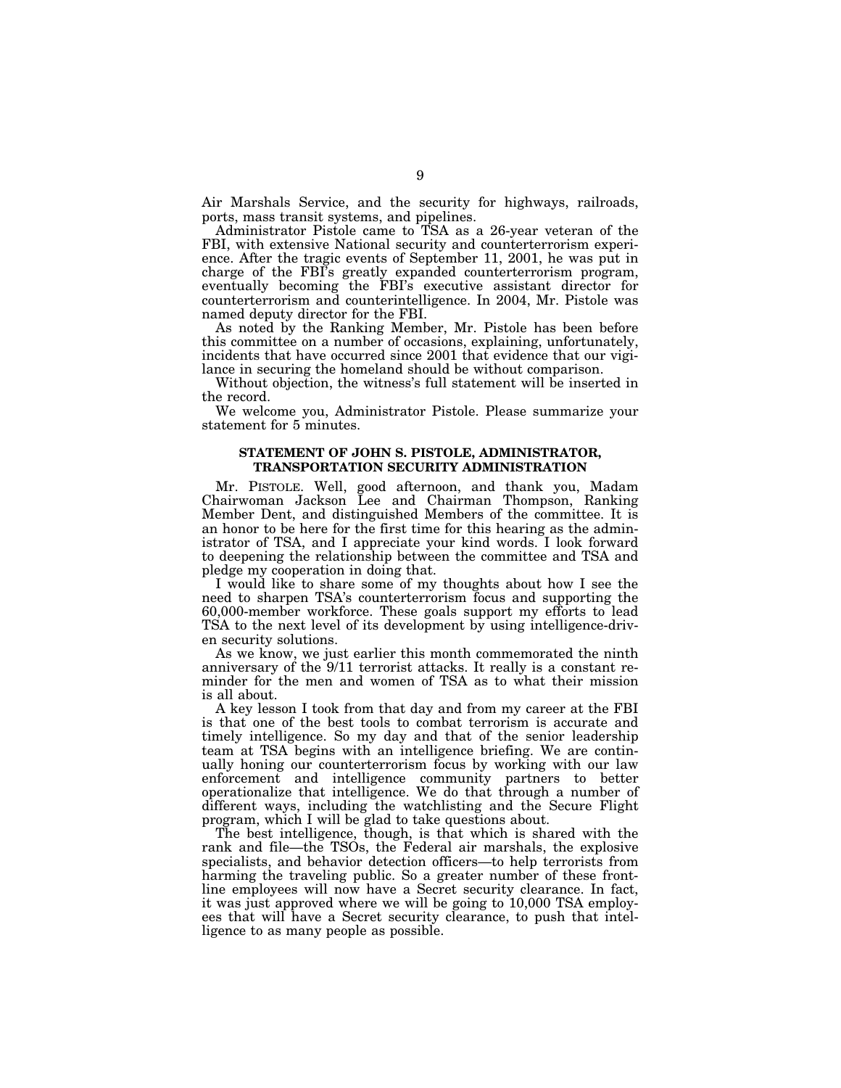Air Marshals Service, and the security for highways, railroads, ports, mass transit systems, and pipelines.

Administrator Pistole came to TSA as a 26-year veteran of the FBI, with extensive National security and counterterrorism experience. After the tragic events of September 11, 2001, he was put in charge of the FBI's greatly expanded counterterrorism program, eventually becoming the FBI's executive assistant director for counterterrorism and counterintelligence. In 2004, Mr. Pistole was named deputy director for the FBI.

As noted by the Ranking Member, Mr. Pistole has been before this committee on a number of occasions, explaining, unfortunately, incidents that have occurred since 2001 that evidence that our vigilance in securing the homeland should be without comparison.

Without objection, the witness's full statement will be inserted in the record.

We welcome you, Administrator Pistole. Please summarize your statement for 5 minutes.

#### **STATEMENT OF JOHN S. PISTOLE, ADMINISTRATOR, TRANSPORTATION SECURITY ADMINISTRATION**

Mr. PISTOLE. Well, good afternoon, and thank you, Madam Chairwoman Jackson Lee and Chairman Thompson, Ranking Member Dent, and distinguished Members of the committee. It is an honor to be here for the first time for this hearing as the administrator of TSA, and I appreciate your kind words. I look forward to deepening the relationship between the committee and TSA and pledge my cooperation in doing that.

I would like to share some of my thoughts about how I see the need to sharpen TSA's counterterrorism focus and supporting the 60,000-member workforce. These goals support my efforts to lead TSA to the next level of its development by using intelligence-driven security solutions.

As we know, we just earlier this month commemorated the ninth anniversary of the 9/11 terrorist attacks. It really is a constant reminder for the men and women of TSA as to what their mission is all about.

A key lesson I took from that day and from my career at the FBI is that one of the best tools to combat terrorism is accurate and timely intelligence. So my day and that of the senior leadership team at TSA begins with an intelligence briefing. We are continually honing our counterterrorism focus by working with our law enforcement and intelligence community partners to better operationalize that intelligence. We do that through a number of different ways, including the watchlisting and the Secure Flight program, which I will be glad to take questions about.

The best intelligence, though, is that which is shared with the rank and file—the TSOs, the Federal air marshals, the explosive specialists, and behavior detection officers—to help terrorists from harming the traveling public. So a greater number of these frontline employees will now have a Secret security clearance. In fact, it was just approved where we will be going to 10,000 TSA employees that will have a Secret security clearance, to push that intelligence to as many people as possible.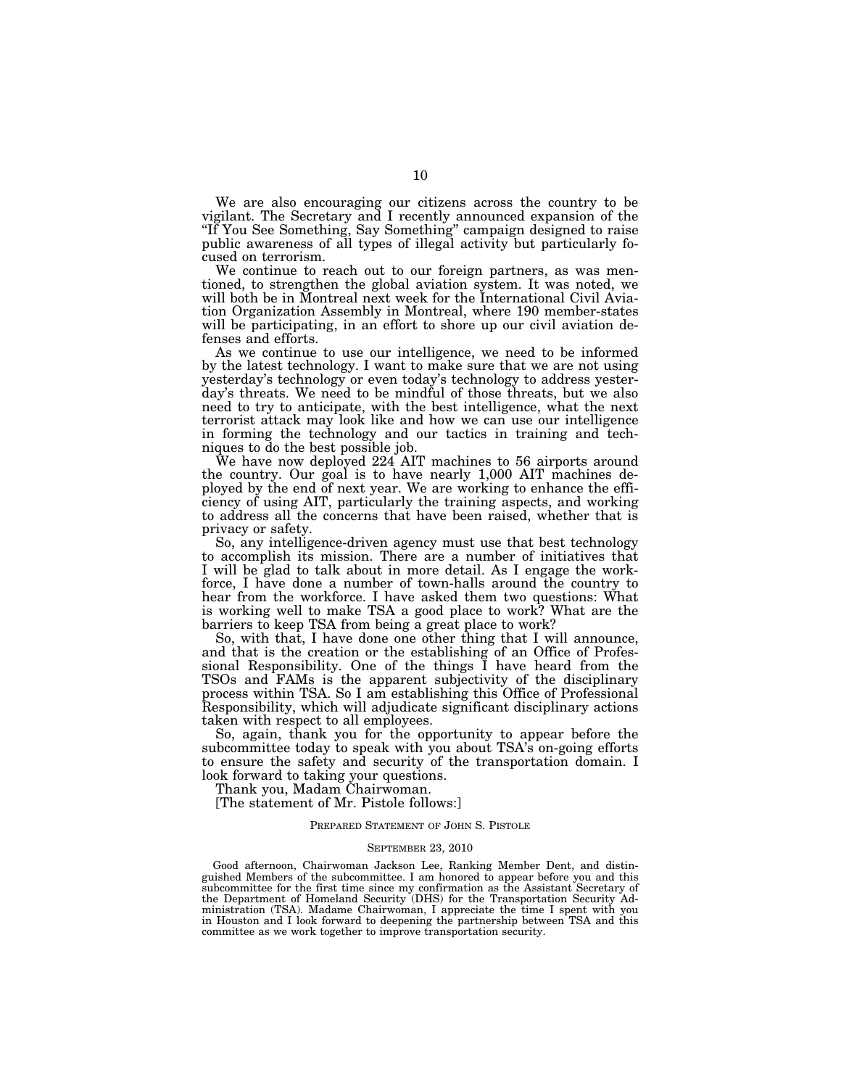We are also encouraging our citizens across the country to be vigilant. The Secretary and I recently announced expansion of the "If You See Something, Say Something" campaign designed to raise public awareness of all types of illegal activity but particularly focused on terrorism.

We continue to reach out to our foreign partners, as was mentioned, to strengthen the global aviation system. It was noted, we will both be in Montreal next week for the International Civil Aviation Organization Assembly in Montreal, where 190 member-states will be participating, in an effort to shore up our civil aviation defenses and efforts.

As we continue to use our intelligence, we need to be informed by the latest technology. I want to make sure that we are not using yesterday's technology or even today's technology to address yesterday's threats. We need to be mindful of those threats, but we also need to try to anticipate, with the best intelligence, what the next terrorist attack may look like and how we can use our intelligence in forming the technology and our tactics in training and techniques to do the best possible job.

We have now deployed 224 AIT machines to 56 airports around the country. Our goal is to have nearly 1,000 AIT machines deployed by the end of next year. We are working to enhance the efficiency of using AIT, particularly the training aspects, and working to address all the concerns that have been raised, whether that is privacy or safety.

So, any intelligence-driven agency must use that best technology to accomplish its mission. There are a number of initiatives that I will be glad to talk about in more detail. As I engage the workforce, I have done a number of town-halls around the country to hear from the workforce. I have asked them two questions: What is working well to make TSA a good place to work? What are the barriers to keep TSA from being a great place to work?

So, with that, I have done one other thing that I will announce, and that is the creation or the establishing of an Office of Professional Responsibility. One of the things I have heard from the TSOs and FAMs is the apparent subjectivity of the disciplinary process within TSA. So I am establishing this Office of Professional Responsibility, which will adjudicate significant disciplinary actions taken with respect to all employees.

So, again, thank you for the opportunity to appear before the subcommittee today to speak with you about TSA's on-going efforts to ensure the safety and security of the transportation domain. I look forward to taking your questions.

Thank you, Madam Chairwoman.

[The statement of Mr. Pistole follows:]

#### PREPARED STATEMENT OF JOHN S. PISTOLE

#### SEPTEMBER 23, 2010

Good afternoon, Chairwoman Jackson Lee, Ranking Member Dent, and distinguished Members of the subcommittee. I am honored to appear before you and this subcommittee for the first time since my confirmation as the Assistant Secretary of the Department of Homeland Security (DHS) for the Transportation Security Administration (TSA). Madame Chairwoman, I appreciate the time I spent with you in Houston and I look forward to deepening the partnership between TSA and this committee as we work together to improve transportation security.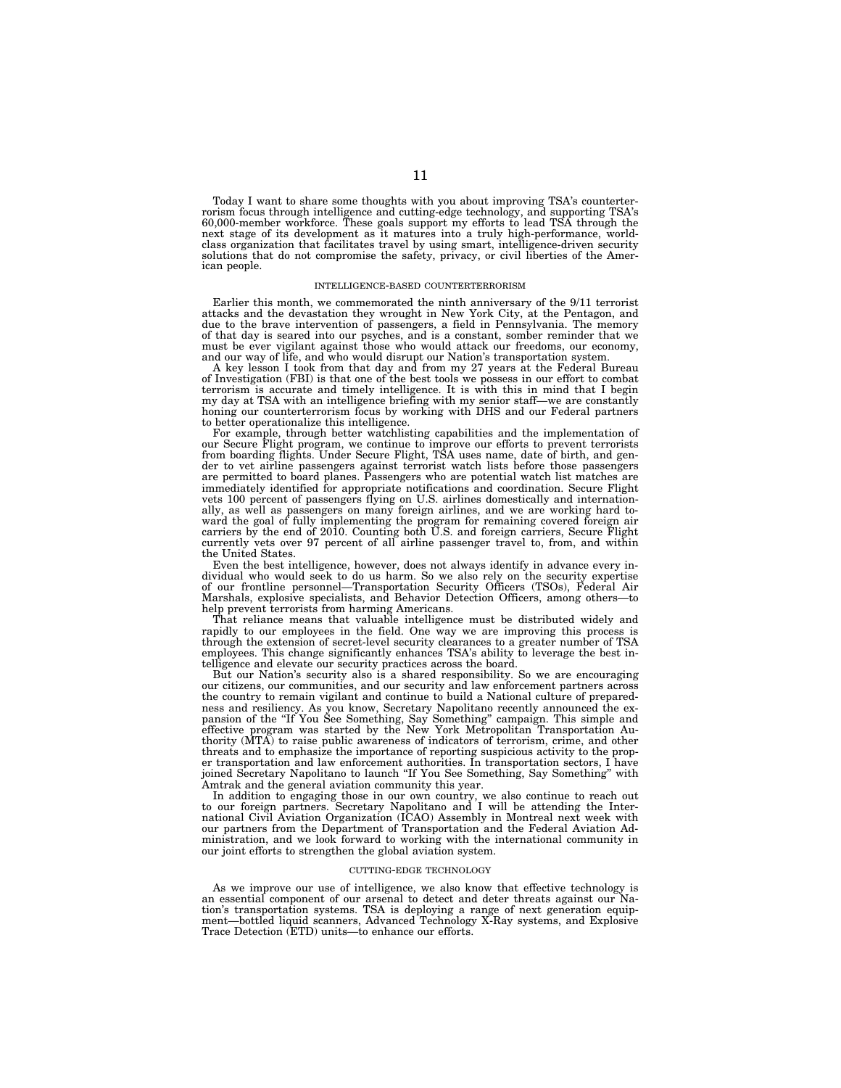Today I want to share some thoughts with you about improving TSA's counterterrorism focus through intelligence and cutting-edge technology, and supporting TSA's 60,000-member workforce. These goals support my efforts to lead TSA through the next stage of its development as it matures into a truly high-performance, worldclass organization that facilitates travel by using smart, intelligence-driven security solutions that do not compromise the safety, privacy, or civil liberties of the American people.

#### INTELLIGENCE-BASED COUNTERTERRORISM

Earlier this month, we commemorated the ninth anniversary of the 9/11 terrorist attacks and the devastation they wrought in New York City, at the Pentagon, and due to the brave intervention of passengers, a field in Pennsylvania. The memory of that day is seared into our psyches, and is a constant, somber reminder that we must be ever vigilant against those who would attack our freedoms, our economy, and our way of life, and who would disrupt our Nation's transportation system.

A key lesson I took from that day and from my 27 years at the Federal Bureau of Investigation (FBI) is that one of the best tools we possess in our effort to combat terrorism is accurate and timely intelligence. It is with this in mind that I begin my day at TSA with an intelligence briefing with my senior staff—we are constantly honing our counterterrorism focus by working with DHS and our Federal partners to better operationalize this intelligence.

For example, through better watchlisting capabilities and the implementation of our Secure Flight program, we continue to improve our efforts to prevent terrorists from boarding flights. Under Secure Flight, TSA uses name, date of birth, and gender to vet airline passengers against terrorist watch lists before those passengers are permitted to board planes. Passengers who are potential watch list matches are immediately identified for appropriate notifications and coordination. Secure Flight vets 100 percent of passengers flying on U.S. airlines domestically and internationally, as well as passengers on many foreign airlines, and we are working hard toward the goal of fully implementing the program for remaining covered foreign air carriers by the end of 2010. Counting both U.S. and foreign carriers, Secure Flight currently vets over 97 percent of all airline passenger travel to, from, and within the United States.

Even the best intelligence, however, does not always identify in advance every individual who would seek to do us harm. So we also rely on the security expertise of our frontline personnel—Transportation Security Officers (TSOs), Federal Air Marshals, explosive specialists, and Behavior Detection Officers, among others—to help prevent terrorists from harming Americans.

That reliance means that valuable intelligence must be distributed widely and rapidly to our employees in the field. One way we are improving this process is through the extension of secret-level security clearances to a greater number of TSA employees. This change significantly enhances TSA's ability to leverage the best intelligence and elevate our security practices across the board.

But our Nation's security also is a shared responsibility. So we are encouraging our citizens, our communities, and our security and law enforcement partners across the country to remain vigilant and continue to build a National culture of preparedness and resiliency. As you know, Secretary Napolitano recently announced the expansion of the ''If You See Something, Say Something'' campaign. This simple and effective program was started by the New York Metropolitan Transportation Authority (MTA) to raise public awareness of indicators of terrorism, crime, and other threats and to emphasize the importance of reporting suspicious activity to the proper transportation and law enforcement authorities. In transportation sectors, I have joined Secretary Napolitano to launch ''If You See Something, Say Something'' with Amtrak and the general aviation community this year.

In addition to engaging those in our own country, we also continue to reach out to our foreign partners. Secretary Napolitano and I will be attending the International Civil Aviation Organization (ICAO) Assembly in Montreal next week with our partners from the Department of Transportation and the Federal Aviation Administration, and we look forward to working with the international community in our joint efforts to strengthen the global aviation system.

#### CUTTING-EDGE TECHNOLOGY

As we improve our use of intelligence, we also know that effective technology is an essential component of our arsenal to detect and deter threats against our Nation's transportation systems. TSA is deploying a range of next generation equip-ment—bottled liquid scanners, Advanced Technology X-Ray systems, and Explosive Trace Detection (ETD) units—to enhance our efforts.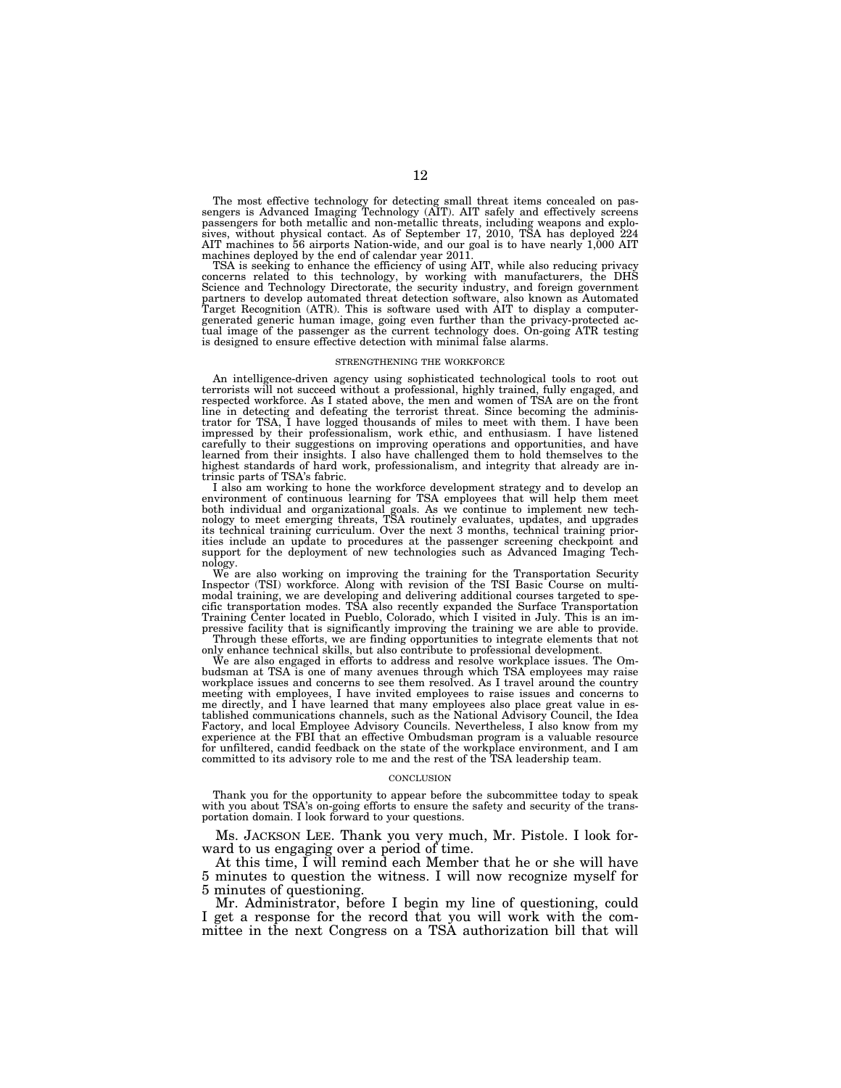The most effective technology for detecting small threat items concealed on passengers is Advanced Imaging Technology (AIT). AIT safely and effectively screens passengers for both metallic and non-metallic threats, includi AIT machines to 56 airports Nation-wide, and our goal is to have nearly 1,000 AIT machines deployed by the end of calendar year 2011.

TSA is seeking to enhance the efficiency of using AIT, while also reducing privacy concerns related to this technology, by working with manufacturers, the DHS Science and Technology Directorate, the security industry, and partners to develop automated threat detection software, also known as Automated Target Recognition (ATR). This is software used with AIT to display a computergenerated generic human image, going even further than the privacy-protected ac-tual image of the passenger as the current technology does. On-going ATR testing is designed to ensure effective detection with minimal false alarms.

#### STRENGTHENING THE WORKFORCE

An intelligence-driven agency using sophisticated technological tools to root out terrorists will not succeed without a professional, highly trained, fully engaged, and respected workforce. As I stated above, the men and women of TSA are on the front line in detecting and defeating the terrorist threat. Since becoming the adminis-trator for TSA, I have logged thousands of miles to meet with them. I have been impressed by their professionalism, work ethic, and enthusiasm. I have listened carefully to their suggestions on improving operations and opportunities, and have learned from their insights. I also have challenged them to hold themselves to the highest standards of hard work, professionalism, and integrity that already are intrinsic parts of TSA's fabric.

I also am working to hone the workforce development strategy and to develop an environment of continuous learning for TSA employees that will help them meet both individual and organizational goals. As we continue to implement new technology to meet emerging threats, TSA routinely evaluates, updates, and upgrades its technical training curriculum. Over the next 3 months, techn support for the deployment of new technologies such as Advanced Imaging Technology.

We are also working on improving the training for the Transportation Security Inspector (TSI) workforce. Along with revision of the TSI Basic Course on multimodal training, we are developing and delivering additional courses targeted to specific transportation modes. TSA also recently expanded the Surface Transportation Training Center located in Pueblo, Colorado, which I visited in July. This is an im-pressive facility that is significantly improving the training we are able to provide. Through these efforts, we are finding opportunities to integrate elements that not only enhance technical skills, but also contribute to professional development.

We are also engaged in efforts to address and resolve workplace issues. The Ombudsman at TSA is one of many avenues through which TSA employees may raise workplace issues and concerns to see them resolved. As I travel around the country meeting with employees, I have invited employees to raise issues and concerns to<br>me directly, and I have learned that many employees also place great value in es-<br>tablished communications channels, such as the National Adv experience at the FBI that an effective Ombudsman program is a valuable resource for unfiltered, candid feedback on the state of the workplace environment, and I am committed to its advisory role to me and the rest of the TSA leadership team.

#### **CONCLUSION**

Thank you for the opportunity to appear before the subcommittee today to speak with you about TSA's on-going efforts to ensure the safety and security of the transportation domain. I look forward to your questions.

Ms. JACKSON LEE. Thank you very much, Mr. Pistole. I look forward to us engaging over a period of time.

At this time, I will remind each Member that he or she will have 5 minutes to question the witness. I will now recognize myself for 5 minutes of questioning.

Mr. Administrator, before I begin my line of questioning, could I get a response for the record that you will work with the committee in the next Congress on a TSA authorization bill that will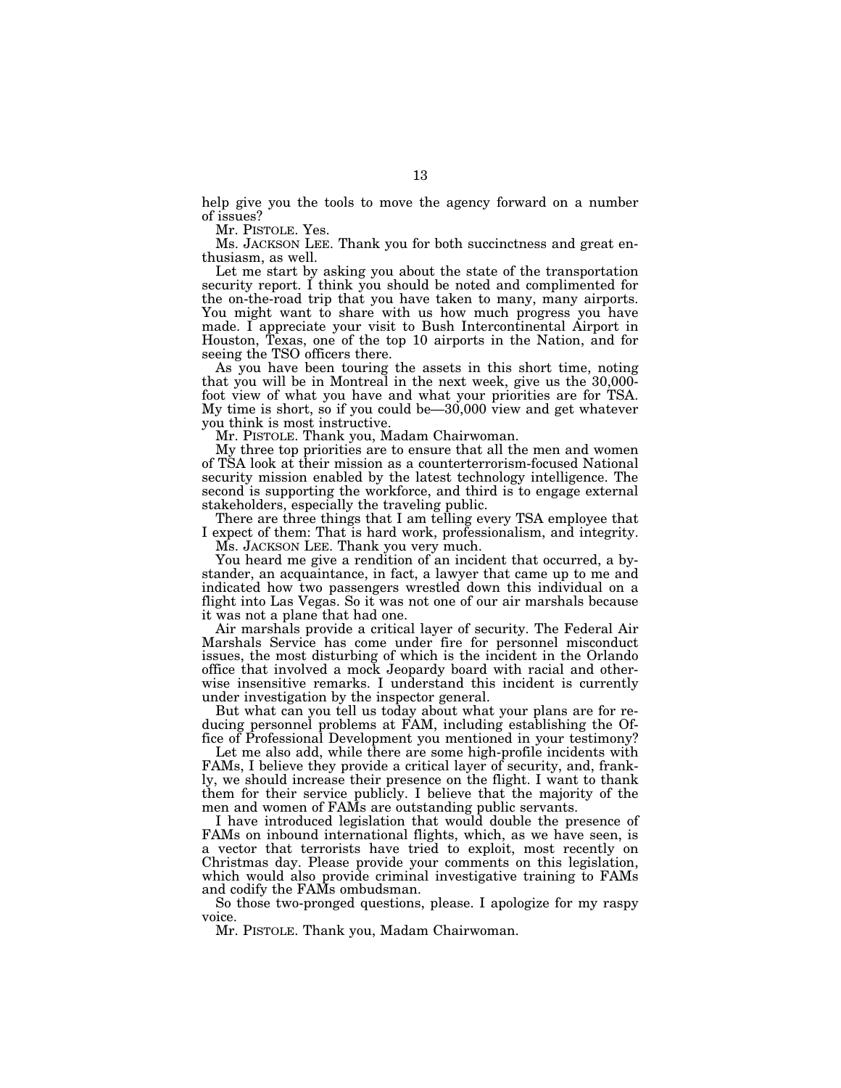help give you the tools to move the agency forward on a number of issues?

Mr. PISTOLE. Yes.

Ms. JACKSON LEE. Thank you for both succinctness and great enthusiasm, as well.

Let me start by asking you about the state of the transportation security report. I think you should be noted and complimented for the on-the-road trip that you have taken to many, many airports. You might want to share with us how much progress you have made. I appreciate your visit to Bush Intercontinental Airport in Houston, Texas, one of the top 10 airports in the Nation, and for seeing the TSO officers there.

As you have been touring the assets in this short time, noting that you will be in Montreal in the next week, give us the 30,000 foot view of what you have and what your priorities are for TSA. My time is short, so if you could be—30,000 view and get whatever you think is most instructive.

Mr. PISTOLE. Thank you, Madam Chairwoman.

My three top priorities are to ensure that all the men and women of TSA look at their mission as a counterterrorism-focused National security mission enabled by the latest technology intelligence. The second is supporting the workforce, and third is to engage external stakeholders, especially the traveling public.

There are three things that I am telling every TSA employee that I expect of them: That is hard work, professionalism, and integrity.

Ms. JACKSON LEE. Thank you very much.

You heard me give a rendition of an incident that occurred, a bystander, an acquaintance, in fact, a lawyer that came up to me and indicated how two passengers wrestled down this individual on a flight into Las Vegas. So it was not one of our air marshals because it was not a plane that had one.

Air marshals provide a critical layer of security. The Federal Air Marshals Service has come under fire for personnel misconduct issues, the most disturbing of which is the incident in the Orlando office that involved a mock Jeopardy board with racial and otherwise insensitive remarks. I understand this incident is currently under investigation by the inspector general.

But what can you tell us today about what your plans are for reducing personnel problems at FAM, including establishing the Office of Professional Development you mentioned in your testimony?

Let me also add, while there are some high-profile incidents with FAMs, I believe they provide a critical layer of security, and, frankly, we should increase their presence on the flight. I want to thank them for their service publicly. I believe that the majority of the men and women of FAMs are outstanding public servants.

I have introduced legislation that would double the presence of FAMs on inbound international flights, which, as we have seen, is a vector that terrorists have tried to exploit, most recently on Christmas day. Please provide your comments on this legislation, which would also provide criminal investigative training to FAMs and codify the FAMs ombudsman.

So those two-pronged questions, please. I apologize for my raspy voice.

Mr. PISTOLE. Thank you, Madam Chairwoman.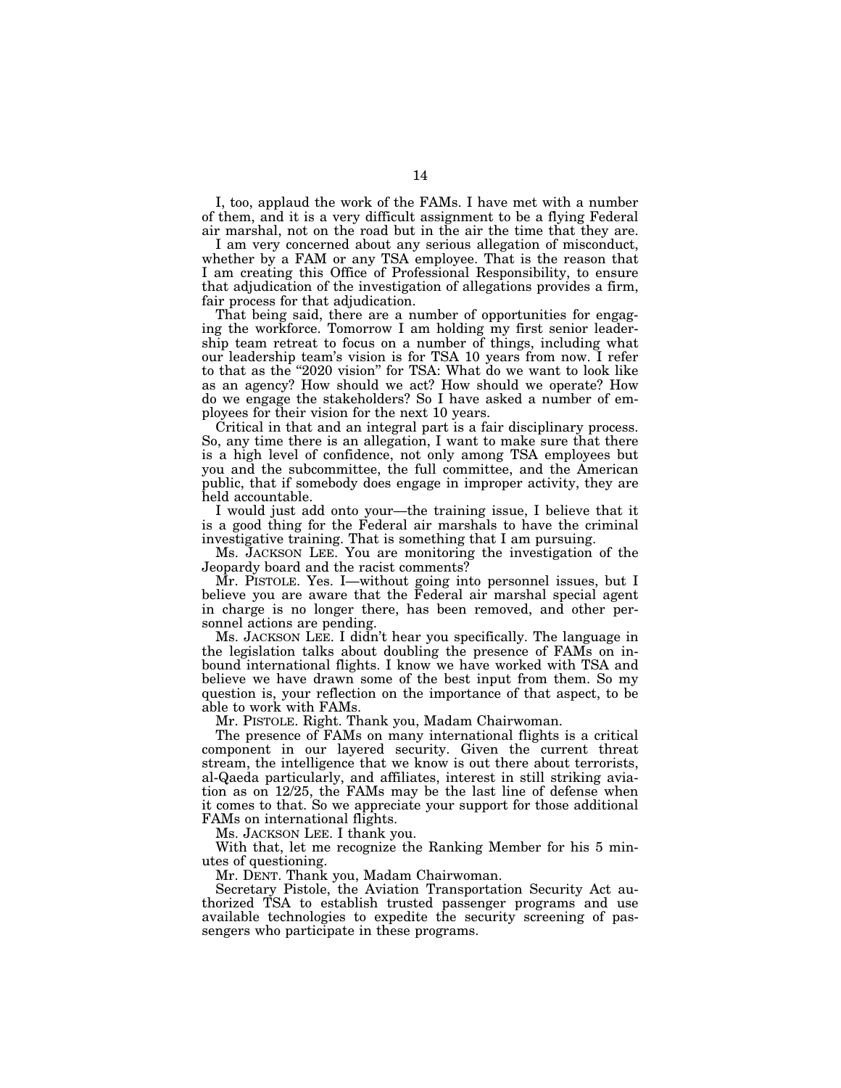I, too, applaud the work of the FAMs. I have met with a number of them, and it is a very difficult assignment to be a flying Federal air marshal, not on the road but in the air the time that they are.

I am very concerned about any serious allegation of misconduct, whether by a FAM or any TSA employee. That is the reason that I am creating this Office of Professional Responsibility, to ensure that adjudication of the investigation of allegations provides a firm, fair process for that adjudication.

That being said, there are a number of opportunities for engaging the workforce. Tomorrow I am holding my first senior leadership team retreat to focus on a number of things, including what our leadership team's vision is for TSA 10 years from now. I refer to that as the ''2020 vision'' for TSA: What do we want to look like as an agency? How should we act? How should we operate? How do we engage the stakeholders? So I have asked a number of employees for their vision for the next 10 years.

Critical in that and an integral part is a fair disciplinary process. So, any time there is an allegation, I want to make sure that there is a high level of confidence, not only among TSA employees but you and the subcommittee, the full committee, and the American public, that if somebody does engage in improper activity, they are held accountable.

I would just add onto your—the training issue, I believe that it is a good thing for the Federal air marshals to have the criminal investigative training. That is something that I am pursuing.

Ms. JACKSON LEE. You are monitoring the investigation of the Jeopardy board and the racist comments?

Mr. PISTOLE. Yes. I—without going into personnel issues, but I believe you are aware that the Federal air marshal special agent in charge is no longer there, has been removed, and other personnel actions are pending.

Ms. JACKSON LEE. I didn't hear you specifically. The language in the legislation talks about doubling the presence of FAMs on inbound international flights. I know we have worked with TSA and believe we have drawn some of the best input from them. So my question is, your reflection on the importance of that aspect, to be able to work with FAMs.

Mr. PISTOLE. Right. Thank you, Madam Chairwoman.

The presence of FAMs on many international flights is a critical component in our layered security. Given the current threat stream, the intelligence that we know is out there about terrorists, al-Qaeda particularly, and affiliates, interest in still striking aviation as on 12/25, the FAMs may be the last line of defense when it comes to that. So we appreciate your support for those additional FAMs on international flights.

Ms. JACKSON LEE. I thank you.

With that, let me recognize the Ranking Member for his 5 minutes of questioning.

Mr. DENT. Thank you, Madam Chairwoman.

Secretary Pistole, the Aviation Transportation Security Act authorized TSA to establish trusted passenger programs and use available technologies to expedite the security screening of passengers who participate in these programs.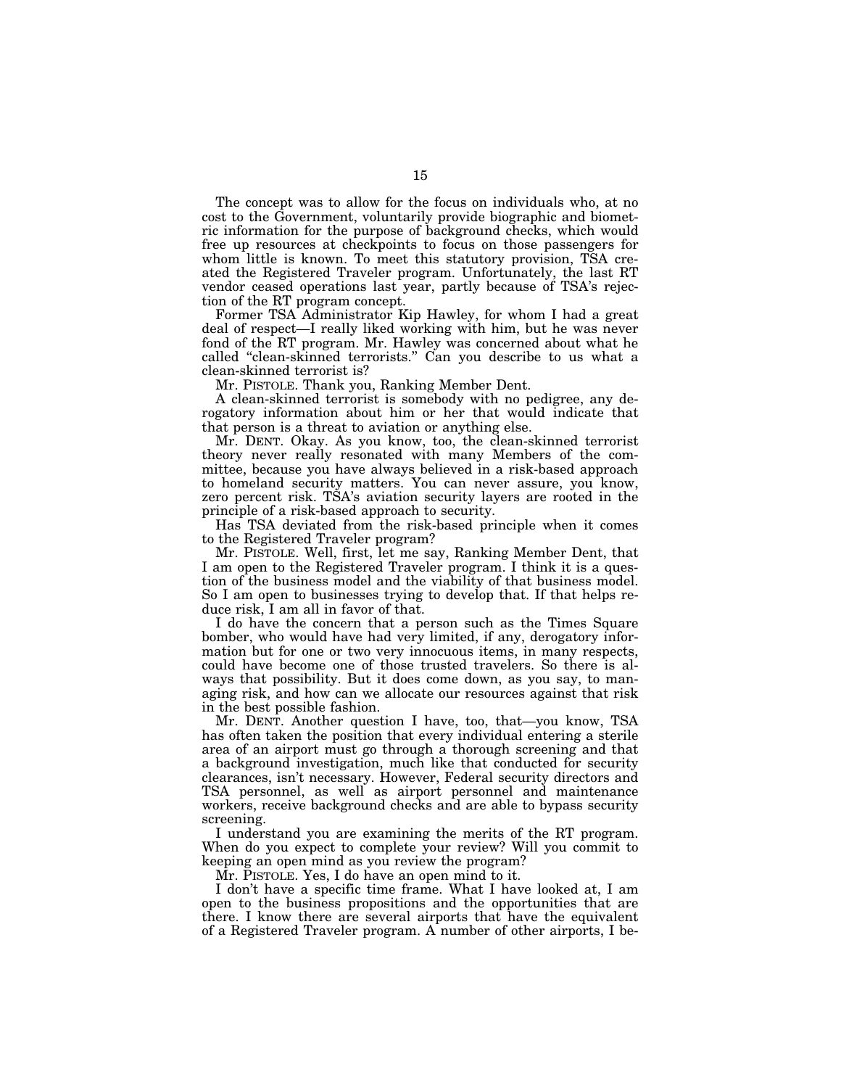The concept was to allow for the focus on individuals who, at no cost to the Government, voluntarily provide biographic and biometric information for the purpose of background checks, which would free up resources at checkpoints to focus on those passengers for whom little is known. To meet this statutory provision, TSA created the Registered Traveler program. Unfortunately, the last RT vendor ceased operations last year, partly because of TSA's rejection of the RT program concept.

Former TSA Administrator Kip Hawley, for whom I had a great deal of respect—I really liked working with him, but he was never fond of the RT program. Mr. Hawley was concerned about what he called ''clean-skinned terrorists.'' Can you describe to us what a clean-skinned terrorist is?

Mr. PISTOLE. Thank you, Ranking Member Dent.

A clean-skinned terrorist is somebody with no pedigree, any derogatory information about him or her that would indicate that that person is a threat to aviation or anything else.

Mr. DENT. Okay. As you know, too, the clean-skinned terrorist theory never really resonated with many Members of the committee, because you have always believed in a risk-based approach to homeland security matters. You can never assure, you know, zero percent risk. TSA's aviation security layers are rooted in the principle of a risk-based approach to security.

Has TSA deviated from the risk-based principle when it comes to the Registered Traveler program?

Mr. PISTOLE. Well, first, let me say, Ranking Member Dent, that I am open to the Registered Traveler program. I think it is a question of the business model and the viability of that business model. So I am open to businesses trying to develop that. If that helps reduce risk, I am all in favor of that.

I do have the concern that a person such as the Times Square bomber, who would have had very limited, if any, derogatory information but for one or two very innocuous items, in many respects, could have become one of those trusted travelers. So there is always that possibility. But it does come down, as you say, to managing risk, and how can we allocate our resources against that risk in the best possible fashion.

Mr. DENT. Another question I have, too, that—you know, TSA has often taken the position that every individual entering a sterile area of an airport must go through a thorough screening and that a background investigation, much like that conducted for security clearances, isn't necessary. However, Federal security directors and TSA personnel, as well as airport personnel and maintenance workers, receive background checks and are able to bypass security screening.

I understand you are examining the merits of the RT program. When do you expect to complete your review? Will you commit to keeping an open mind as you review the program?

Mr. PISTOLE. Yes, I do have an open mind to it.

I don't have a specific time frame. What I have looked at, I am open to the business propositions and the opportunities that are there. I know there are several airports that have the equivalent of a Registered Traveler program. A number of other airports, I be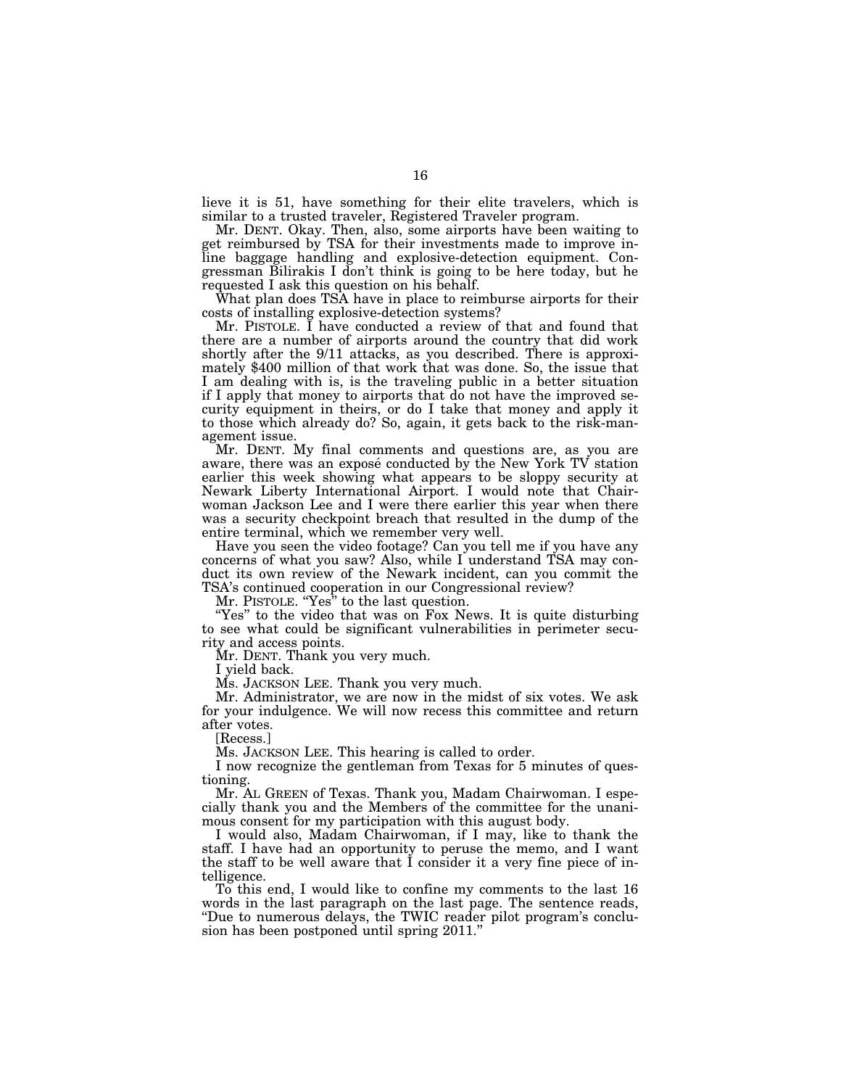lieve it is 51, have something for their elite travelers, which is similar to a trusted traveler, Registered Traveler program.

Mr. DENT. Okay. Then, also, some airports have been waiting to get reimbursed by TSA for their investments made to improve inline baggage handling and explosive-detection equipment. Congressman Bilirakis I don't think is going to be here today, but he requested I ask this question on his behalf.

What plan does TSA have in place to reimburse airports for their costs of installing explosive-detection systems?

Mr. PISTOLE. I have conducted a review of that and found that there are a number of airports around the country that did work shortly after the 9/11 attacks, as you described. There is approximately \$400 million of that work that was done. So, the issue that I am dealing with is, is the traveling public in a better situation if I apply that money to airports that do not have the improved security equipment in theirs, or do I take that money and apply it to those which already do? So, again, it gets back to the risk-management issue.

Mr. DENT. My final comments and questions are, as you are aware, there was an exposé conducted by the New York TV station earlier this week showing what appears to be sloppy security at Newark Liberty International Airport. I would note that Chairwoman Jackson Lee and I were there earlier this year when there was a security checkpoint breach that resulted in the dump of the entire terminal, which we remember very well.

Have you seen the video footage? Can you tell me if you have any concerns of what you saw? Also, while I understand TSA may conduct its own review of the Newark incident, can you commit the TSA's continued cooperation in our Congressional review?

Mr. PISTOLE. ''Yes'' to the last question.

"Yes" to the video that was on Fox News. It is quite disturbing to see what could be significant vulnerabilities in perimeter security and access points.

Mr. DENT. Thank you very much.

I yield back.

Ms. JACKSON LEE. Thank you very much.

Mr. Administrator, we are now in the midst of six votes. We ask for your indulgence. We will now recess this committee and return after votes.

[Recess.]

Ms. JACKSON LEE. This hearing is called to order.

I now recognize the gentleman from Texas for 5 minutes of questioning.

Mr. AL GREEN of Texas. Thank you, Madam Chairwoman. I especially thank you and the Members of the committee for the unanimous consent for my participation with this august body.

I would also, Madam Chairwoman, if I may, like to thank the staff. I have had an opportunity to peruse the memo, and I want the staff to be well aware that I consider it a very fine piece of intelligence.

To this end, I would like to confine my comments to the last 16 words in the last paragraph on the last page. The sentence reads, ''Due to numerous delays, the TWIC reader pilot program's conclusion has been postponed until spring 2011.''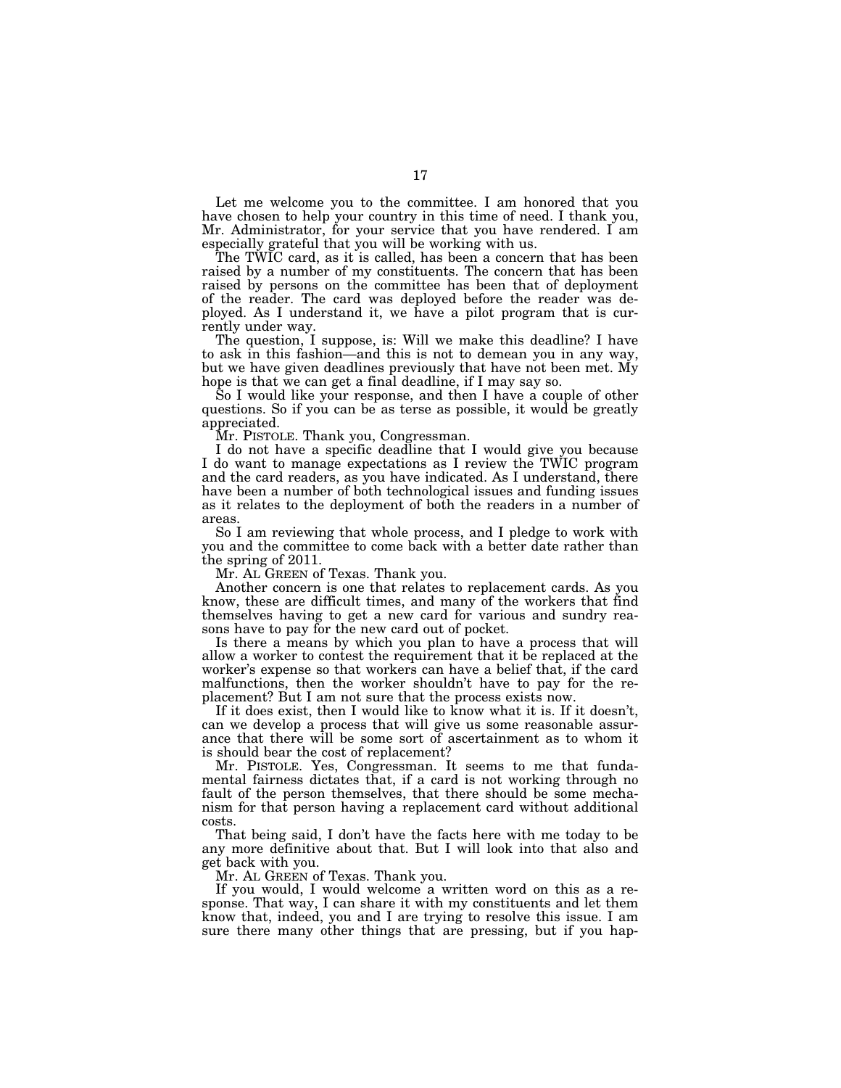Let me welcome you to the committee. I am honored that you have chosen to help your country in this time of need. I thank you, Mr. Administrator, for your service that you have rendered. I am especially grateful that you will be working with us.

The TWIC card, as it is called, has been a concern that has been raised by a number of my constituents. The concern that has been raised by persons on the committee has been that of deployment of the reader. The card was deployed before the reader was deployed. As I understand it, we have a pilot program that is currently under way.

The question, I suppose, is: Will we make this deadline? I have to ask in this fashion—and this is not to demean you in any way, but we have given deadlines previously that have not been met. My hope is that we can get a final deadline, if I may say so.

So I would like your response, and then I have a couple of other questions. So if you can be as terse as possible, it would be greatly appreciated.

Mr. PISTOLE. Thank you, Congressman.

I do not have a specific deadline that I would give you because I do want to manage expectations as I review the TWIC program and the card readers, as you have indicated. As I understand, there have been a number of both technological issues and funding issues as it relates to the deployment of both the readers in a number of areas.

So I am reviewing that whole process, and I pledge to work with you and the committee to come back with a better date rather than the spring of 2011.

Mr. AL GREEN of Texas. Thank you.

Another concern is one that relates to replacement cards. As you know, these are difficult times, and many of the workers that find themselves having to get a new card for various and sundry reasons have to pay for the new card out of pocket.

Is there a means by which you plan to have a process that will allow a worker to contest the requirement that it be replaced at the worker's expense so that workers can have a belief that, if the card malfunctions, then the worker shouldn't have to pay for the replacement? But I am not sure that the process exists now.

If it does exist, then I would like to know what it is. If it doesn't, can we develop a process that will give us some reasonable assurance that there will be some sort of ascertainment as to whom it is should bear the cost of replacement?

Mr. PISTOLE. Yes, Congressman. It seems to me that fundamental fairness dictates that, if a card is not working through no fault of the person themselves, that there should be some mechanism for that person having a replacement card without additional costs.

That being said, I don't have the facts here with me today to be any more definitive about that. But I will look into that also and get back with you.

Mr. AL GREEN of Texas. Thank you.

If you would, I would welcome a written word on this as a response. That way, I can share it with my constituents and let them know that, indeed, you and I are trying to resolve this issue. I am sure there many other things that are pressing, but if you hap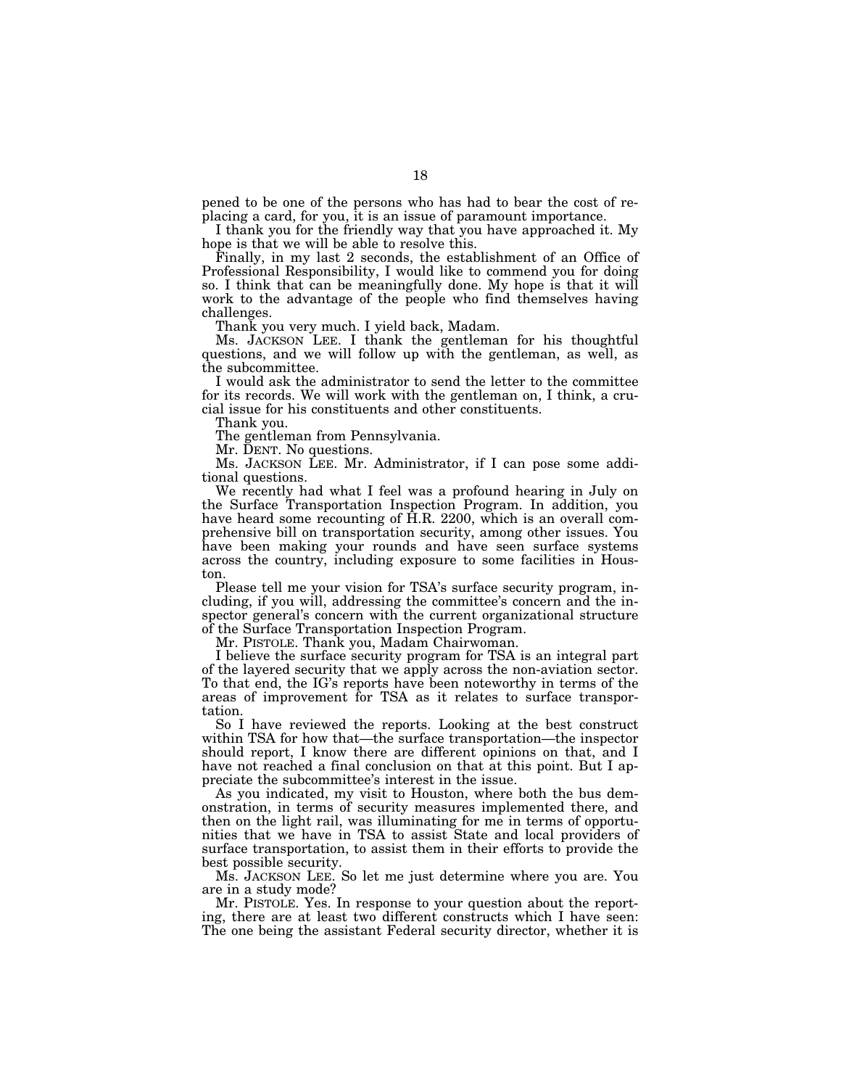pened to be one of the persons who has had to bear the cost of replacing a card, for you, it is an issue of paramount importance.

I thank you for the friendly way that you have approached it. My hope is that we will be able to resolve this.

Finally, in my last 2 seconds, the establishment of an Office of Professional Responsibility, I would like to commend you for doing so. I think that can be meaningfully done. My hope is that it will work to the advantage of the people who find themselves having challenges.

Thank you very much. I yield back, Madam.

Ms. JACKSON LEE. I thank the gentleman for his thoughtful questions, and we will follow up with the gentleman, as well, as the subcommittee.

I would ask the administrator to send the letter to the committee for its records. We will work with the gentleman on, I think, a crucial issue for his constituents and other constituents.

Thank you.

The gentleman from Pennsylvania.

Mr. DENT. No questions.

Ms. JACKSON LEE. Mr. Administrator, if I can pose some additional questions.

We recently had what I feel was a profound hearing in July on the Surface Transportation Inspection Program. In addition, you have heard some recounting of H.R. 2200, which is an overall comprehensive bill on transportation security, among other issues. You have been making your rounds and have seen surface systems across the country, including exposure to some facilities in Houston.

Please tell me your vision for TSA's surface security program, including, if you will, addressing the committee's concern and the inspector general's concern with the current organizational structure of the Surface Transportation Inspection Program.

Mr. PISTOLE. Thank you, Madam Chairwoman.

I believe the surface security program for TSA is an integral part of the layered security that we apply across the non-aviation sector. To that end, the IG's reports have been noteworthy in terms of the areas of improvement for TSA as it relates to surface transportation.

So I have reviewed the reports. Looking at the best construct within TSA for how that—the surface transportation—the inspector should report, I know there are different opinions on that, and I have not reached a final conclusion on that at this point. But I appreciate the subcommittee's interest in the issue.

As you indicated, my visit to Houston, where both the bus demonstration, in terms of security measures implemented there, and then on the light rail, was illuminating for me in terms of opportunities that we have in TSA to assist State and local providers of surface transportation, to assist them in their efforts to provide the best possible security.

Ms. JACKSON LEE. So let me just determine where you are. You are in a study mode?

Mr. PISTOLE. Yes. In response to your question about the reporting, there are at least two different constructs which I have seen: The one being the assistant Federal security director, whether it is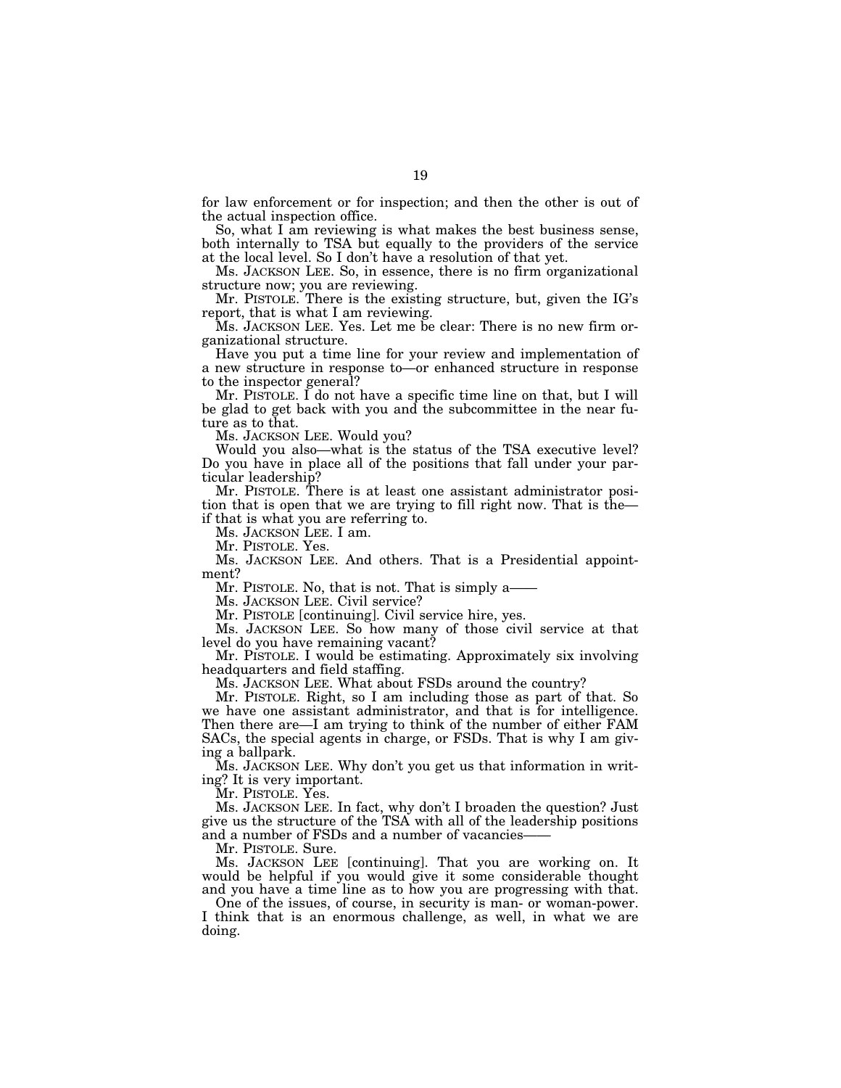for law enforcement or for inspection; and then the other is out of the actual inspection office.

So, what I am reviewing is what makes the best business sense, both internally to TSA but equally to the providers of the service at the local level. So I don't have a resolution of that yet.

Ms. JACKSON LEE. So, in essence, there is no firm organizational structure now; you are reviewing.

Mr. PISTOLE. There is the existing structure, but, given the IG's report, that is what I am reviewing.

Ms. JACKSON LEE. Yes. Let me be clear: There is no new firm organizational structure.

Have you put a time line for your review and implementation of a new structure in response to—or enhanced structure in response to the inspector general?

Mr. PISTOLE. I do not have a specific time line on that, but I will be glad to get back with you and the subcommittee in the near future as to that.

Ms. JACKSON LEE. Would you?

Would you also—what is the status of the TSA executive level? Do you have in place all of the positions that fall under your particular leadership?

Mr. PISTOLE. There is at least one assistant administrator position that is open that we are trying to fill right now. That is the if that is what you are referring to.

Ms. JACKSON LEE. I am.

Mr. PISTOLE. Yes.

Ms. JACKSON LEE. And others. That is a Presidential appointment?

Mr. PISTOLE. No, that is not. That is simply a——

Ms. JACKSON LEE. Civil service?

Mr. PISTOLE [continuing]. Civil service hire, yes.

Ms. JACKSON LEE. So how many of those civil service at that level do you have remaining vacant?

Mr. PISTOLE. I would be estimating. Approximately six involving headquarters and field staffing.

Ms. JACKSON LEE. What about FSDs around the country?

Mr. PISTOLE. Right, so I am including those as part of that. So we have one assistant administrator, and that is for intelligence. Then there are—I am trying to think of the number of either FAM SACs, the special agents in charge, or FSDs. That is why I am giving a ballpark.

Ms. JACKSON LEE. Why don't you get us that information in writing? It is very important.

Mr. PISTOLE. Yes.

Ms. JACKSON LEE. In fact, why don't I broaden the question? Just give us the structure of the TSA with all of the leadership positions and a number of FSDs and a number of vacancies-

Mr. PISTOLE. Sure.

Ms. JACKSON LEE [continuing]. That you are working on. It would be helpful if you would give it some considerable thought and you have a time line as to how you are progressing with that.

One of the issues, of course, in security is man- or woman-power. I think that is an enormous challenge, as well, in what we are doing.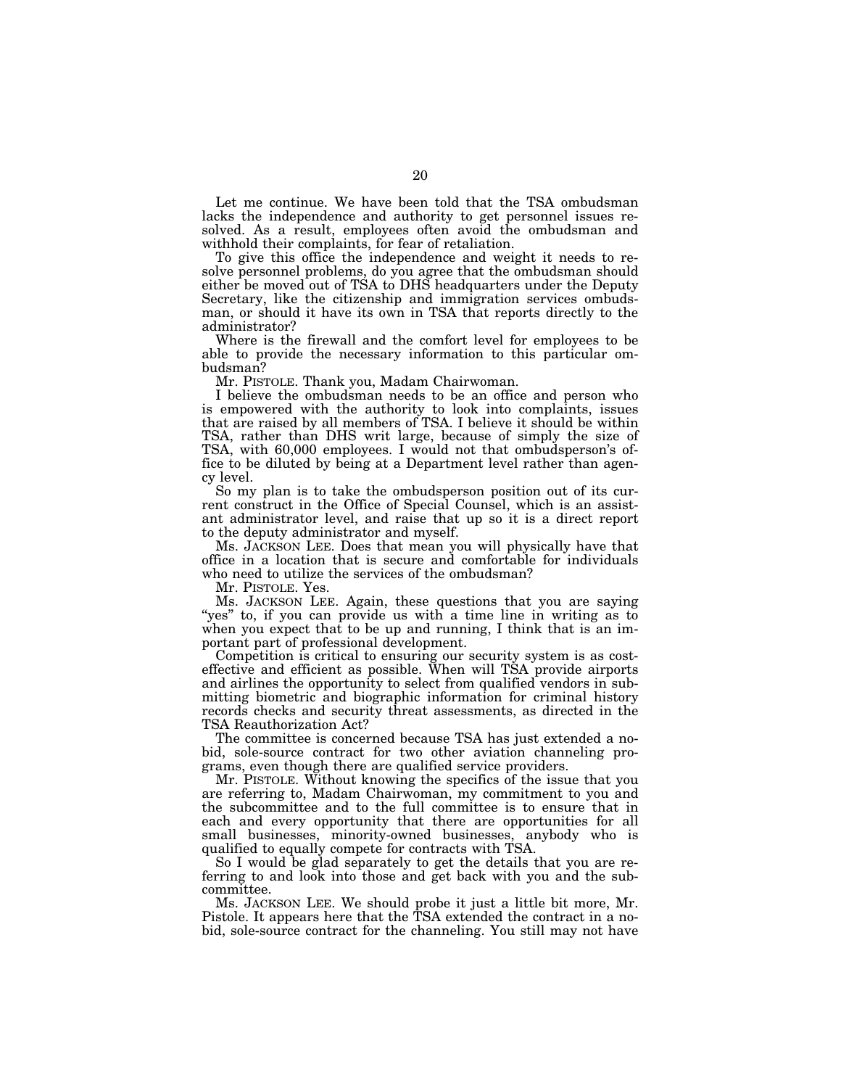Let me continue. We have been told that the TSA ombudsman lacks the independence and authority to get personnel issues resolved. As a result, employees often avoid the ombudsman and withhold their complaints, for fear of retaliation.

To give this office the independence and weight it needs to resolve personnel problems, do you agree that the ombudsman should either be moved out of TSA to DHS headquarters under the Deputy Secretary, like the citizenship and immigration services ombudsman, or should it have its own in TSA that reports directly to the administrator?

Where is the firewall and the comfort level for employees to be able to provide the necessary information to this particular ombudsman?

Mr. PISTOLE. Thank you, Madam Chairwoman.

I believe the ombudsman needs to be an office and person who is empowered with the authority to look into complaints, issues that are raised by all members of TSA. I believe it should be within TSA, rather than DHS writ large, because of simply the size of TSA, with 60,000 employees. I would not that ombudsperson's office to be diluted by being at a Department level rather than agency level.

So my plan is to take the ombudsperson position out of its current construct in the Office of Special Counsel, which is an assistant administrator level, and raise that up so it is a direct report to the deputy administrator and myself.

Ms. JACKSON LEE. Does that mean you will physically have that office in a location that is secure and comfortable for individuals who need to utilize the services of the ombudsman?

Mr. PISTOLE. Yes.

Ms. JACKSON LEE. Again, these questions that you are saying "yes" to, if you can provide us with a time line in writing as to when you expect that to be up and running, I think that is an important part of professional development.

Competition is critical to ensuring our security system is as costeffective and efficient as possible. When will TSA provide airports and airlines the opportunity to select from qualified vendors in submitting biometric and biographic information for criminal history records checks and security threat assessments, as directed in the TSA Reauthorization Act?

The committee is concerned because TSA has just extended a nobid, sole-source contract for two other aviation channeling programs, even though there are qualified service providers.

Mr. PISTOLE. Without knowing the specifics of the issue that you are referring to, Madam Chairwoman, my commitment to you and the subcommittee and to the full committee is to ensure that in each and every opportunity that there are opportunities for all small businesses, minority-owned businesses, anybody who is qualified to equally compete for contracts with TSA.

So I would be glad separately to get the details that you are referring to and look into those and get back with you and the subcommittee.

Ms. JACKSON LEE. We should probe it just a little bit more, Mr. Pistole. It appears here that the TSA extended the contract in a nobid, sole-source contract for the channeling. You still may not have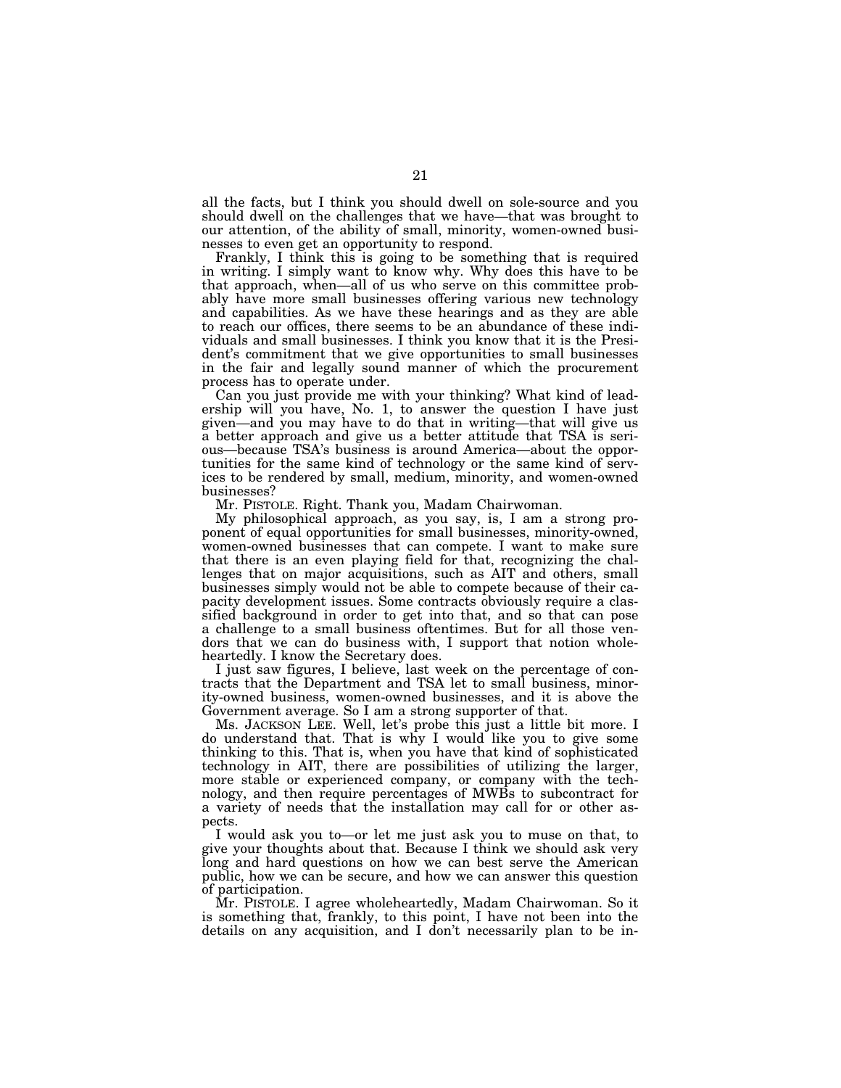all the facts, but I think you should dwell on sole-source and you should dwell on the challenges that we have—that was brought to our attention, of the ability of small, minority, women-owned businesses to even get an opportunity to respond.

Frankly, I think this is going to be something that is required in writing. I simply want to know why. Why does this have to be that approach, when—all of us who serve on this committee probably have more small businesses offering various new technology and capabilities. As we have these hearings and as they are able to reach our offices, there seems to be an abundance of these individuals and small businesses. I think you know that it is the President's commitment that we give opportunities to small businesses in the fair and legally sound manner of which the procurement process has to operate under.

Can you just provide me with your thinking? What kind of leadership will you have, No. 1, to answer the question I have just given—and you may have to do that in writing—that will give us a better approach and give us a better attitude that TSA is serious—because TSA's business is around America—about the opportunities for the same kind of technology or the same kind of services to be rendered by small, medium, minority, and women-owned businesses?

Mr. PISTOLE. Right. Thank you, Madam Chairwoman.

My philosophical approach, as you say, is, I am a strong proponent of equal opportunities for small businesses, minority-owned, women-owned businesses that can compete. I want to make sure that there is an even playing field for that, recognizing the challenges that on major acquisitions, such as AIT and others, small businesses simply would not be able to compete because of their capacity development issues. Some contracts obviously require a classified background in order to get into that, and so that can pose a challenge to a small business oftentimes. But for all those vendors that we can do business with, I support that notion wholeheartedly. I know the Secretary does.

I just saw figures, I believe, last week on the percentage of contracts that the Department and TSA let to small business, minority-owned business, women-owned businesses, and it is above the Government average. So I am a strong supporter of that.

Ms. JACKSON LEE. Well, let's probe this just a little bit more. I do understand that. That is why I would like you to give some thinking to this. That is, when you have that kind of sophisticated technology in AIT, there are possibilities of utilizing the larger, more stable or experienced company, or company with the technology, and then require percentages of MWBs to subcontract for a variety of needs that the installation may call for or other aspects.

I would ask you to—or let me just ask you to muse on that, to give your thoughts about that. Because I think we should ask very long and hard questions on how we can best serve the American public, how we can be secure, and how we can answer this question of participation.

Mr. PISTOLE. I agree wholeheartedly, Madam Chairwoman. So it is something that, frankly, to this point, I have not been into the details on any acquisition, and I don't necessarily plan to be in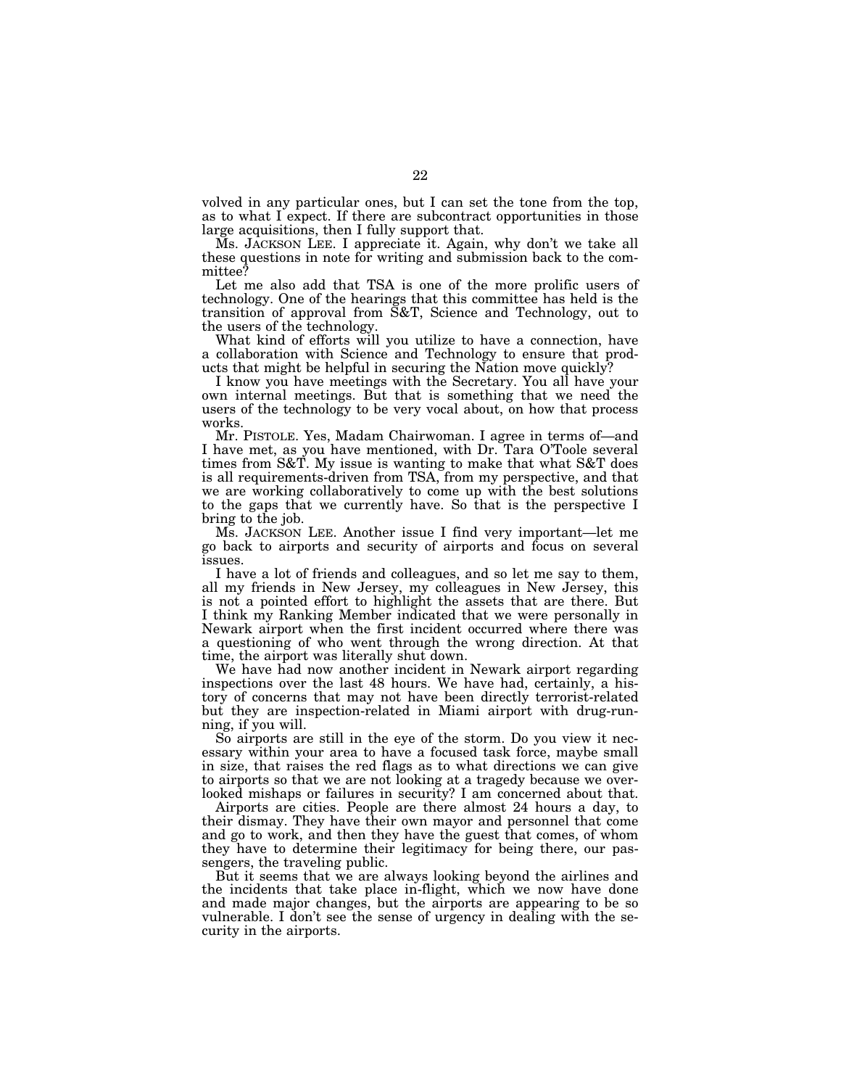volved in any particular ones, but I can set the tone from the top, as to what I expect. If there are subcontract opportunities in those large acquisitions, then I fully support that.

Ms. JACKSON LEE. I appreciate it. Again, why don't we take all these questions in note for writing and submission back to the committee?

Let me also add that TSA is one of the more prolific users of technology. One of the hearings that this committee has held is the transition of approval from S&T, Science and Technology, out to the users of the technology.

What kind of efforts will you utilize to have a connection, have a collaboration with Science and Technology to ensure that products that might be helpful in securing the Nation move quickly?

I know you have meetings with the Secretary. You all have your own internal meetings. But that is something that we need the users of the technology to be very vocal about, on how that process works.

Mr. PISTOLE. Yes, Madam Chairwoman. I agree in terms of—and I have met, as you have mentioned, with Dr. Tara O'Toole several times from S&T. My issue is wanting to make that what S&T does is all requirements-driven from TSA, from my perspective, and that we are working collaboratively to come up with the best solutions to the gaps that we currently have. So that is the perspective I bring to the job.

Ms. JACKSON LEE. Another issue I find very important—let me go back to airports and security of airports and focus on several issues.

I have a lot of friends and colleagues, and so let me say to them, all my friends in New Jersey, my colleagues in New Jersey, this is not a pointed effort to highlight the assets that are there. But I think my Ranking Member indicated that we were personally in Newark airport when the first incident occurred where there was a questioning of who went through the wrong direction. At that time, the airport was literally shut down.

We have had now another incident in Newark airport regarding inspections over the last 48 hours. We have had, certainly, a history of concerns that may not have been directly terrorist-related but they are inspection-related in Miami airport with drug-running, if you will.

So airports are still in the eye of the storm. Do you view it necessary within your area to have a focused task force, maybe small in size, that raises the red flags as to what directions we can give to airports so that we are not looking at a tragedy because we overlooked mishaps or failures in security? I am concerned about that.

Airports are cities. People are there almost 24 hours a day, to their dismay. They have their own mayor and personnel that come and go to work, and then they have the guest that comes, of whom they have to determine their legitimacy for being there, our passengers, the traveling public.

But it seems that we are always looking beyond the airlines and the incidents that take place in-flight, which we now have done and made major changes, but the airports are appearing to be so vulnerable. I don't see the sense of urgency in dealing with the security in the airports.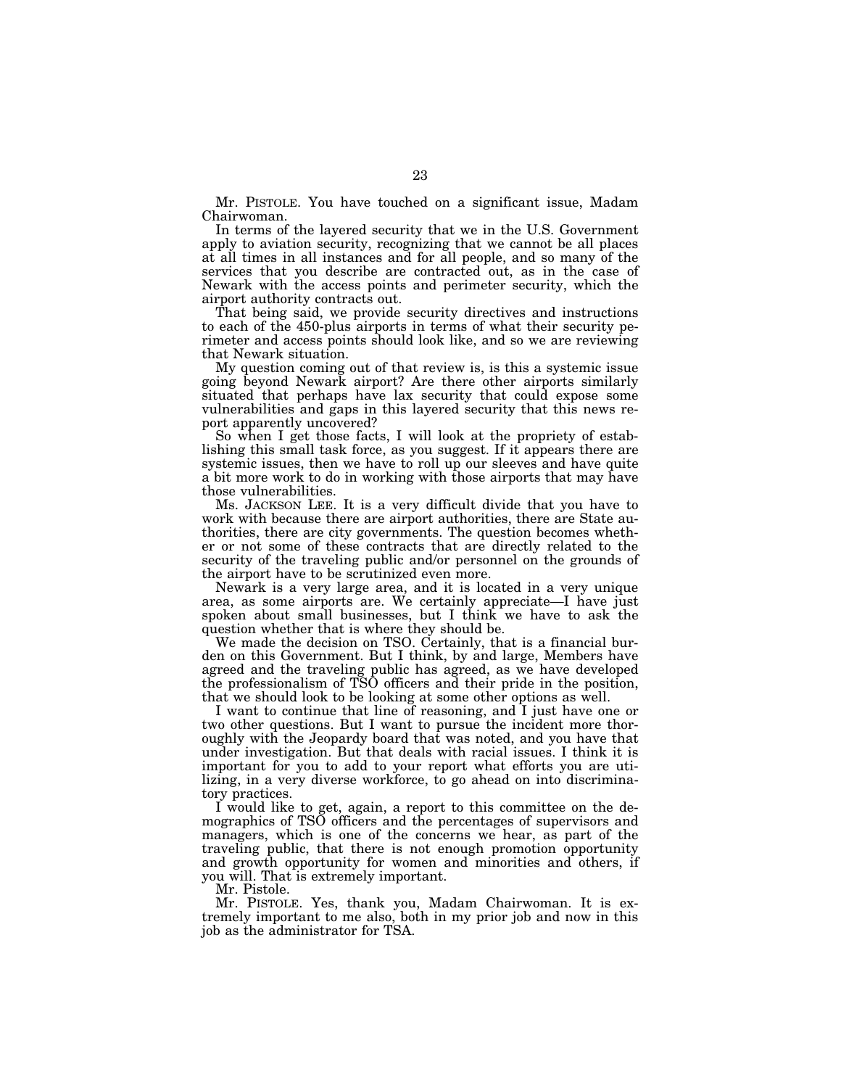Mr. PISTOLE. You have touched on a significant issue, Madam Chairwoman.

In terms of the layered security that we in the U.S. Government apply to aviation security, recognizing that we cannot be all places at all times in all instances and for all people, and so many of the services that you describe are contracted out, as in the case of Newark with the access points and perimeter security, which the airport authority contracts out.

That being said, we provide security directives and instructions to each of the 450-plus airports in terms of what their security perimeter and access points should look like, and so we are reviewing that Newark situation.

My question coming out of that review is, is this a systemic issue going beyond Newark airport? Are there other airports similarly situated that perhaps have lax security that could expose some vulnerabilities and gaps in this layered security that this news report apparently uncovered?

So when I get those facts, I will look at the propriety of establishing this small task force, as you suggest. If it appears there are systemic issues, then we have to roll up our sleeves and have quite a bit more work to do in working with those airports that may have those vulnerabilities.

Ms. JACKSON LEE. It is a very difficult divide that you have to work with because there are airport authorities, there are State authorities, there are city governments. The question becomes whether or not some of these contracts that are directly related to the security of the traveling public and/or personnel on the grounds of the airport have to be scrutinized even more.

Newark is a very large area, and it is located in a very unique area, as some airports are. We certainly appreciate—I have just spoken about small businesses, but I think we have to ask the question whether that is where they should be.

We made the decision on TSO. Certainly, that is a financial burden on this Government. But I think, by and large, Members have agreed and the traveling public has agreed, as we have developed the professionalism of TSO officers and their pride in the position, that we should look to be looking at some other options as well.

I want to continue that line of reasoning, and I just have one or two other questions. But I want to pursue the incident more thoroughly with the Jeopardy board that was noted, and you have that under investigation. But that deals with racial issues. I think it is important for you to add to your report what efforts you are utilizing, in a very diverse workforce, to go ahead on into discriminatory practices.

I would like to get, again, a report to this committee on the demographics of TSO officers and the percentages of supervisors and managers, which is one of the concerns we hear, as part of the traveling public, that there is not enough promotion opportunity and growth opportunity for women and minorities and others, if you will. That is extremely important.

Mr. Pistole.

Mr. PISTOLE. Yes, thank you, Madam Chairwoman. It is extremely important to me also, both in my prior job and now in this job as the administrator for TSA.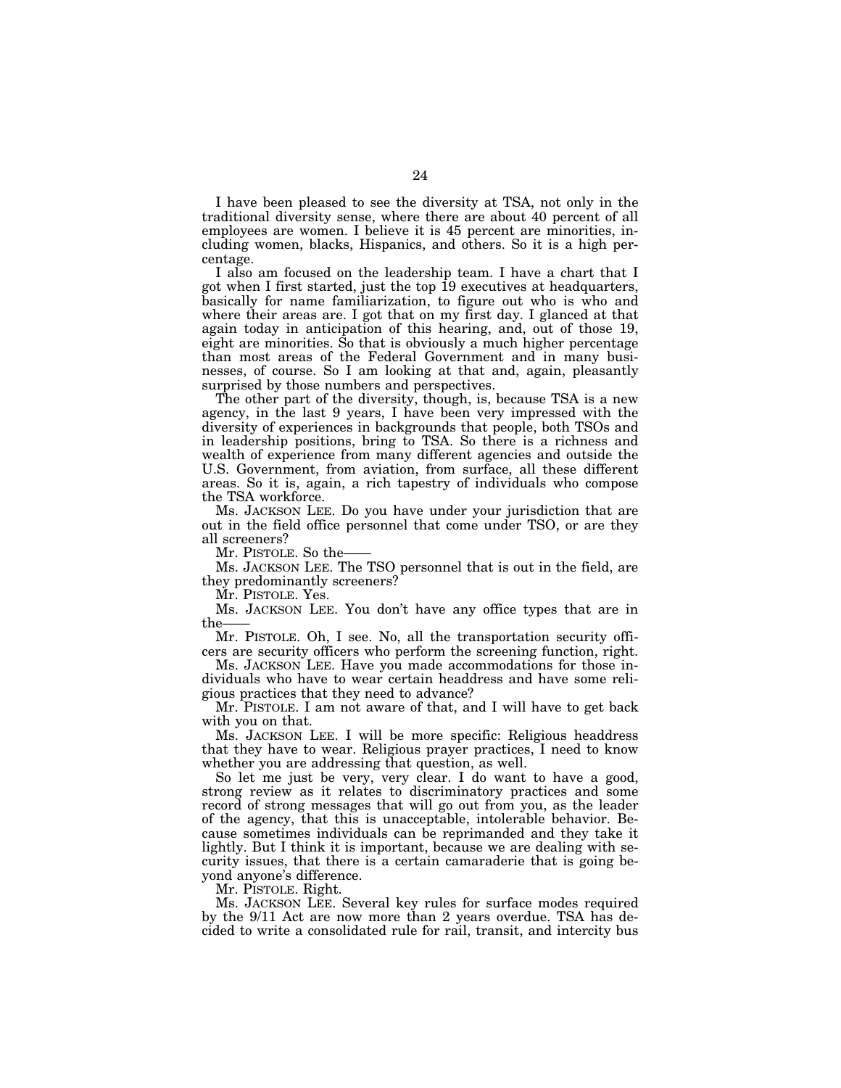I have been pleased to see the diversity at TSA, not only in the traditional diversity sense, where there are about 40 percent of all employees are women. I believe it is 45 percent are minorities, including women, blacks, Hispanics, and others. So it is a high percentage.

I also am focused on the leadership team. I have a chart that I got when I first started, just the top 19 executives at headquarters, basically for name familiarization, to figure out who is who and where their areas are. I got that on my first day. I glanced at that again today in anticipation of this hearing, and, out of those 19, eight are minorities. So that is obviously a much higher percentage than most areas of the Federal Government and in many businesses, of course. So I am looking at that and, again, pleasantly surprised by those numbers and perspectives.

The other part of the diversity, though, is, because TSA is a new agency, in the last 9 years, I have been very impressed with the diversity of experiences in backgrounds that people, both TSOs and in leadership positions, bring to TSA. So there is a richness and wealth of experience from many different agencies and outside the U.S. Government, from aviation, from surface, all these different areas. So it is, again, a rich tapestry of individuals who compose the TSA workforce.

Ms. JACKSON LEE. Do you have under your jurisdiction that are out in the field office personnel that come under TSO, or are they all screeners?

Mr. PISTOLE. So the-

Ms. JACKSON LEE. The TSO personnel that is out in the field, are they predominantly screeners?

Mr. PISTOLE. Yes.

Ms. JACKSON LEE. You don't have any office types that are in the——

Mr. PISTOLE. Oh, I see. No, all the transportation security officers are security officers who perform the screening function, right.

Ms. JACKSON LEE. Have you made accommodations for those individuals who have to wear certain headdress and have some religious practices that they need to advance?

Mr. PISTOLE. I am not aware of that, and I will have to get back with you on that.

Ms. JACKSON LEE. I will be more specific: Religious headdress that they have to wear. Religious prayer practices, I need to know whether you are addressing that question, as well.

So let me just be very, very clear. I do want to have a good, strong review as it relates to discriminatory practices and some record of strong messages that will go out from you, as the leader of the agency, that this is unacceptable, intolerable behavior. Because sometimes individuals can be reprimanded and they take it lightly. But I think it is important, because we are dealing with security issues, that there is a certain camaraderie that is going beyond anyone's difference.

Mr. PISTOLE. Right.

Ms. JACKSON LEE. Several key rules for surface modes required by the 9/11 Act are now more than 2 years overdue. TSA has decided to write a consolidated rule for rail, transit, and intercity bus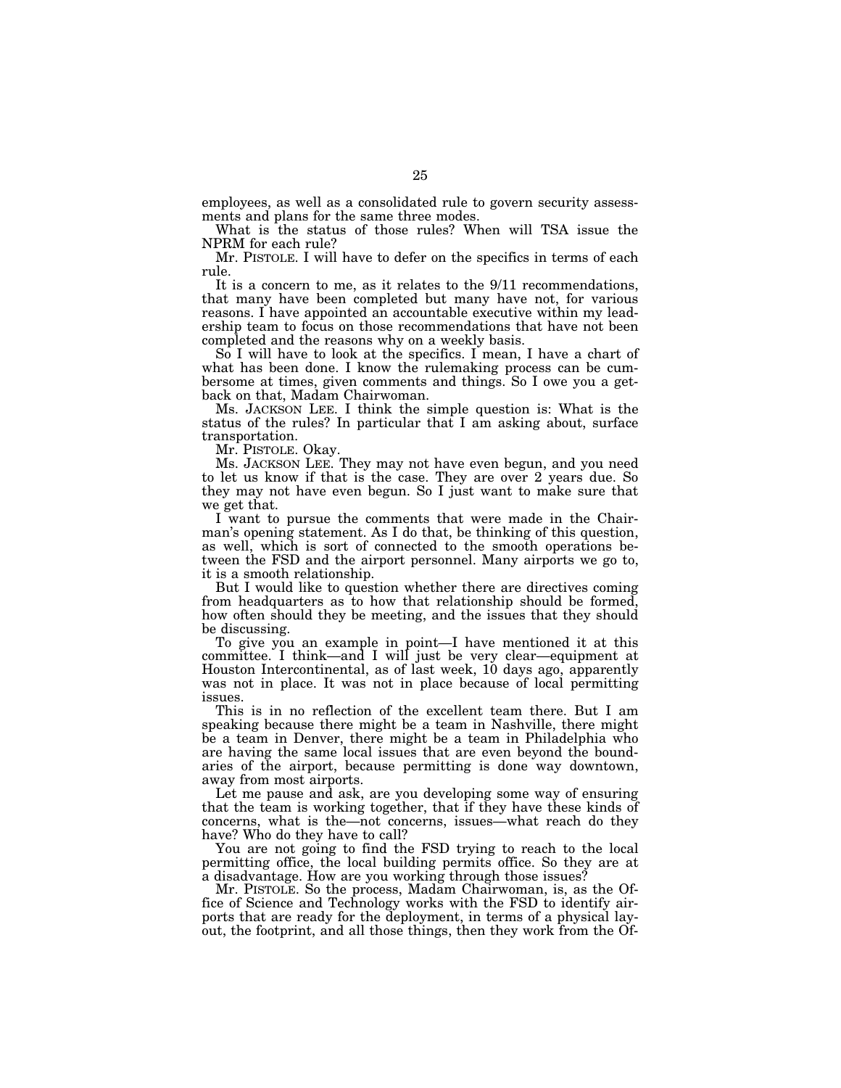employees, as well as a consolidated rule to govern security assessments and plans for the same three modes.

What is the status of those rules? When will TSA issue the NPRM for each rule?

Mr. PISTOLE. I will have to defer on the specifics in terms of each rule.

It is a concern to me, as it relates to the 9/11 recommendations, that many have been completed but many have not, for various reasons. I have appointed an accountable executive within my leadership team to focus on those recommendations that have not been completed and the reasons why on a weekly basis.

So I will have to look at the specifics. I mean, I have a chart of what has been done. I know the rulemaking process can be cumbersome at times, given comments and things. So I owe you a getback on that, Madam Chairwoman.

Ms. JACKSON LEE. I think the simple question is: What is the status of the rules? In particular that I am asking about, surface transportation.

Mr. PISTOLE. Okay.

Ms. JACKSON LEE. They may not have even begun, and you need to let us know if that is the case. They are over  $2$  years due. So they may not have even begun. So I just want to make sure that we get that.

I want to pursue the comments that were made in the Chairman's opening statement. As I do that, be thinking of this question, as well, which is sort of connected to the smooth operations between the FSD and the airport personnel. Many airports we go to, it is a smooth relationship.

But I would like to question whether there are directives coming from headquarters as to how that relationship should be formed, how often should they be meeting, and the issues that they should be discussing.

To give you an example in point—I have mentioned it at this committee. I think—and I will just be very clear—equipment at Houston Intercontinental, as of last week, 10 days ago, apparently was not in place. It was not in place because of local permitting issues.

This is in no reflection of the excellent team there. But I am speaking because there might be a team in Nashville, there might be a team in Denver, there might be a team in Philadelphia who are having the same local issues that are even beyond the boundaries of the airport, because permitting is done way downtown, away from most airports.

Let me pause and ask, are you developing some way of ensuring that the team is working together, that if they have these kinds of concerns, what is the—not concerns, issues—what reach do they have? Who do they have to call?

You are not going to find the FSD trying to reach to the local permitting office, the local building permits office. So they are at a disadvantage. How are you working through those issues?

Mr. PISTOLE. So the process, Madam Chairwoman, is, as the Office of Science and Technology works with the FSD to identify airports that are ready for the deployment, in terms of a physical layout, the footprint, and all those things, then they work from the Of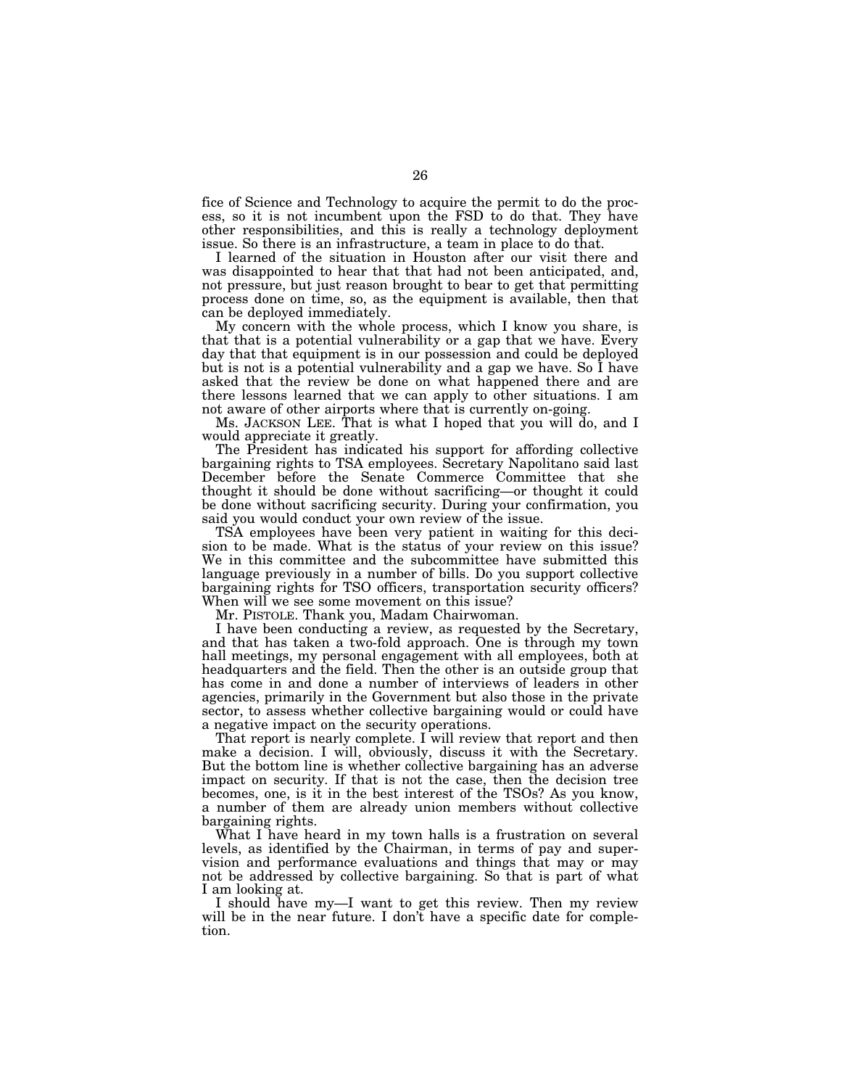fice of Science and Technology to acquire the permit to do the process, so it is not incumbent upon the FSD to do that. They have other responsibilities, and this is really a technology deployment issue. So there is an infrastructure, a team in place to do that.

I learned of the situation in Houston after our visit there and was disappointed to hear that that had not been anticipated, and, not pressure, but just reason brought to bear to get that permitting process done on time, so, as the equipment is available, then that can be deployed immediately.

My concern with the whole process, which I know you share, is that that is a potential vulnerability or a gap that we have. Every day that that equipment is in our possession and could be deployed but is not is a potential vulnerability and a gap we have. So I have asked that the review be done on what happened there and are there lessons learned that we can apply to other situations. I am not aware of other airports where that is currently on-going.

Ms. JACKSON LEE. That is what I hoped that you will do, and I would appreciate it greatly.

The President has indicated his support for affording collective bargaining rights to TSA employees. Secretary Napolitano said last December before the Senate Commerce Committee that she thought it should be done without sacrificing—or thought it could be done without sacrificing security. During your confirmation, you said you would conduct your own review of the issue.

TSA employees have been very patient in waiting for this decision to be made. What is the status of your review on this issue? We in this committee and the subcommittee have submitted this language previously in a number of bills. Do you support collective bargaining rights for TSO officers, transportation security officers? When will we see some movement on this issue?

Mr. PISTOLE. Thank you, Madam Chairwoman.

I have been conducting a review, as requested by the Secretary, and that has taken a two-fold approach. One is through my town hall meetings, my personal engagement with all employees, both at headquarters and the field. Then the other is an outside group that has come in and done a number of interviews of leaders in other agencies, primarily in the Government but also those in the private sector, to assess whether collective bargaining would or could have a negative impact on the security operations.

That report is nearly complete. I will review that report and then make a decision. I will, obviously, discuss it with the Secretary. But the bottom line is whether collective bargaining has an adverse impact on security. If that is not the case, then the decision tree becomes, one, is it in the best interest of the TSOs? As you know, a number of them are already union members without collective bargaining rights.

What I have heard in my town halls is a frustration on several levels, as identified by the Chairman, in terms of pay and supervision and performance evaluations and things that may or may not be addressed by collective bargaining. So that is part of what I am looking at.

I should have my—I want to get this review. Then my review will be in the near future. I don't have a specific date for completion.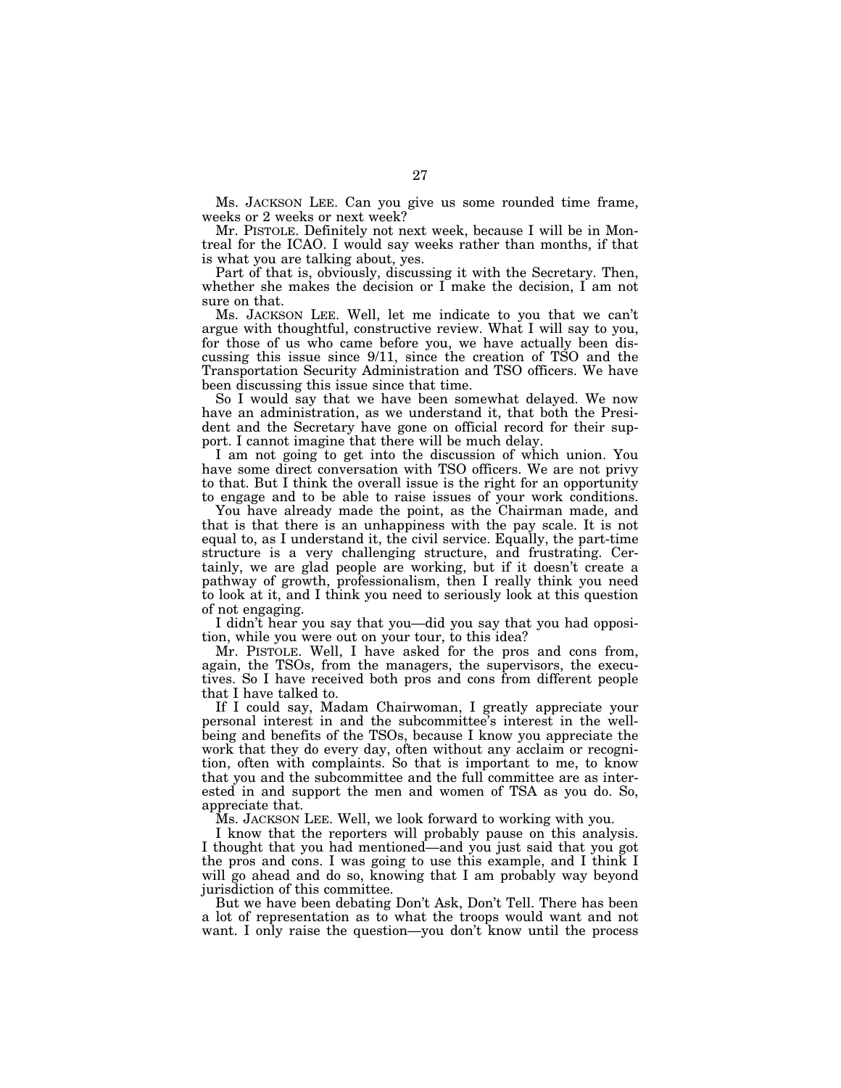Ms. JACKSON LEE. Can you give us some rounded time frame, weeks or 2 weeks or next week?

Mr. PISTOLE. Definitely not next week, because I will be in Montreal for the ICAO. I would say weeks rather than months, if that is what you are talking about, yes.

Part of that is, obviously, discussing it with the Secretary. Then, whether she makes the decision or I make the decision, I am not sure on that.

Ms. JACKSON LEE. Well, let me indicate to you that we can't argue with thoughtful, constructive review. What I will say to you, for those of us who came before you, we have actually been discussing this issue since 9/11, since the creation of TSO and the Transportation Security Administration and TSO officers. We have been discussing this issue since that time.

So I would say that we have been somewhat delayed. We now have an administration, as we understand it, that both the President and the Secretary have gone on official record for their support. I cannot imagine that there will be much delay.

I am not going to get into the discussion of which union. You have some direct conversation with TSO officers. We are not privy to that. But I think the overall issue is the right for an opportunity to engage and to be able to raise issues of your work conditions.

You have already made the point, as the Chairman made, and that is that there is an unhappiness with the pay scale. It is not equal to, as I understand it, the civil service. Equally, the part-time structure is a very challenging structure, and frustrating. Certainly, we are glad people are working, but if it doesn't create a pathway of growth, professionalism, then I really think you need to look at it, and I think you need to seriously look at this question of not engaging.

I didn't hear you say that you—did you say that you had opposition, while you were out on your tour, to this idea?

Mr. PISTOLE. Well, I have asked for the pros and cons from, again, the TSOs, from the managers, the supervisors, the executives. So I have received both pros and cons from different people that I have talked to.

If I could say, Madam Chairwoman, I greatly appreciate your personal interest in and the subcommittee's interest in the wellbeing and benefits of the TSOs, because I know you appreciate the work that they do every day, often without any acclaim or recognition, often with complaints. So that is important to me, to know that you and the subcommittee and the full committee are as interested in and support the men and women of TSA as you do. So, appreciate that.

Ms. JACKSON LEE. Well, we look forward to working with you.

I know that the reporters will probably pause on this analysis. I thought that you had mentioned—and you just said that you got the pros and cons. I was going to use this example, and I think I will go ahead and do so, knowing that I am probably way beyond jurisdiction of this committee.

But we have been debating Don't Ask, Don't Tell. There has been a lot of representation as to what the troops would want and not want. I only raise the question—you don't know until the process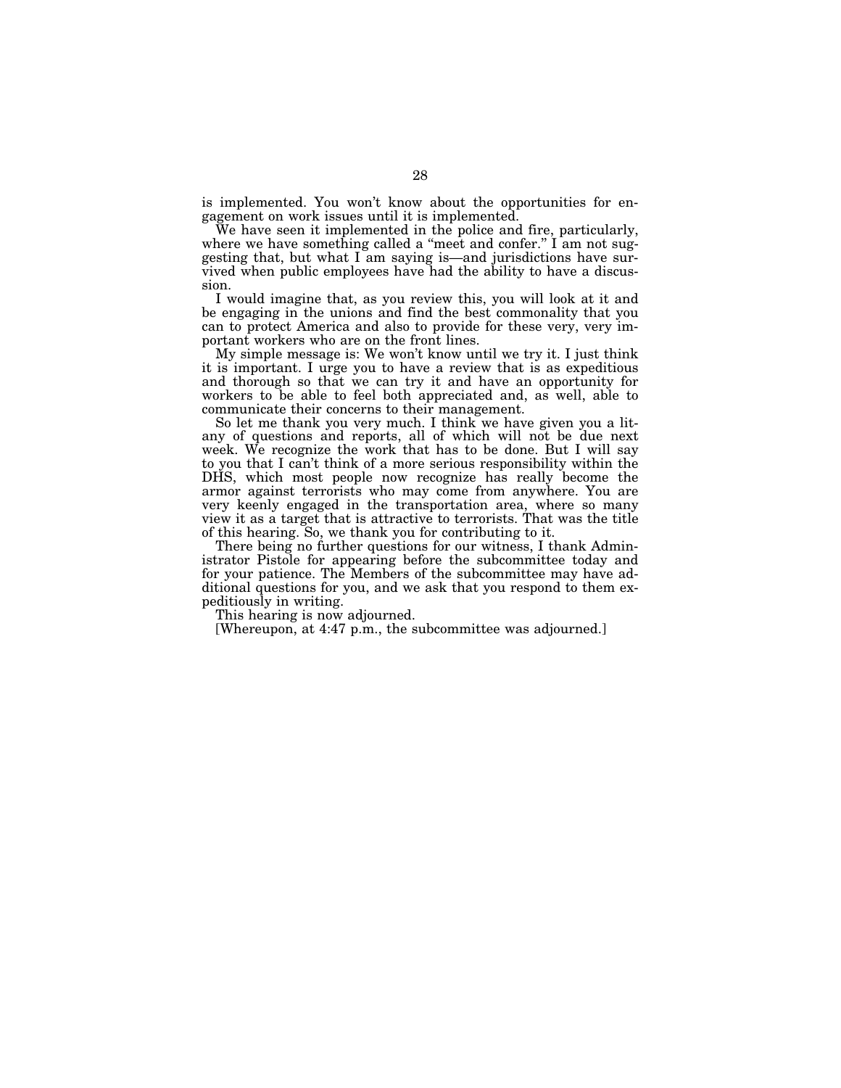is implemented. You won't know about the opportunities for engagement on work issues until it is implemented.

We have seen it implemented in the police and fire, particularly, where we have something called a "meet and confer."  $\overline{I}$  am not suggesting that, but what I am saying is—and jurisdictions have survived when public employees have had the ability to have a discussion.

I would imagine that, as you review this, you will look at it and be engaging in the unions and find the best commonality that you can to protect America and also to provide for these very, very important workers who are on the front lines.

My simple message is: We won't know until we try it. I just think it is important. I urge you to have a review that is as expeditious and thorough so that we can try it and have an opportunity for workers to be able to feel both appreciated and, as well, able to communicate their concerns to their management.

So let me thank you very much. I think we have given you a litany of questions and reports, all of which will not be due next week. We recognize the work that has to be done. But I will say to you that I can't think of a more serious responsibility within the DHS, which most people now recognize has really become the armor against terrorists who may come from anywhere. You are very keenly engaged in the transportation area, where so many view it as a target that is attractive to terrorists. That was the title of this hearing. So, we thank you for contributing to it.

There being no further questions for our witness, I thank Administrator Pistole for appearing before the subcommittee today and for your patience. The Members of the subcommittee may have additional questions for you, and we ask that you respond to them expeditiously in writing.

This hearing is now adjourned.

[Whereupon, at 4:47 p.m., the subcommittee was adjourned.]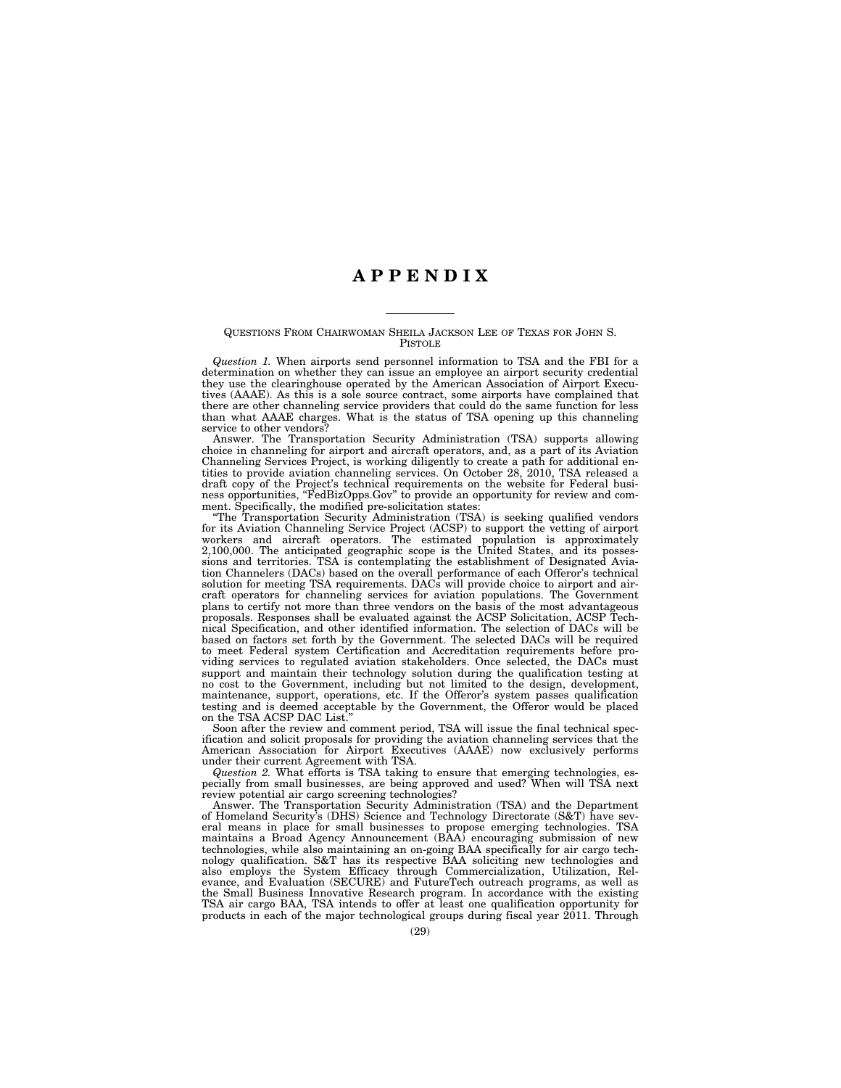### **A P P E N D I X**

#### QUESTIONS FROM CHAIRWOMAN SHEILA JACKSON LEE OF TEXAS FOR JOHN S. PISTOLE

*Question 1.* When airports send personnel information to TSA and the FBI for a determination on whether they can issue an employee an airport security credential they use the clearinghouse operated by the American Association of Airport Executives (AAAE). As this is a sole source contract, some airports have complained that there are other channeling service providers that could do the same function for less than what AAAE charges. What is the status of TSA opening up this channeling service to other vendors?

Answer. The Transportation Security Administration (TSA) supports allowing choice in channeling for airport and aircraft operators, and, as a part of its Aviation Channeling Services Project, is working diligently to create a path for additional entities to provide aviation channeling services. On October 28, 2010, TSA released a draft copy of the Project's technical requirements on the website for Federal business opportunities, "FedBizOpps.Gov" to provide an opportunity for review and comment. Specifically, the modified pre-solicitation states:

''The Transportation Security Administration (TSA) is seeking qualified vendors for its Aviation Channeling Service Project (ACSP) to support the vetting of airport workers and aircraft operators. The estimated population is approximately 2,100,000. The anticipated geographic scope is the United States, and its possessions and territories. TSA is contemplating the establishment of Designated Aviation Channelers (DACs) based on the overall performance of each Offeror's technical solution for meeting TSA requirements. DACs will provide choice to airport and aircraft operators for channeling services for aviation populations. The Government plans to certify not more than three vendors on the basis of the most advantageous proposals. Responses shall be evaluated against the ACSP Solicitation, ACSP Technical Specification, and other identified information. The selection of DACs will be based on factors set forth by the Government. The selected DACs will be required to meet Federal system Certification and Accreditation requirements before providing services to regulated aviation stakeholders. Once selected, the DACs must support and maintain their technology solution during the qualification testing at no cost to the Government, including but not limited to the design, development, maintenance, support, operations, etc. If the Offeror's system passes qualification testing and is deemed acceptable by the Government, the Offeror would be placed on the TSA ACSP DAC List.

Soon after the review and comment period, TSA will issue the final technical specification and solicit proposals for providing the aviation channeling services that the American Association for Airport Executives (AAAE) now exclusively performs under their current Agreement with TSA.

*Question 2.* What efforts is TSA taking to ensure that emerging technologies, especially from small businesses, are being approved and used? When will TSA next review potential air cargo screening technologies?

Answer. The Transportation Security Administration (TSA) and the Department of Homeland Security's (DHS) Science and Technology Directorate (S&T) have several means in place for small businesses to propose emerging technologies. TSA maintains a Broad Agency Announcement (BAA) encouraging submission of new technologies, while also maintaining an on-going BAA specifically for air cargo technology qualification. S&T has its respective BAA soliciting new technologies and also employs the System Efficacy through Commercialization, Utilization, Relevance, and Evaluation (SECURE) and FutureTech outreach programs, as well as the Small Business Innovative Research program. In accordance with the existing TSA air cargo BAA, TSA intends to offer at least one qualification opportunity for products in each of the major technological groups during fiscal year 2011. Through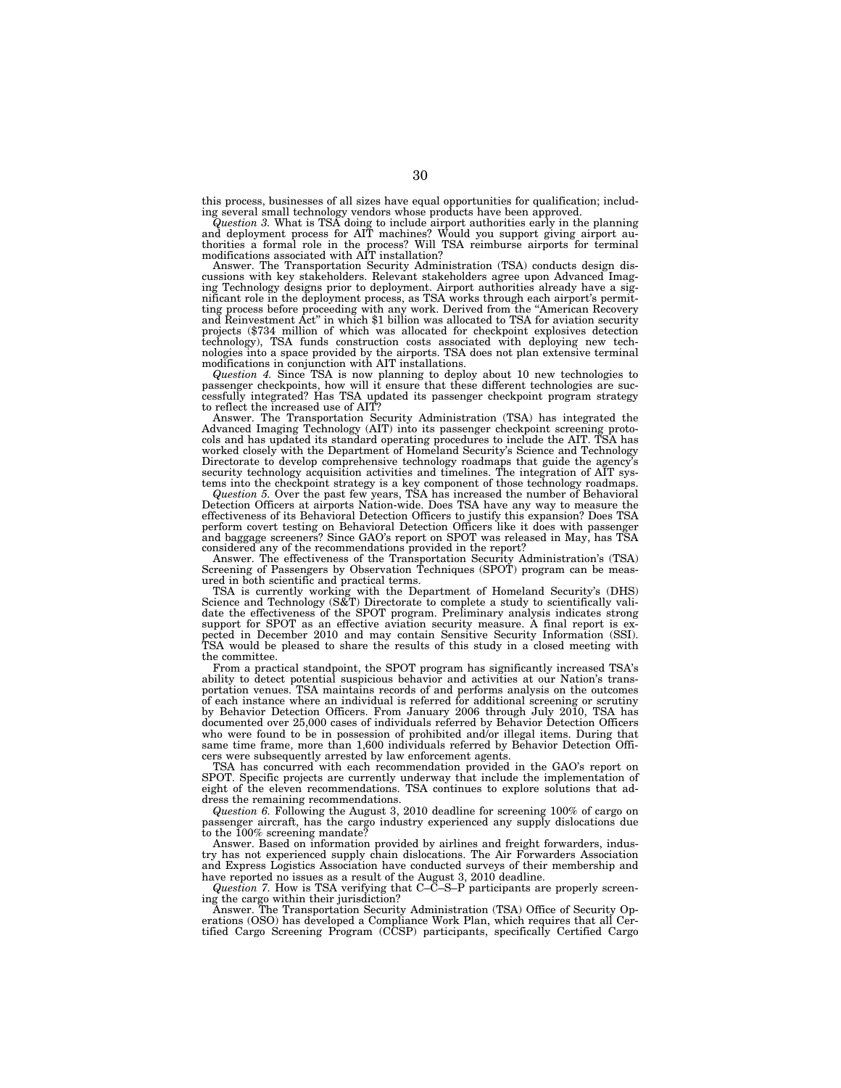this process, businesses of all sizes have equal opportunities for qualification; including several small technology vendors whose products have been approved.

Question 3. What is TSA doing to include airport authorities early in the planning<br>and deployment process for AIT machines? Would you support giving airport au-<br>thorities a formal role in the process? Will TSA reimburse ai

Answer. The Transportation Security Administration (TSA) conducts design discussions with key stakeholders. Relevant stakeholders agree upon Advanced Imaging Technology designs prior to deployment. Airport authorities already have a significant role in the deployment process, as TSA works through each airport's permit-ting process before proceeding with any work. Derived from the ''American Recovery and Reinvestment Act'' in which \$1 billion was allocated to TSA for aviation security projects (\$734 million of which was allocated for checkpoint explosives detection technology), TSA funds construction costs associated with deploying new tech-nologies into a space provided by the airports. TSA does not plan extensive terminal

modifications in conjunction with AIT installations.<br>*Question 4*. Since TSA is now planning to deploy about 10 new technologies to passenger checkpoints, how will it ensure that these different technologies are suc-cessfully integrated? Has TSA updated its passenger checkpoint program strategy

to reflect the increased use of AIT? Answer. The Transportation Security Administration (TSA) has integrated the Advanced Imaging Technology (AIT) into its passenger checkpoint screening proto-cols and has updated its standard operating procedures to include the AIT. TSA has worked closely with the Department of Homeland Security's Science and Technology Directorate to develop comprehensive technology roadmaps that guide the agency's security technology acquisition activities and timelines. The integration of AIT sys-

tems into the checkpoint strategy is a key component of those technology roadmaps.<br>Question 5. Over the past few years, TSA has increased the number of Behavioral<br>Detection Officers at airports Nation-wide. Does TSA have a effectiveness of its Behavioral Detection Officers to justify this expansion? Does TSA perform covert testing on Behavioral Detection Officers like it does with passenger and baggage screeners? Since GAO's report on SPOT was released in May, has TSA considered any of the recommendations provided in the report?

Answer. The effectiveness of the Transportation Security Administration's (TSA) Screening of Passengers by Observation Techniques (SPOT) program can be measured in both scientific and practical terms.

TSA is currently working with the Department of Homeland Security's (DHS) Science and Technology (S&T) Directorate to complete a study to scientifically validate the effectiveness of the SPOT program. Preliminary analysis indicates strong support for SPOT as an effective aviation security measure. A final report is expected in December 2010 and may contain Sensitive Security Information (SSI). TSA would be pleased to share the results of this study in a closed meeting with the committee.

From a practical standpoint, the SPOT program has significantly increased TSA's ability to detect potential suspicious behavior and activities at our Nation's transportation venues. TSA maintains records of and performs analysis on the outcomes of each instance where an individual is referred for additional screening or scrutiny by Behavior Detection Officers. From January 2006 through July 2010, TSA has documented over 25,000 cases of individuals referred by Behavior Detection Officers who were found to be in possession of prohibited and/or illegal items. During that same time frame, more than 1,600 individuals referred by Behavior Detection Officers were subsequently arrested by law enforcement agents.

TSA has concurred with each recommendation provided in the GAO's report on SPOT. Specific projects are currently underway that include the implementation of eight of the eleven recommendations. TSA continues to explore solutions that address the remaining recommendations.

*Question 6.* Following the August 3, 2010 deadline for screening 100% of cargo on passenger aircraft, has the cargo industry experienced any supply dislocations due to the 100% screening mandate?

Answer. Based on information provided by airlines and freight forwarders, industry has not experienced supply chain dislocations. The Air Forwarders Association and Express Logistics Association have conducted surveys of their membership and have reported no issues as a result of the August 3, 2010 deadline.

*Question 7.* How is TSA verifying that C–C–S–P participants are properly screening the cargo within their jurisdiction?

Answer. The Transportation Security Administration (TSA) Office of Security Operations (OSO) has developed a Compliance Work Plan, which requires that all Certified Cargo Screening Program (CCSP) participants, specifically Certified Cargo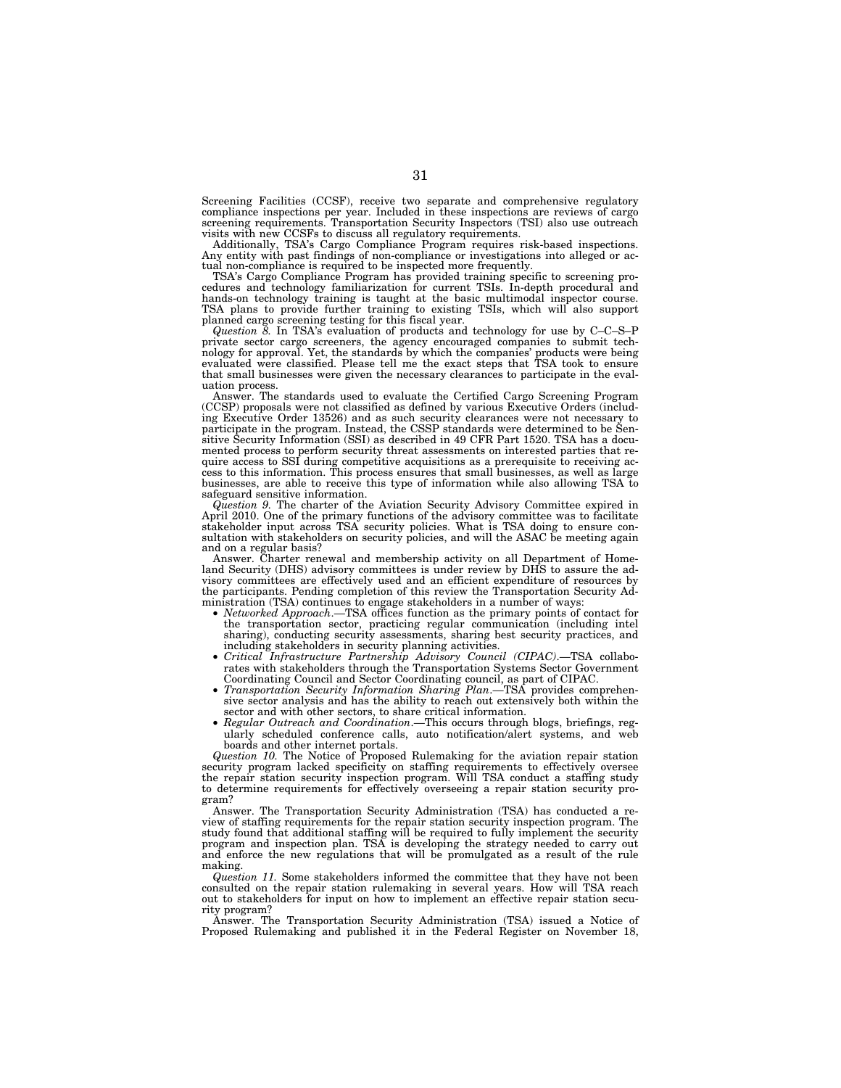Screening Facilities (CCSF), receive two separate and comprehensive regulatory compliance inspections per year. Included in these inspections are reviews of cargo screening requirements. Transportation Security Inspectors (TSI) also use outreach

visits with new CCSFs to discuss all regulatory requirements. Additionally, TSA's Cargo Compliance Program requires risk-based inspections. Any entity with past findings of non-compliance or investigations into alleged or actual non-compliance is required to be inspected more frequently.

TSA's Cargo Compliance Program has provided training specific to screening pro-cedures and technology familiarization for current TSIs. In-depth procedural and hands-on technology training is taught at the basic multimodal inspector course. TSA plans to provide further training to existing TSIs, which will also support planned cargo screening testing for this fiscal year.<br>*Question 8.* In TSA's evaluation of products and technology for use by C–C–S–P

private sector cargo screeners, the agency encouraged companies to submit tech-nology for approval. Yet, the standards by which the companies' products were being evaluated were classified. Please tell me the exact steps that TSA took to ensure that small businesses were given the necessary clearances to participate in the evaluation process.

Answer. The standards used to evaluate the Certified Cargo Screening Program (CCSP) proposals were not classified as defined by various Executive Orders (includ-ing Executive Order 13526) and as such security clearances were not necessary to participate in the program. Instead, the CSSP standards were determined to be Sen-sitive Security Information (SSI) as described in 49 CFR Part 1520. TSA has a documented process to perform security threat assessments on interested parties that re-quire access to SSI during competitive acquisitions as a prerequisite to receiving access to this information. This process ensures that small businesses, as well as large businesses, are able to receive this type of information while also allowing TSA to safeguard sensitive information.

*Question 9.* The charter of the Aviation Security Advisory Committee expired in April 2010. One of the primary functions of the advisory committee was to facilitate stakeholder input across TSA security policies. What is TSA doing to ensure consultation with stakeholders on security policies, and will the ASAC be meeting again and on a regular basis?

Answer. Charter renewal and membership activity on all Department of Homeland Security (DHS) advisory committees is under review by DHS to assure the advisory committees are effectively used and an efficient expenditure of resources by the participants. Pending completion of this review the Transportation Security Ad-<br>ministration (TSA) continues to engage stakeholders in a number of ways:

- *Networked Approach*.—TSA offices function as the primary points of contact for the transportation sector, practicing regular communication (including intel sharing), conducting security assessments, sharing best security practices, and including stakeholders in security planning activities.
- *Critical Infrastructure Partnership Advisory Council (CIPAC)*.—TSA collabo-rates with stakeholders through the Transportation Systems Sector Government Coordinating Council and Sector Coordinating council, as part of CIPAC.
- *Transportation Security Information Sharing Plan*.—TSA provides comprehen-sive sector analysis and has the ability to reach out extensively both within the sector and with other sectors, to share critical information.
- *Regular Outreach and Coordination*.—This occurs through blogs, briefings, regularly scheduled conference calls, auto notification/alert systems, and web boards and other internet portals.

*Question 10.* The Notice of Proposed Rulemaking for the aviation repair station security program lacked specificity on staffing requirements to effectively oversee the repair station security inspection program. Will TSA conduct a staffing study to determine requirements for effectively overseeing a repair station security program?

Answer. The Transportation Security Administration (TSA) has conducted a review of staffing requirements for the repair station security inspection program. The study found that additional staffing will be required to fully implement the security program and inspection plan. TSA is developing the strategy needed to carry out and enforce the new regulations that will be promulgated as a result of the rule making.

*Question 11.* Some stakeholders informed the committee that they have not been consulted on the repair station rulemaking in several years. How will TSA reach out to stakeholders for input on how to implement an effective repair station security program?

Answer. The Transportation Security Administration (TSA) issued a Notice of Proposed Rulemaking and published it in the Federal Register on November 18,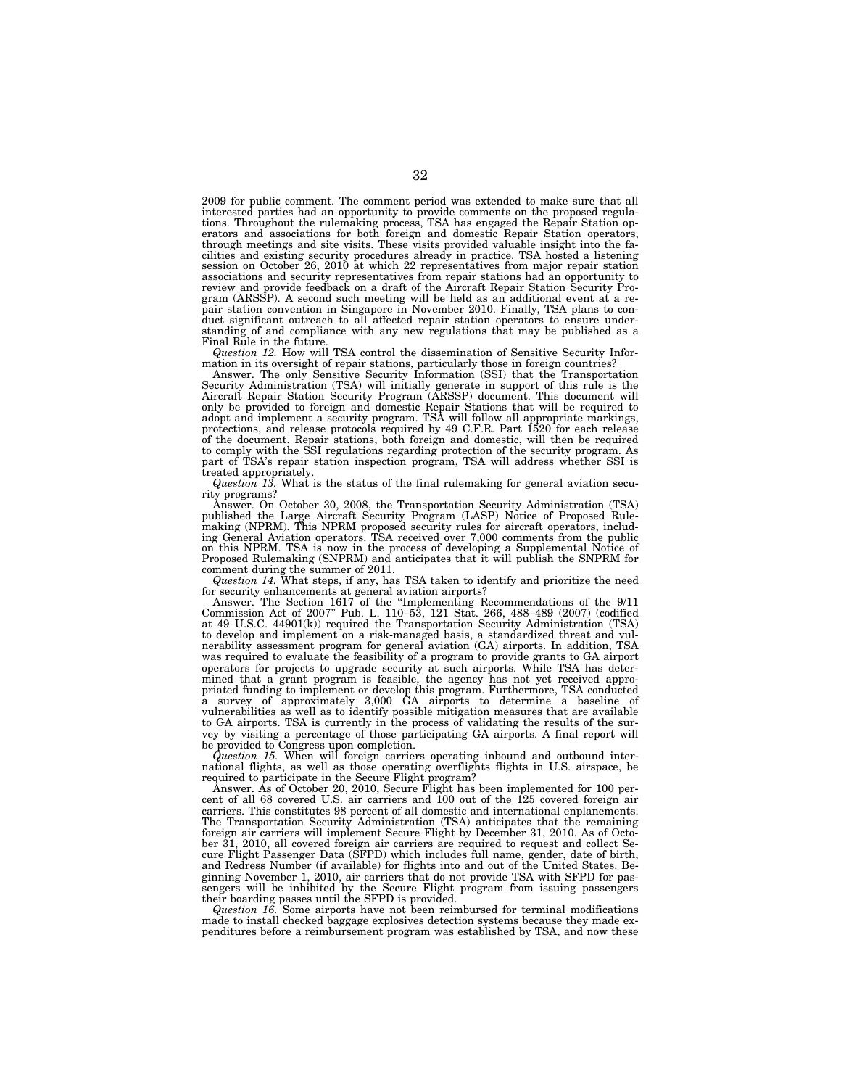2009 for public comment. The comment period was extended to make sure that all interested parties had an opportunity to provide comments on the proposed regulations. Throughout the rulemaking process, TSA has engaged the Repair Station operators and associations for both foreign and domestic Repair Station operators, through meetings and site visits. These visits provided valuable insight into the facilities and existing security procedures already in practice. TSA hosted a listening session on October 26, 2010 at which 22 representatives from major repair station associations and security representatives from repair stations had an opportunity to review and provide feedback on a draft of the Aircraft Repair Station Security Pro-<br>gram (ARSSP). A second such meeting will be held as an additional event at a re-<br>pair station convention in Singapore in November 2010. Fi duct significant outreach to all affected repair station operators to ensure understanding of and compliance with any new regulations that may be published as a Final Rule in the future.

*Question 12.* How will TSA control the dissemination of Sensitive Security Information in its oversight of repair stations, particularly those in foreign countries? Answer. The only Sensitive Security Information (SSI) that the Transportation

Security Administration (TSA) will initially generate in support of this rule is the Aircraft Repair Station Security Program (ARSSP) document. This document will only be provided to foreign and domestic Repair Stations that will be required to adopt and implement a security program. TSA will follow all appropriate markings, protections, and release protocols required by 49 C.F.R. Part 1520 for each release of the document. Repair stations, both foreign and domestic, will then be required to comply with the SSI regulations regarding protection of the security program. As part of TSA's repair station inspection program, TSA will address whether SSI is treated appropriately.

*Question 13.* What is the status of the final rulemaking for general aviation security programs?

Answer. On October 30, 2008, the Transportation Security Administration (TSA) published the Large Aircraft Security Program (LASP) Notice of Proposed Rule-<br>making (NPRM). This NPRM proposed security rules for aircraft oper ing General Aviation operators. TSA received over 7,000 comments from the public<br>on this NPRM. TSA is now in the process of developing a Supplemental Notice of<br>Proposed Rulemaking (SNPRM) and anticipates that it will publi

comment during the summer of 2011. *Question 14.* What steps, if any, has TSA taken to identify and prioritize the need

for security enhancements at general aviation airports?<br>Answer. The Section 1617 of the "Implementing Recommendations of the 9/11<br>Commission Act of 2007" Pub. L. 110–53, 121 Stat. 266, 488–489 (2007) (codified<br>at 49 U.S.C. to develop and implement on a risk-managed basis, a standardized threat and vulnerability assessment program for general aviation (GA) airports. In addition, TSA was required to evaluate the feasibility of a program to provide grants to GA airport operators for projects to upgrade security at such airports. While TSA has determined that a grant program is feasible, the agency has not yet received appropriated funding to implement or develop this program. Furthermore, TSA conducted a survey of approximately 3,000 GA airports to determine a baseline of vulnerabilities as well as to identify possible mitigation measures that are available to GA airports. TSA is currently in the process of validating the results of the survey by visiting a percentage of those participating GA airports. A final report will be provided to Congress upon completion.

*Question 15.* When will foreign carriers operating inbound and outbound international flights, as well as those operating overflights flights in U.S. airspace, be required to participate in the Secure Flight program?

Answer. As of October 20, 2010, Secure Flight has been implemented for 100 percent of all 68 covered U.S. air carriers and 100 out of the 125 covered foreign air carriers. This constitutes 98 percent of all domestic and international enplanements. The Transportation Security Administration (TSA) anticipates that the remaining foreign air carriers will implement Secure Flight by December 31, 2010. As of October 31, 2010, all covered foreign air carriers are required to request and collect Secure Flight Passenger Data (SFPD) which includes full name, gender, date of birth, and Redress Number (if available) for flights into and out of the United States. Beginning November 1, 2010, air carriers that do not provide TSA with SFPD for passengers will be inhibited by the Secure Flight program from issuing passengers their boarding passes until the SFPD is provided.

*Question 16.* Some airports have not been reimbursed for terminal modifications made to install checked baggage explosives detection systems because they made expenditures before a reimbursement program was established by TSA, and now these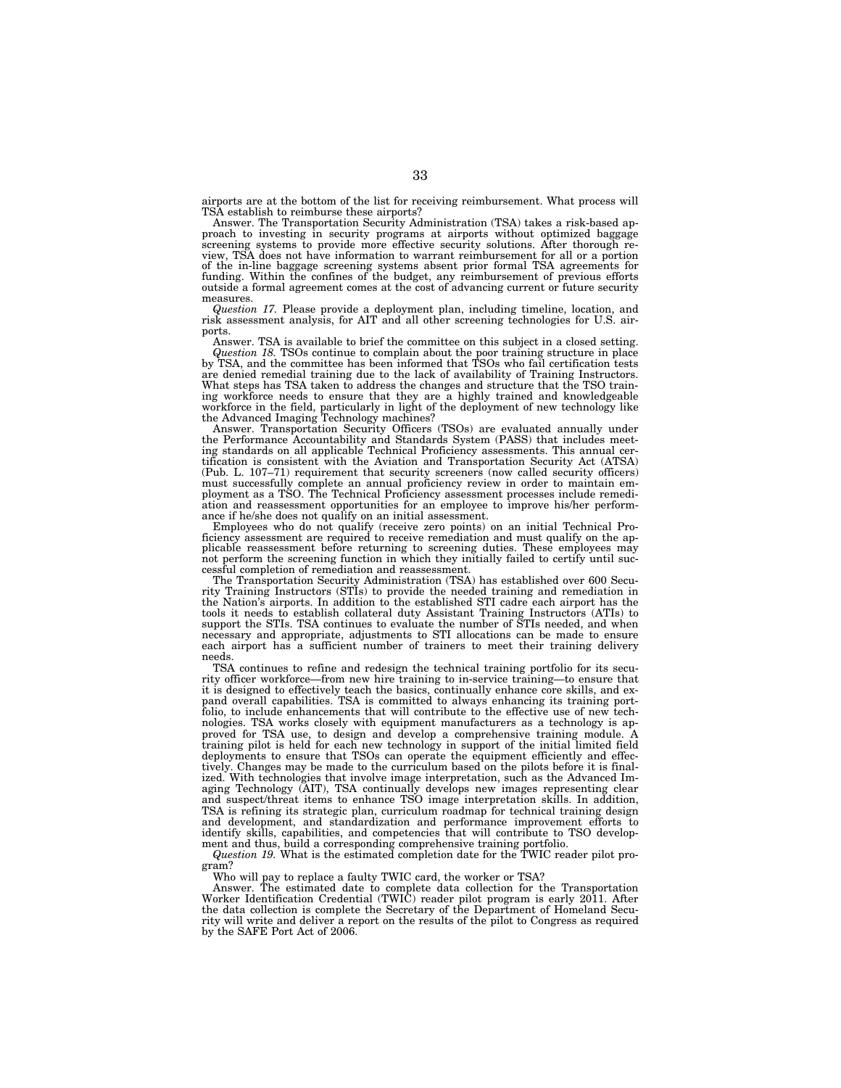airports are at the bottom of the list for receiving reimbursement. What process will TSA establish to reimburse these airports?

Answer. The Transportation Security Administration (TSA) takes a risk-based approach to investing in security programs at airports without optimized baggage screening systems to provide more effective security solutions. After thorough review, TSA does not have information to warrant reimbursement for all or a portion of the in-line baggage screening systems absent prior formal TSA agreements for funding. Within the confines of the budget, any reimbursement of previous efforts outside a formal agreement comes at the cost of advancing current or future security

measures. *Question 17.* Please provide a deployment plan, including timeline, location, and risk assessment analysis, for AIT and all other screening technologies for U.S. airports.

Answer. TSA is available to brief the committee on this subject in a closed setting. *Question 18.* TSOs continue to complain about the poor training structure in place

by TSA, and the committee has been informed that TSOs who fail certification tests are denied remedial training due to the lack of availability of Training Instructors. What steps has TSA taken to address the changes and structure that the TSO train-ing workforce needs to ensure that they are a highly trained and knowledgeable workforce in the field, particularly in light of the deployment of new technology like the Advanced Imaging Technology machines?

Answer. Transportation Security Officers (TSOs) are evaluated annually under the Performance Accountability and Standards System (PASS) that includes meeting standards on all applicable Technical Proficiency assessments. This annual cer-tification is consistent with the Aviation and Transportation Security Act (ATSA) (Pub. L. 107–71) requirement that security screeners (now called security officers) must successfully complete an annual proficiency review in order to maintain em-ployment as a TSO. The Technical Proficiency assessment processes include remediation and reassessment opportunities for an employee to improve his/her performance if he/she does not qualify on an initial assessment.

Employees who do not qualify (receive zero points) on an initial Technical Proficiency assessment are required to receive remediation and must qualify on the applicable reassessment before returning to screening duties. These employees may not perform the screening function in which they initially failed to certify until successful completion of remediation and reassessment.

The Transportation Security Administration (TSA) has established over 600 Security Training Instructors (STIs) to provide the needed training and remediation in the Nation's airports. In addition to the established STI cadre each airport has the tools it needs to establish collateral duty Assistant Training Instructors (ATIs) to support the STIs. TSA continues to evaluate the number of STIs needed, and when necessary and appropriate, adjustments to STI allocations can be made to ensure each airport has a sufficient number of trainers to meet their training delivery needs.

TSA continues to refine and redesign the technical training portfolio for its security officer workforce—from new hire training to in-service training—to ensure that it is designed to effectively teach the basics, continually enhance core skills, and expand overall capabilities. TSA is committed to always enhancing its training portfolio, to include enhancements that will contribute to the effective use of new technologies. TSA works closely with equipment manufacturers as a technology is approved for TSA use, to design and develop a comprehensive training module. A training pilot is held for each new technology in support of the initial limited field deployments to ensure that TSOs can operate the equipment efficiently and effectively. Changes may be made to the curriculum based on the pilots before it is finalized. With technologies that involve image interpretation, such as the Advanced Imaging Technology (AIT), TSA continually develops new images representing clear and suspect/threat items to enhance TSO image interpretation skills. In addition, TSA is refining its strategic plan, curriculum roadmap for technical training design and development, and standardization and performance improvement efforts to identify skills, capabilities, and competencies that will contribute to TSO development and thus, build a corresponding comprehensive training portfolio.

*Question 19.* What is the estimated completion date for the TWIC reader pilot program?

Who will pay to replace a faulty TWIC card, the worker or TSA?

Answer. The estimated date to complete data collection for the Transportation Worker Identification Credential (TWIC) reader pilot program is early 2011. After the data collection is complete the Secretary of the Department of Homeland Security will write and deliver a report on the results of the pilot to Congress as required by the SAFE Port Act of 2006.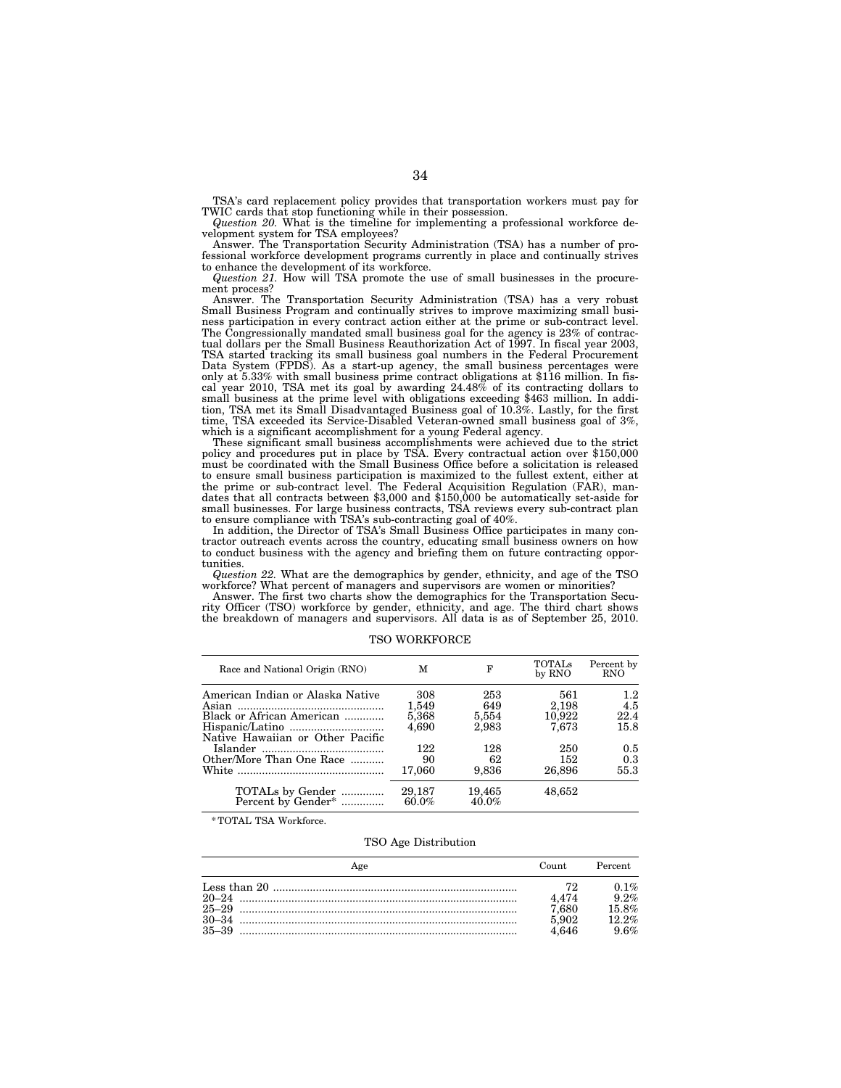TSA's card replacement policy provides that transportation workers must pay for TWIC cards that stop functioning while in their possession.

*Question 20.* What is the timeline for implementing a professional workforce development system for TSA employees?

Answer. The Transportation Security Administration (TSA) has a number of professional workforce development programs currently in place and continually strives to enhance the development of its workforce.

*Question 21.* How will TSA promote the use of small businesses in the procurement process?

Answer. The Transportation Security Administration (TSA) has a very robust Small Business Program and continually strives to improve maximizing small business participation in every contract action either at the prime or sub-contract level. The Congressionally mandated small business goal for the agency is 23% of contractual dollars per the Small Business Reauthorization Act of 1997. In fiscal year 2003, TSA started tracking its small business goal numbers in the Federal Procurement Data System (FPDS). As a start-up agency, the small business percentages were only at 5.33% with small business prime contract obligations at \$116 million. In fiscal year 2010, TSA met its goal by awarding  $24.48\%$  of its contracting dollars to small business at the prime level with obligations exceeding \$463 million. In addition, TSA met its Small Disadvantaged Business goal of 10.3%. Lastly, for the first time, TSA exceeded its Service-Disabled Veteran-owned small business goal of 3%, which is a significant accomplishment for a young Federal agency.

These significant small business accomplishments were achieved due to the strict policy and procedures put in place by TSA. Every contractual action over \$150,000 must be coordinated with the Small Business Office before a solicitation is released to ensure small business participation is maximized to the fullest extent, either at the prime or sub-contract level. The Federal Acquisition Regulation (FAR), mandates that all contracts between \$3,000 and \$150,000 be automatically set-aside for small businesses. For large business contracts, TSA reviews every sub-contract plan to ensure compliance with TSA's sub-contracting goal of 40%.

In addition, the Director of TSA's Small Business Office participates in many contractor outreach events across the country, educating small business owners on how to conduct business with the agency and briefing them on future contracting opportunities.

*Question 22.* What are the demographics by gender, ethnicity, and age of the TSO workforce? What percent of managers and supervisors are women or minorities?

Answer. The first two charts show the demographics for the Transportation Security Officer (TSO) workforce by gender, ethnicity, and age. The third chart shows the breakdown of managers and supervisors. All data is as of September 25, 2010.

| Race and National Origin (RNO)                                                                                       | м                              | F                            | <b>TOTALS</b><br>by RNO         | Percent by<br><b>RNO</b>   |
|----------------------------------------------------------------------------------------------------------------------|--------------------------------|------------------------------|---------------------------------|----------------------------|
| American Indian or Alaska Native<br>Black or African American<br>Hispanic/Latino<br>Native Hawaiian or Other Pacific | 308<br>1,549<br>5,368<br>4.690 | 253<br>649<br>5,554<br>2,983 | 561<br>2,198<br>10,922<br>7.673 | 1.2<br>4.5<br>22.4<br>15.8 |
| Other/More Than One Race                                                                                             | 122<br>90<br>17,060            | 128<br>62<br>9,836           | 250<br>152<br>26,896            | 0.5<br>0.3<br>55.3         |
| TOTALs by Gender<br>Percent by Gender <sup>*</sup>                                                                   | 29,187<br>$60.0\%$             | 19,465<br>$40.0\%$           | 48,652                          |                            |

TSO WORKFORCE

\* TOTAL TSA Workforce.

#### TSO Age Distribution

| Age                    | Count.                                  | Percent.                                        |
|------------------------|-----------------------------------------|-------------------------------------------------|
| $25 - 29$<br>$35 - 39$ | 79.<br>4.474<br>7,680<br>5,902<br>4.646 | $0.1\%$<br>$9.2\%$<br>15.8%<br>$12.2\%$<br>9.6% |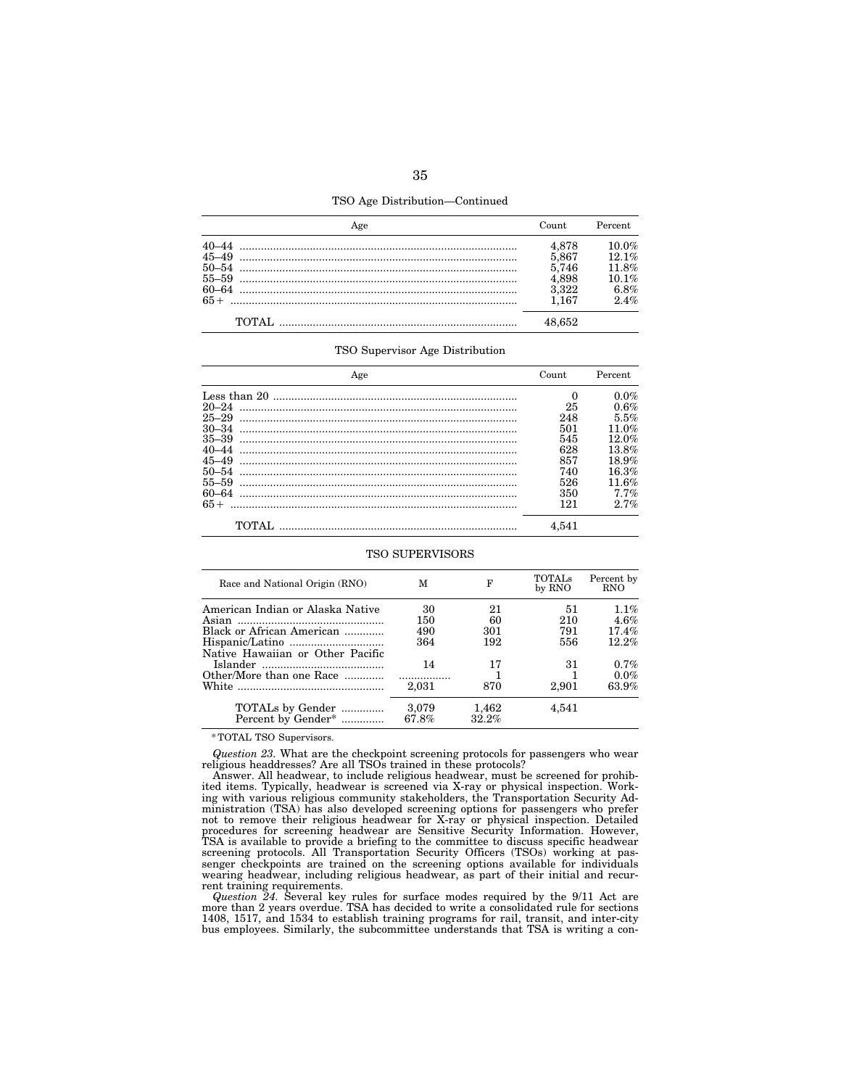TSO Age Distribution—Continued

|        | Count.                                             | Percent.                                         |
|--------|----------------------------------------------------|--------------------------------------------------|
| $65+$  | 4.878<br>5.867<br>5.746<br>4.898<br>3.322<br>1 167 | 10.0%<br>12.1%<br>11.8%<br>10.1%<br>6.8%<br>2.4% |
| TOTAL. |                                                    |                                                  |

#### TSO Supervisor Age Distribution

| Age       | Count    | Percent |
|-----------|----------|---------|
|           | $\Omega$ | $0.0\%$ |
| $20 - 24$ | 25       | 0.6%    |
| $25 - 29$ | 248      | 5.5%    |
| $30 - 34$ | 501      | 11.0%   |
| $35 - 39$ | 545      | 12.0%   |
| $40 - 44$ | 628      | 13.8%   |
| $45 - 49$ | 857      | 18.9%   |
| $50 - 54$ | 740      | 16.3%   |
| $55 - 59$ | 526      | 11.6%   |
| $60 - 64$ | 350      | $7.7\%$ |
| $65+$     | 121      | 2.7%    |
|           | 4.541    |         |

#### TSO SUPERVISORS

| Race and National Origin (RNO)                     | м              | F              | <b>TOTALS</b><br>by RNO | Percent by<br><b>RNO</b> |
|----------------------------------------------------|----------------|----------------|-------------------------|--------------------------|
|                                                    |                |                |                         |                          |
| American Indian or Alaska Native                   | 30             | 21             | 51                      | $1.1\%$                  |
|                                                    | 150            | 60             | 210                     | 4.6%                     |
| Black or African American                          | 490            | 301            | 791                     | 17.4%                    |
|                                                    | 364            | 192            | 556                     | $12.2\%$                 |
| Native Hawaiian or Other Pacific                   |                |                |                         |                          |
|                                                    | 14             | 17             | 31                      | $0.7\%$                  |
| Other/More than one Race                           |                |                |                         | $0.0\%$                  |
|                                                    | 2.031          | 870            | 2.901                   | 63.9%                    |
| TOTALs by Gender<br>Percent by Gender <sup>*</sup> | 3.079<br>67.8% | 1,462<br>32.2% | 4.541                   |                          |

\* TOTAL TSO Supervisors.

*Question 23.* What are the checkpoint screening protocols for passengers who wear religious headdresses? Are all TSOs trained in these protocols?

Answer. All headwear, to include religious headwear, must be screened for prohibited items. Typically, headwear is screened via X-ray or physical inspection. Working with various religious community stakeholders, the Transportation Security Administration (TSA) has also developed screening options for passengers who prefer not to remove their religious headwear for X-ray or physical inspection. Detailed procedures for screening headwear are Sensitive Security Information. However, TSA is available to provide a briefing to the committee to discuss specific headwear screening protocols. All Transportation Security Officers (TSOs) working at passenger checkpoints are trained on the screening options available for individuals wearing headwear, including religious headwear, as part of their initial and recurrent training requirements.

Question 24. Several key rules for surface modes required by the 9/11 Act are more than 2 years overdue. TSA has decided to write a consolidated rule for sections 1408, 1517, and 1534 to establish training programs for rai bus employees. Similarly, the subcommittee understands that TSA is writing a con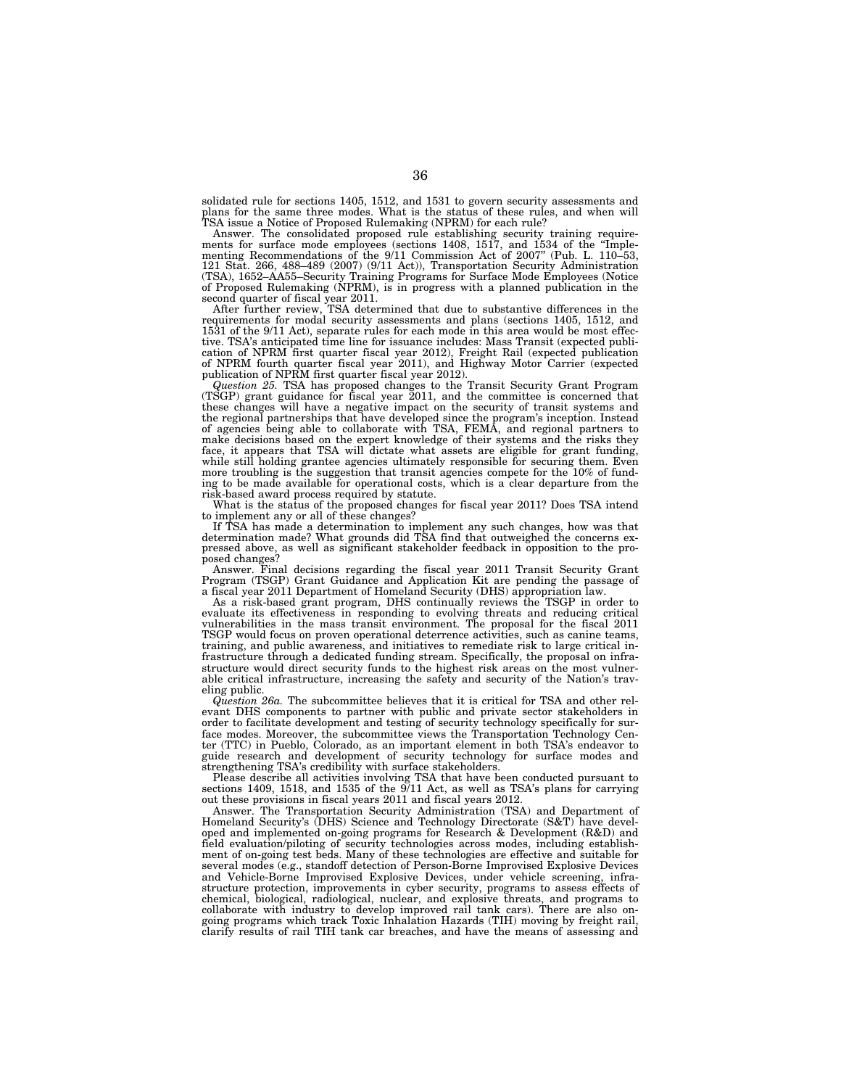solidated rule for sections 1405, 1512, and 1531 to govern security assessments and plans for the same three modes. What is the status of these rules, and when will TSA issue a Notice of Proposed Rulemaking (NPRM) for each rule?

Answer. The consolidated proposed rule establishing security training requirements for surface mode employees (sections 1408, 1517, and 1534 of the "Implementing Recommendations of the 9/11 Commission Act of 2007" (Pub. L. (TSA), 1652–AA55–Security Training Programs for Surface Mode Employees (Notice of Proposed Rulemaking (NPRM), is in progress with a planned publication in the

second quarter of fiscal year 2011. After further review, TSA determined that due to substantive differences in the requirements for modal security assessments and plans (sections 1405, 1512, and 1531 of the 9/11 Act), separate rules for each mode in this area would be most effective. TSA's anticipated time line for issuance includes: Mass Transit (expected publi-cation of NPRM first quarter fiscal year 2012), Freight Rail (expected publication of NPRM fourth quarter fiscal year 2011), and Highway Motor Carrier (expected publication of NPRM first quarter fiscal year 2012).

*Question 25.* TSA has proposed changes to the Transit Security Grant Program (TSGP) grant guidance for fiscal year 2011, and the committee is concerned that these changes will have a negative impact on the security of transit systems and the regional partnerships that have developed since the program's inception. Instead of agencies being able to collaborate with TSA, FEMA, and regional partners to make decisions based on the expert knowledge of their systems and the risks they face, it appears that TSA will dictate what assets are eligible for grant funding, while still holding grantee agencies ultimately responsible for securing them. Even more troubling is the suggestion that transit agencies compete for the 10% of funding to be made available for operational costs, which is a clear departure from the risk-based award process required by statute.

What is the status of the proposed changes for fiscal year 2011? Does TSA intend to implement any or all of these changes?

If TSA has made a determination to implement any such changes, how was that determination made? What grounds did TSA find that outweighed the concerns expressed above, as well as significant stakeholder feedback in opposition to the proposed changes?

Answer. Final decisions regarding the fiscal year 2011 Transit Security Grant Program (TSGP) Grant Guidance and Application Kit are pending the passage of

a fiscal year 2011 Department of Homeland Security (DHS) appropriation law. As a risk-based grant program, DHS continually reviews the TSGP in order to evaluate its effectiveness in responding to evolving threats and reducing critical vulnerabilities in the mass transit environment. The proposal for the fiscal 2011 TSGP would focus on proven operational deterrence activities, such as canine teams, training, and public awareness, and initiatives to remediate risk to large critical infrastructure through a dedicated funding stream. Specifically, the proposal on infrastructure would direct security funds to the highest risk areas on the most vulnerable critical infrastructure, increasing the safety and security of the Nation's traveling public.

*Question 26a.* The subcommittee believes that it is critical for TSA and other relevant DHS components to partner with public and private sector stakeholders in order to facilitate development and testing of security technology specifically for surface modes. Moreover, the subcommittee views the Transportation Technology Center (TTC) in Pueblo, Colorado, as an important element in both TSA's endeavor to guide research and development of security technology for surface modes and strengthening TSA's credibility with surface stakeholders.

Please describe all activities involving TSA that have been conducted pursuant to sections 1409, 1518, and 1535 of the 9/11 Act, as well as TSA's plans for carrying out these provisions in fiscal years 2011 and fiscal years 2012.

Answer. The Transportation Security Administration (TSA) and Department of Homeland Security's (DHS) Science and Technology Directorate (S&T) have developed and implemented on-going programs for Research & Development (R&D) and field evaluation/piloting of security technologies across modes, including establishment of on-going test beds. Many of these technologies are effective and suitable for several modes (e.g., standoff detection of Person-Borne Improvised Explosive Devices and Vehicle-Borne Improvised Explosive Devices, under vehicle screening, infrastructure protection, improvements in cyber security, programs to assess effects of chemical, biological, radiological, nuclear, and explosive threats, and programs to collaborate with industry to develop improved rail tank cars). There are also ongoing programs which track Toxic Inhalation Hazards (TIH) moving by freight rail, clarify results of rail TIH tank car breaches, and have the means of assessing and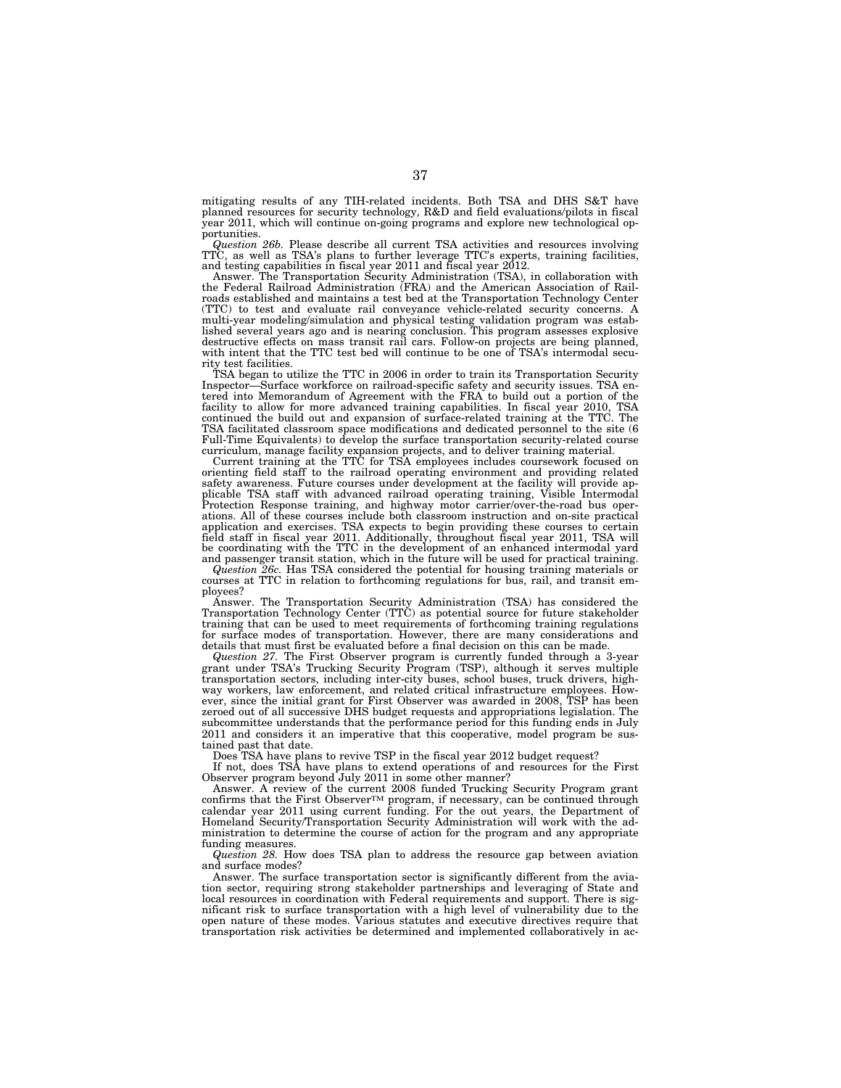mitigating results of any TIH-related incidents. Both TSA and DHS S&T have planned resources for security technology, R&D and field evaluations/pilots in fiscal year 2011, which will continue on-going programs and explore new technological opportunities.

Question 26b. Please describe all current TSA activities and resources involving TTC, as well as TSA's plans to further leverage TTC's experts, training facilities, and testing capabilities in fiscal year 2011 and fiscal y

Answer. The Transportation Security Administration (TSA), in collaboration with the Federal Railroad Administration (FRA) and the American Association of Railroads established and maintains a test bed at the Transportation Technology Center (TTC) to test and evaluate rail conveyance vehicle-related security concerns. A multi-year modeling/simulation and physical testing validation program was estab-lished several years ago and is nearing conclusion. This program assesses explosive destructive effects on mass transit rail cars. Follow-on projects are being planned, with intent that the TTC test bed will continue to be one of TSA's intermodal security test facilities.

TSA began to utilize the TTC in 2006 in order to train its Transportation Security Inspector—Surface workforce on railroad-specific safety and security issues. TSA en-tered into Memorandum of Agreement with the FRA to build out a portion of the facility to allow for more advanced training capabilities. In fiscal year 2010, TSA continued the build out and expansion of surface-related training at the TTC. The TSA facilitated classroom space modifications and dedicated personnel to the site (6 Full-Time Equivalents) to develop the surface transportation security-related course

curriculum, manage facility expansion projects, and to deliver training material. Current training at the TTC for TSA employees includes coursework focused on orienting field staff to the railroad operating environment and providing related safety awareness. Future courses under development at the facility will provide applicable TSA staff with advanced railroad operating training, Visible Intermodal<br>Protection Response training, and highway motor carrier/over-the-road bus oper-<br>ations. All of these courses include both classroom instructi application and exercises. TSA expects to begin providing these courses to certain<br>field staff in fiscal year 2011. Additionally, throughout fiscal year 2011, TSA will<br>be coordinating with the TTC in the development of an and passenger transit station, which in the future will be used for practical training.

*Question 26c.* Has TSA considered the potential for housing training materials or courses at TTC in relation to forthcoming regulations for bus, rail, and transit employees?

Answer. The Transportation Security Administration (TSA) has considered the Transportation Technology Center (TTC) as potential source for future stakeholder training that can be used to meet requirements of forthcoming training regulations for surface modes of transportation. However, there are many considerations and details that must first be evaluated before a final decision on this can be made.

*Question 27.* The First Observer program is currently funded through a 3-year grant under TSA's Trucking Security Program (TSP), although it serves multiple transportation sectors, including inter-city buses, school buses, truck drivers, highway workers, law enforcement, and related critical infrastructure employees. However, since the initial grant for First Observer was awarded in 2008, TSP has been zeroed out of all successive DHS budget requests and appropriations legislation. The subcommittee understands that the performance period for this funding ends in July 2011 and considers it an imperative that this cooperative, model program be sustained past that date.

Does TSA have plans to revive TSP in the fiscal year 2012 budget request?

If not, does TSA have plans to extend operations of and resources for the First Observer program beyond July 2011 in some other manner?

Answer. A review of the current 2008 funded Trucking Security Program grant confirms that the First Observer™ program, if necessary, can be continued through calendar year 2011 using current funding. For the out years, the Department of Homeland Security/Transportation Security Administration will work with the administration to determine the course of action for the program and any appropriate funding measures.

*Question 28.* How does TSA plan to address the resource gap between aviation and surface modes?

Answer. The surface transportation sector is significantly different from the aviation sector, requiring strong stakeholder partnerships and leveraging of State and local resources in coordination with Federal requirements and support. There is significant risk to surface transportation with a high level of vulnerability due to the open nature of these modes. Various statutes and executive directives require that transportation risk activities be determined and implemented collaboratively in ac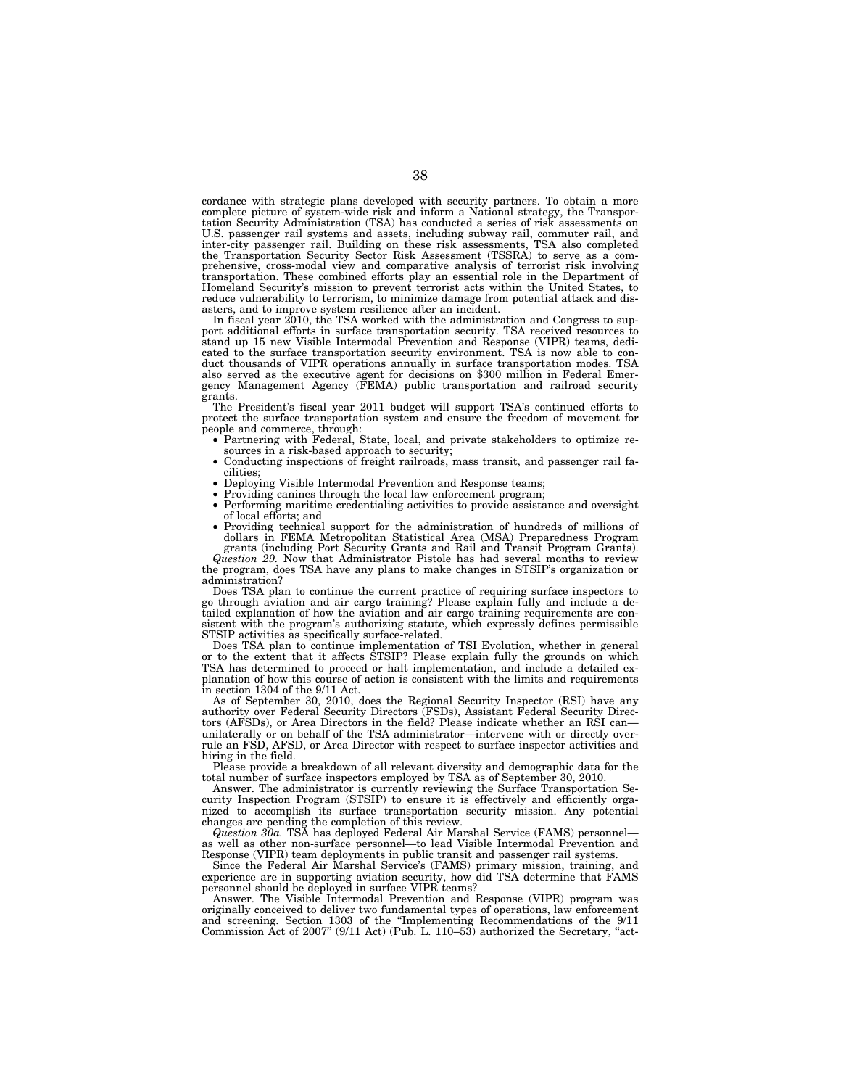cordance with strategic plans developed with security partners. To obtain a more complete picture of system-wide risk and inform a National strategy, the Transpor-tation Security Administration (TSA) has conducted a series of risk assessments on U.S. passenger rail systems and assets, including subway rail, commuter rail, and inter-city passenger rail. Building on these risk assessments, TSA also completed the Transportation Security Sector Risk Assessment (TSSRA) prehensive, cross-modal view and comparative analysis of terrorist risk involving transportation. These combined efforts play an essential role in the Department of Homeland Security's mission to prevent terrorist acts within the United States, to reduce vulnerability to terrorism, to minimize damage from potential attack and disasters, and to improve system resilience after an incident.

In fiscal year 2010, the TSA worked with the administration and Congress to support additional efforts in surface transportation security. TSA received resources to stand up 15 new Visible Intermodal Prevention and Response (VIPR) teams, dedi-cated to the surface transportation security environment. TSA is now able to conduct thousands of VIPR operations annually in surface transportation modes. TSA also served as the executive agent for decisions on \$300 million in Federal Emergency Management Agency (FEMA) public transportation and railroad security grants.

The President's fiscal year 2011 budget will support TSA's continued efforts to protect the surface transportation system and ensure the freedom of movement for people and commerce, through:<br>
• Partnering with Federal, State, local, and private stakeholders to optimize re-

- sources in a risk-based approach to security;<br>
Conducting inspections of freight railroads, mass transit, and passenger rail fa-<br>
cilities:
- 
- 
- cilities; Deploying Visible Intermodal Prevention and Response teams; Providing canines through the local law enforcement program; Performing maritime credentialing activities to provide assistance and oversight
- of local efforts; and<br>• Providing technical support for the administration of hundreds of millions of<br>• dollars in FEMA Metropolitan Statistical Area (MSA) Preparedness Program<br>• grants (including Port Security Grants and

*Question 29.* Now that Administrator Pistole has had several months to review the program, does TSA have any plans to make changes in STSIP's organization or administration?

Does TSA plan to continue the current practice of requiring surface inspectors to go through aviation and air cargo training? Please explain fully and include a de-tailed explanation of how the aviation and air cargo training requirements are consistent with the program's authorizing statute, which expressly defines permissible STSIP activities as specifically surface-related.

Does TSA plan to continue implementation of TSI Evolution, whether in general or to the extent that it affects STSIP? Please explain fully the grounds on which TSA has determined to proceed or halt implementation, and include a detailed explanation of how this course of action is consistent with the limits and requirements in section 1304 of the 9/11 Act.

As of September 30, 2010, does the Regional Security Inspector (RSI) have any authority over Federal Security Directors (FSDs), Assistant Federal Security Directors (AFSDs), or Area Directors in the field? Please indicate whether an RSI can unilaterally or on behalf of the TSA administrator—intervene with or directly overrule an FSD, AFSD, or Area Director with respect to surface inspector activities and hiring in the field.

Please provide a breakdown of all relevant diversity and demographic data for the total number of surface inspectors employed by TSA as of September 30, 2010.

Answer. The administrator is currently reviewing the Surface Transportation Security Inspection Program (STSIP) to ensure it is effectively and efficiently organized to accomplish its surface transportation security mission. Any potential changes are pending the completion of this review.

*Question 30a.* TSA has deployed Federal Air Marshal Service (FAMS) personnel as well as other non-surface personnel—to lead Visible Intermodal Prevention and Response (VIPR) team deployments in public transit and passenger rail systems.

Since the Federal Air Marshal Service's (FAMS) primary mission, training, and experience are in supporting aviation security, how did TSA determine that FAMS personnel should be deployed in surface VIPR teams?

Answer. The Visible Intermodal Prevention and Response (VIPR) program was originally conceived to deliver two fundamental types of operations, law enforcement and screening. Section 1303 of the ''Implementing Recommendations of the 9/11 Commission Act of 2007" (9/11 Act) (Pub. L. 110–53) authorized the Secretary, "act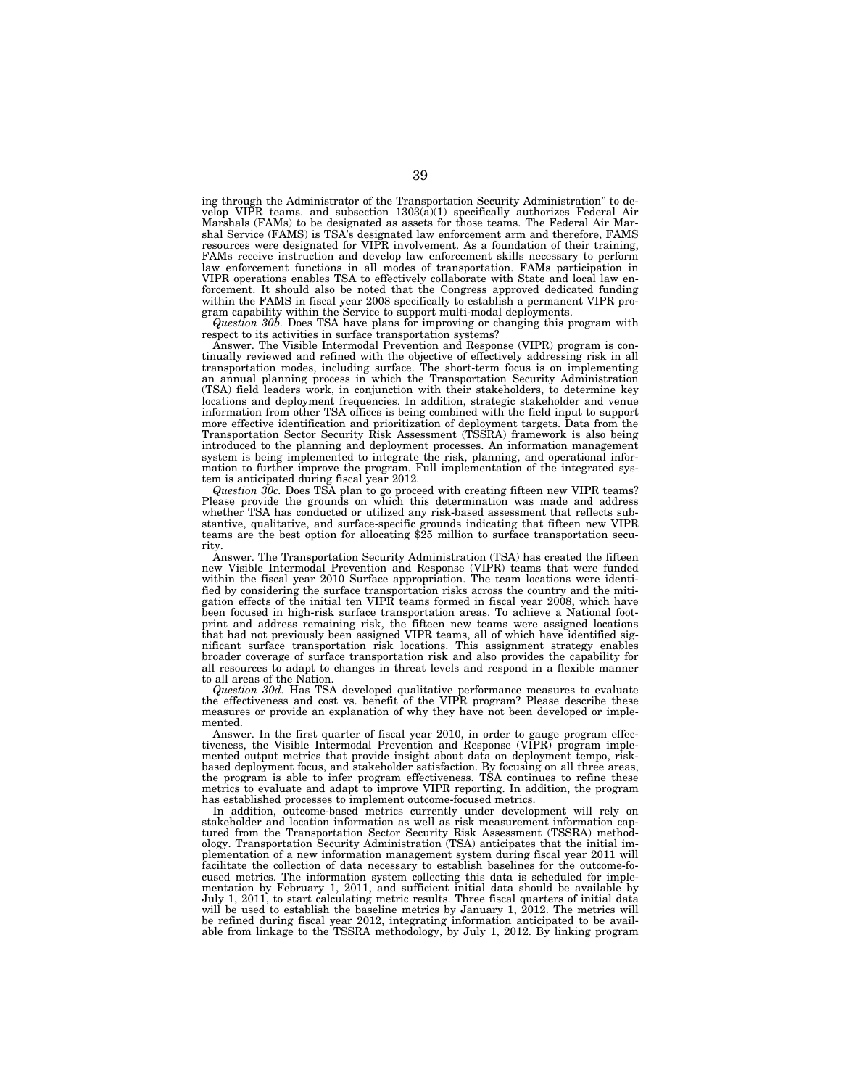ing through the Administrator of the Transportation Security Administration'' to develop VIPR teams. and subsection 1303(a)(1) specifically authorizes Federal Air Marshals (FAMs) to be designated as assets for those teams. The Federal Air Marshal Service (FAMS) is TSA's designated law enforcement arm and therefore, FAMS resources were designated for VIPR involvement. As a foundation of their training, FAMs receive instruction and develop law enforcement skills necessary to perform law enforcement functions in all modes of transportation. FAMs participation in VIPR operations enables TSA to effectively collaborate with State and local law enforcement. It should also be noted that the Congress approved dedicated funding within the FAMS in fiscal year 2008 specifically to establish a permanent VIPR program capability within the Service to support multi-modal deployments.

*Question 30b.* Does TSA have plans for improving or changing this program with respect to its activities in surface transportation systems?

Answer. The Visible Intermodal Prevention and Response (VIPR) program is continually reviewed and refined with the objective of effectively addressing risk in all transportation modes, including surface. The short-term focus is on implementing an annual planning process in which the Transportation Security Administration (TSA) field leaders work, in conjunction with their stakeholders, to determine key locations and deployment frequencies. In addition, strategic stakeholder and venue information from other TSA offices is being combined with the field input to support more effective identification and prioritization of deployment targets. Data from the Transportation Sector Security Risk Assessment (TSSRA) framework is also being introduced to the planning and deployment processes. An information management system is being implemented to integrate the risk, planning, and operational information to further improve the program. Full implementation of the integrated system is anticipated during fiscal year 2012.

*Question 30c.* Does TSA plan to go proceed with creating fifteen new VIPR teams? Please provide the grounds on which this determination was made and address whether TSA has conducted or utilized any risk-based assessment that reflects substantive, qualitative, and surface-specific grounds indicating that fifteen new VIPR teams are the best option for allocating \$25 million to surface transportation security.

Answer. The Transportation Security Administration (TSA) has created the fifteen new Visible Intermodal Prevention and Response (VIPR) teams that were funded within the fiscal year 2010 Surface appropriation. The team locations were identified by considering the surface transportation risks across the country and the mitigation effects of the initial ten VIPR teams formed in fiscal year 2008, which have been focused in high-risk surface transportation areas. To achieve a National footprint and address remaining risk, the fifteen new teams were assigned locations that had not previously been assigned VIPR teams, all of which have identified significant surface transportation risk locations. This assignment strategy enables broader coverage of surface transportation risk and also provides the capability for all resources to adapt to changes in threat levels and respond in a flexible manner to all areas of the Nation.

*Question 30d.* Has TSA developed qualitative performance measures to evaluate the effectiveness and cost vs. benefit of the VIPR program? Please describe these measures or provide an explanation of why they have not been developed or implemented.

Answer. In the first quarter of fiscal year 2010, in order to gauge program effectiveness, the Visible Intermodal Prevention and Response (VIPR) program implemented output metrics that provide insight about data on deployment tempo, riskbased deployment focus, and stakeholder satisfaction. By focusing on all three areas, the program is able to infer program effectiveness. TSA continues to refine these metrics to evaluate and adapt to improve VIPR reporting. In addition, the program has established processes to implement outcome-focused metrics.

In addition, outcome-based metrics currently under development will rely on stakeholder and location information as well as risk measurement information captured from the Transportation Sector Security Risk Assessment (TSSRA) methodology. Transportation Security Administration (TSA) anticipates that the initial implementation of a new information management system during fiscal year 2011 will facilitate the collection of data necessary to establish baselines for the outcome-focused metrics. The information system collecting this data is scheduled for implementation by February 1, 2011, and sufficient initial data should be available by July 1, 2011, to start calculating metric results. Three fiscal quarters of initial data will be used to establish the baseline metrics by January 1, 2012. The metrics will be refined during fiscal year 2012, integrating information anticipated to be available from linkage to the TSSRA methodology, by July 1, 2012. By linking program